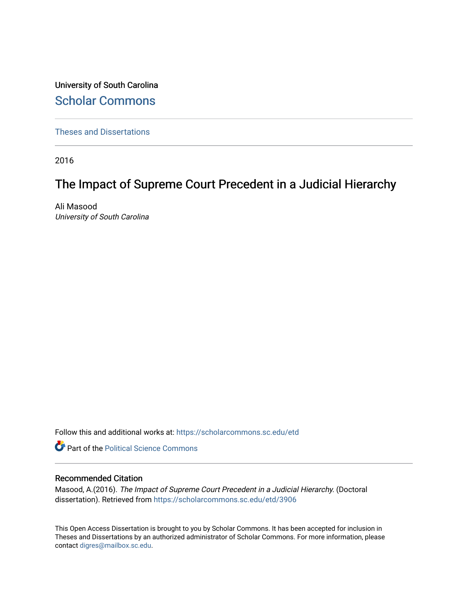University of South Carolina [Scholar Commons](https://scholarcommons.sc.edu/) 

[Theses and Dissertations](https://scholarcommons.sc.edu/etd)

2016

## The Impact of Supreme Court Precedent in a Judicial Hierarchy

Ali Masood University of South Carolina

Follow this and additional works at: [https://scholarcommons.sc.edu/etd](https://scholarcommons.sc.edu/etd?utm_source=scholarcommons.sc.edu%2Fetd%2F3906&utm_medium=PDF&utm_campaign=PDFCoverPages)

**Part of the Political Science Commons** 

#### Recommended Citation

Masood, A.(2016). The Impact of Supreme Court Precedent in a Judicial Hierarchy. (Doctoral dissertation). Retrieved from [https://scholarcommons.sc.edu/etd/3906](https://scholarcommons.sc.edu/etd/3906?utm_source=scholarcommons.sc.edu%2Fetd%2F3906&utm_medium=PDF&utm_campaign=PDFCoverPages)

This Open Access Dissertation is brought to you by Scholar Commons. It has been accepted for inclusion in Theses and Dissertations by an authorized administrator of Scholar Commons. For more information, please contact [digres@mailbox.sc.edu.](mailto:digres@mailbox.sc.edu)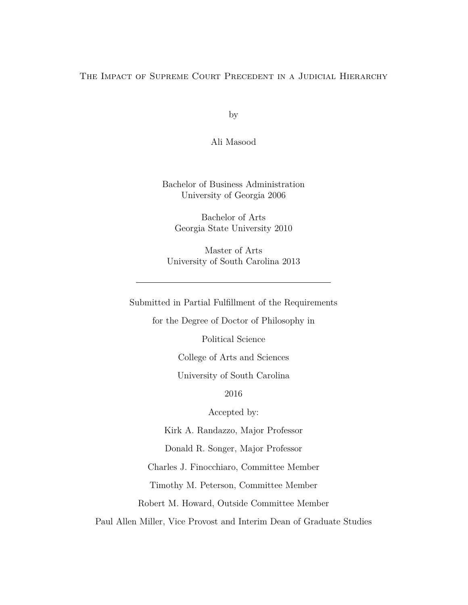#### The Impact of Supreme Court Precedent in a Judicial Hierarchy

by

Ali Masood

Bachelor of Business Administration University of Georgia 2006

Bachelor of Arts Georgia State University 2010

Master of Arts University of South Carolina 2013

Submitted in Partial Fulfillment of the Requirements

for the Degree of Doctor of Philosophy in

Political Science

College of Arts and Sciences

University of South Carolina

2016

Accepted by:

Kirk A. Randazzo, Major Professor

Donald R. Songer, Major Professor

Charles J. Finocchiaro, Committee Member

Timothy M. Peterson, Committee Member

Robert M. Howard, Outside Committee Member

Paul Allen Miller, Vice Provost and Interim Dean of Graduate Studies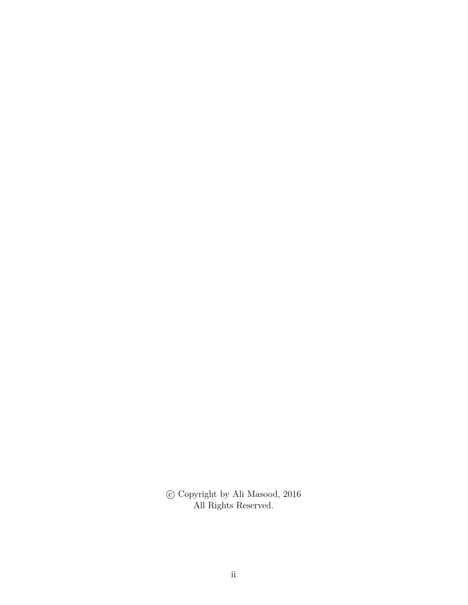$\copyright$  Copyright by Ali Masood, 2016 All Rights Reserved.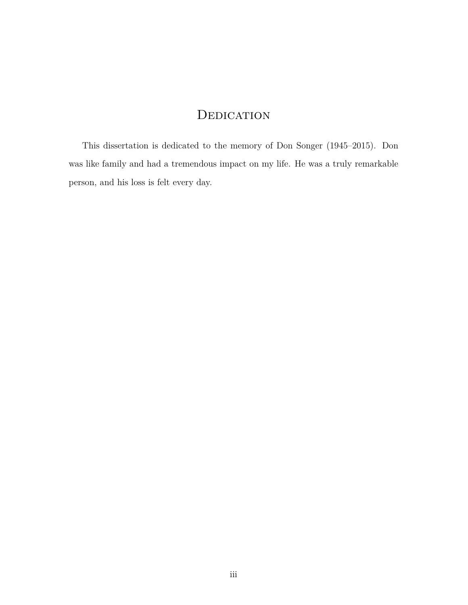## **DEDICATION**

This dissertation is dedicated to the memory of Don Songer (1945–2015). Don was like family and had a tremendous impact on my life. He was a truly remarkable person, and his loss is felt every day.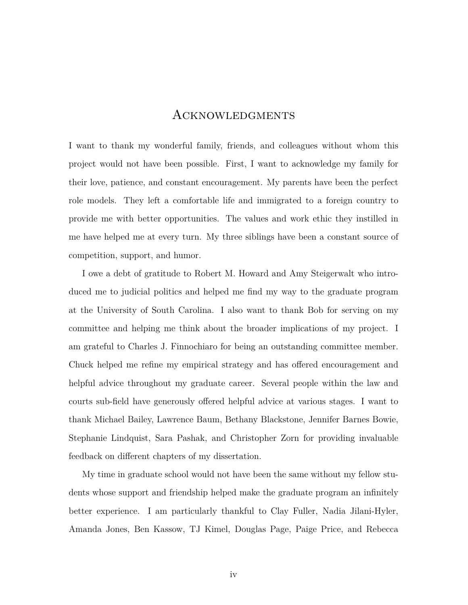## Acknowledgments

I want to thank my wonderful family, friends, and colleagues without whom this project would not have been possible. First, I want to acknowledge my family for their love, patience, and constant encouragement. My parents have been the perfect role models. They left a comfortable life and immigrated to a foreign country to provide me with better opportunities. The values and work ethic they instilled in me have helped me at every turn. My three siblings have been a constant source of competition, support, and humor.

I owe a debt of gratitude to Robert M. Howard and Amy Steigerwalt who introduced me to judicial politics and helped me find my way to the graduate program at the University of South Carolina. I also want to thank Bob for serving on my committee and helping me think about the broader implications of my project. I am grateful to Charles J. Finnochiaro for being an outstanding committee member. Chuck helped me refine my empirical strategy and has offered encouragement and helpful advice throughout my graduate career. Several people within the law and courts sub-field have generously offered helpful advice at various stages. I want to thank Michael Bailey, Lawrence Baum, Bethany Blackstone, Jennifer Barnes Bowie, Stephanie Lindquist, Sara Pashak, and Christopher Zorn for providing invaluable feedback on different chapters of my dissertation.

My time in graduate school would not have been the same without my fellow students whose support and friendship helped make the graduate program an infinitely better experience. I am particularly thankful to Clay Fuller, Nadia Jilani-Hyler, Amanda Jones, Ben Kassow, TJ Kimel, Douglas Page, Paige Price, and Rebecca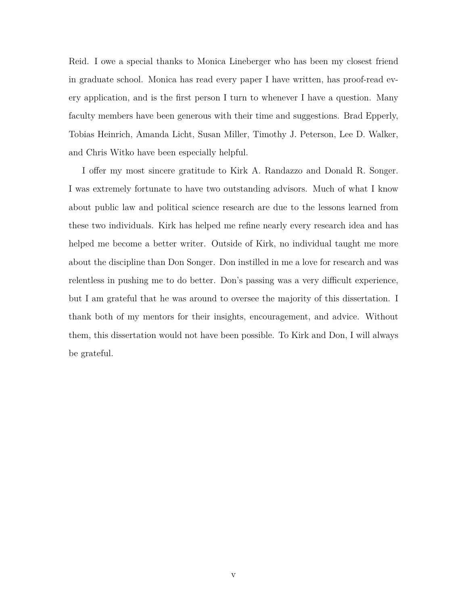Reid. I owe a special thanks to Monica Lineberger who has been my closest friend in graduate school. Monica has read every paper I have written, has proof-read every application, and is the first person I turn to whenever I have a question. Many faculty members have been generous with their time and suggestions. Brad Epperly, Tobias Heinrich, Amanda Licht, Susan Miller, Timothy J. Peterson, Lee D. Walker, and Chris Witko have been especially helpful.

I offer my most sincere gratitude to Kirk A. Randazzo and Donald R. Songer. I was extremely fortunate to have two outstanding advisors. Much of what I know about public law and political science research are due to the lessons learned from these two individuals. Kirk has helped me refine nearly every research idea and has helped me become a better writer. Outside of Kirk, no individual taught me more about the discipline than Don Songer. Don instilled in me a love for research and was relentless in pushing me to do better. Don's passing was a very difficult experience, but I am grateful that he was around to oversee the majority of this dissertation. I thank both of my mentors for their insights, encouragement, and advice. Without them, this dissertation would not have been possible. To Kirk and Don, I will always be grateful.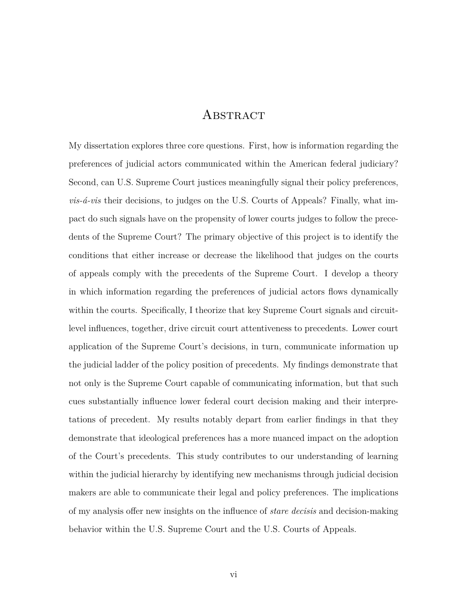## **ABSTRACT**

My dissertation explores three core questions. First, how is information regarding the preferences of judicial actors communicated within the American federal judiciary? Second, can U.S. Supreme Court justices meaningfully signal their policy preferences, *vis-á-vis* their decisions, to judges on the U.S. Courts of Appeals? Finally, what impact do such signals have on the propensity of lower courts judges to follow the precedents of the Supreme Court? The primary objective of this project is to identify the conditions that either increase or decrease the likelihood that judges on the courts of appeals comply with the precedents of the Supreme Court. I develop a theory in which information regarding the preferences of judicial actors flows dynamically within the courts. Specifically, I theorize that key Supreme Court signals and circuitlevel influences, together, drive circuit court attentiveness to precedents. Lower court application of the Supreme Court's decisions, in turn, communicate information up the judicial ladder of the policy position of precedents. My findings demonstrate that not only is the Supreme Court capable of communicating information, but that such cues substantially influence lower federal court decision making and their interpretations of precedent. My results notably depart from earlier findings in that they demonstrate that ideological preferences has a more nuanced impact on the adoption of the Court's precedents. This study contributes to our understanding of learning within the judicial hierarchy by identifying new mechanisms through judicial decision makers are able to communicate their legal and policy preferences. The implications of my analysis offer new insights on the influence of *stare decisis* and decision-making behavior within the U.S. Supreme Court and the U.S. Courts of Appeals.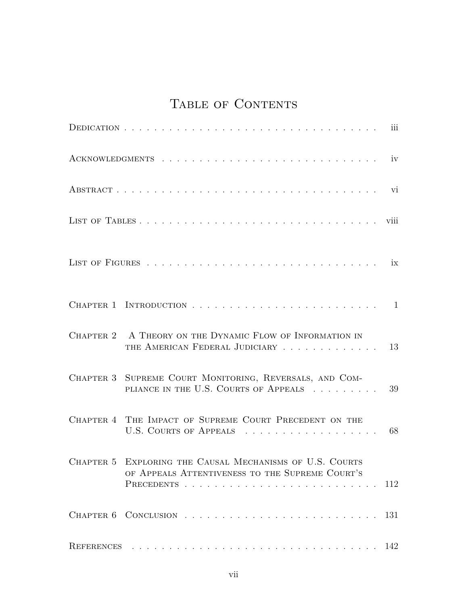# TABLE OF CONTENTS

|                                                                                                                                  | iv   |
|----------------------------------------------------------------------------------------------------------------------------------|------|
|                                                                                                                                  | vi   |
|                                                                                                                                  | viii |
|                                                                                                                                  |      |
|                                                                                                                                  |      |
| CHAPTER 2 A THEORY ON THE DYNAMIC FLOW OF INFORMATION IN<br>THE AMERICAN FEDERAL JUDICIARY                                       | 13   |
| CHAPTER 3 SUPREME COURT MONITORING, REVERSALS, AND COM-<br>PLIANCE IN THE U.S. COURTS OF APPEALS                                 | 39   |
| CHAPTER 4 THE IMPACT OF SUPREME COURT PRECEDENT ON THE<br>U.S. COURTS OF APPEALS                                                 | 68   |
| CHAPTER 5 EXPLORING THE CAUSAL MECHANISMS OF U.S. COURTS<br>OF APPEALS ATTENTIVENESS TO THE SUPREME COURT'S<br><b>PRECEDENTS</b> | 112  |
|                                                                                                                                  | 131  |
|                                                                                                                                  | 142  |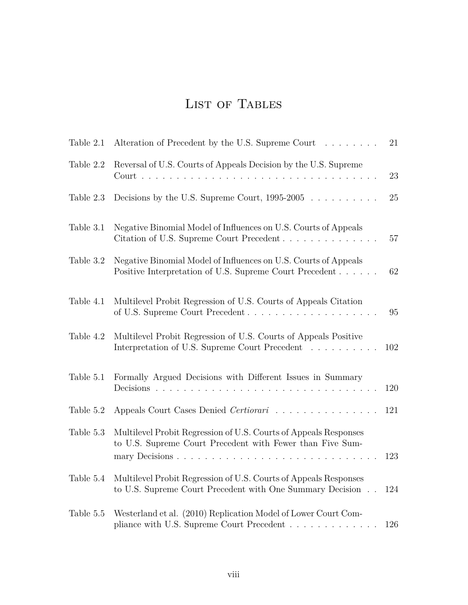# LIST OF TABLES

| Table 2.1 | Alteration of Precedent by the U.S. Supreme Court                                                                                                                                                                                                                   | 21  |
|-----------|---------------------------------------------------------------------------------------------------------------------------------------------------------------------------------------------------------------------------------------------------------------------|-----|
| Table 2.2 | Reversal of U.S. Courts of Appeals Decision by the U.S. Supreme<br>$\text{Court}$ .<br>$\mathbf{1}$ $\mathbf{1}$ $\mathbf{1}$ $\mathbf{1}$ $\mathbf{1}$<br>$\ddot{\phantom{a}}$<br>$\mathbf{r}$ and $\mathbf{r}$ and $\mathbf{r}$ and $\mathbf{r}$ and $\mathbf{r}$ | 23  |
| Table 2.3 | Decisions by the U.S. Supreme Court, $1995-2005$                                                                                                                                                                                                                    | 25  |
| Table 3.1 | Negative Binomial Model of Influences on U.S. Courts of Appeals<br>Citation of U.S. Supreme Court Precedent                                                                                                                                                         | 57  |
| Table 3.2 | Negative Binomial Model of Influences on U.S. Courts of Appeals<br>Positive Interpretation of U.S. Supreme Court Precedent                                                                                                                                          | 62  |
| Table 4.1 | Multilevel Probit Regression of U.S. Courts of Appeals Citation<br>of U.S. Supreme Court Precedent                                                                                                                                                                  | 95  |
| Table 4.2 | Multilevel Probit Regression of U.S. Courts of Appeals Positive<br>Interpretation of U.S. Supreme Court Precedent                                                                                                                                                   | 102 |
| Table 5.1 | Formally Argued Decisions with Different Issues in Summary<br>Decisions.                                                                                                                                                                                            | 120 |
| Table 5.2 | Appeals Court Cases Denied Certiorari                                                                                                                                                                                                                               | 121 |
| Table 5.3 | Multilevel Probit Regression of U.S. Courts of Appeals Responses<br>to U.S. Supreme Court Precedent with Fewer than Five Sum-                                                                                                                                       | 123 |
| Table 5.4 | Multilevel Probit Regression of U.S. Courts of Appeals Responses<br>to U.S. Supreme Court Precedent with One Summary Decision                                                                                                                                       | 124 |
| Table 5.5 | Westerland et al. (2010) Replication Model of Lower Court Com-<br>pliance with U.S. Supreme Court Precedent                                                                                                                                                         | 126 |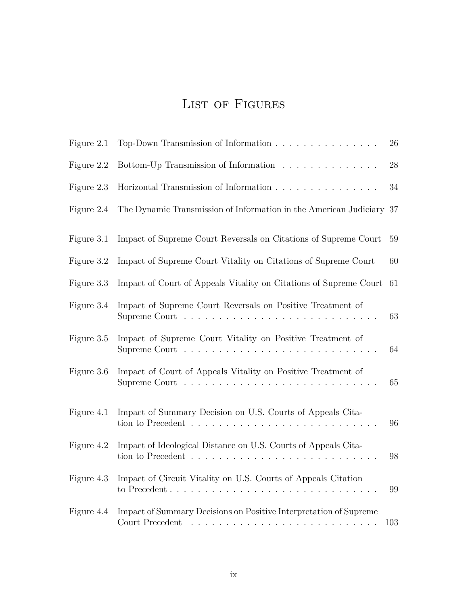# LIST OF FIGURES

| Figure 2.1 | Top-Down Transmission of Information                                                                                                                          | 26     |
|------------|---------------------------------------------------------------------------------------------------------------------------------------------------------------|--------|
| Figure 2.2 | Bottom-Up Transmission of Information $\ldots \ldots \ldots \ldots \ldots$                                                                                    | 28     |
| Figure 2.3 | Horizontal Transmission of Information                                                                                                                        | $34\,$ |
| Figure 2.4 | The Dynamic Transmission of Information in the American Judiciary                                                                                             | 37     |
| Figure 3.1 | Impact of Supreme Court Reversals on Citations of Supreme Court                                                                                               | 59     |
| Figure 3.2 | Impact of Supreme Court Vitality on Citations of Supreme Court                                                                                                | 60     |
| Figure 3.3 | Impact of Court of Appeals Vitality on Citations of Supreme Court                                                                                             | 61     |
| Figure 3.4 | Impact of Supreme Court Reversals on Positive Treatment of<br>Supreme Court                                                                                   | 63     |
| Figure 3.5 | Impact of Supreme Court Vitality on Positive Treatment of<br>Supreme Court $\dots \dots \dots \dots \dots \dots \dots \dots \dots \dots$                      | 64     |
| Figure 3.6 | Impact of Court of Appeals Vitality on Positive Treatment of                                                                                                  | 65     |
| Figure 4.1 | Impact of Summary Decision on U.S. Courts of Appeals Cita-<br>tion to Precedent $\ldots \ldots \ldots \ldots \ldots \ldots \ldots \ldots \ldots \ldots$       | 96     |
| Figure 4.2 | Impact of Ideological Distance on U.S. Courts of Appeals Cita-<br>tion to Precedent $\ldots \ldots \ldots \ldots \ldots \ldots \ldots \ldots \ldots$          | 98     |
| Figure 4.3 | Impact of Circuit Vitality on U.S. Courts of Appeals Citation                                                                                                 | 99     |
| Figure 4.4 | Impact of Summary Decisions on Positive Interpretation of Supreme<br>Court Precedent<br>a de la caractería de la caractería de la caractería de la caractería | 103    |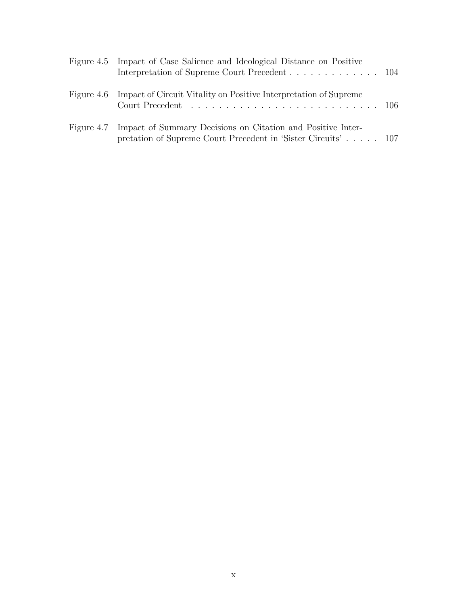| Figure 4.5 Impact of Case Salience and Ideological Distance on Positive<br>Interpretation of Supreme Court Precedent 104                |  |
|-----------------------------------------------------------------------------------------------------------------------------------------|--|
| Figure 4.6 Impact of Circuit Vitality on Positive Interpretation of Supreme                                                             |  |
| Figure 4.7 Impact of Summary Decisions on Citation and Positive Inter-<br>pretation of Supreme Court Precedent in 'Sister Circuits' 107 |  |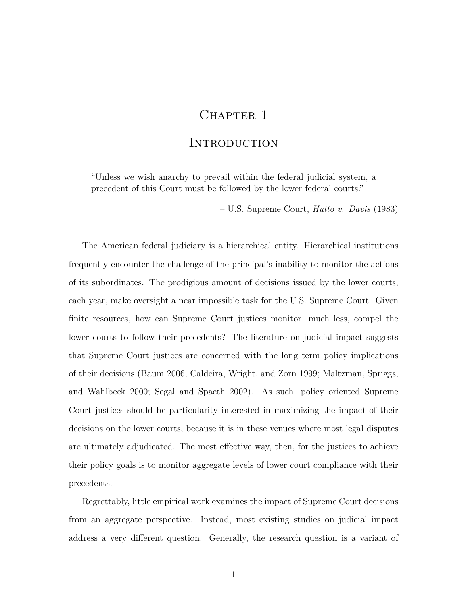## CHAPTER 1

## **INTRODUCTION**

"Unless we wish anarchy to prevail within the federal judicial system, a precedent of this Court must be followed by the lower federal courts."

– U.S. Supreme Court, *Hutto v. Davis* (1983)

The American federal judiciary is a hierarchical entity. Hierarchical institutions frequently encounter the challenge of the principal's inability to monitor the actions of its subordinates. The prodigious amount of decisions issued by the lower courts, each year, make oversight a near impossible task for the U.S. Supreme Court. Given finite resources, how can Supreme Court justices monitor, much less, compel the lower courts to follow their precedents? The literature on judicial impact suggests that Supreme Court justices are concerned with the long term policy implications of their decisions (Baum 2006; Caldeira, Wright, and Zorn 1999; Maltzman, Spriggs, and Wahlbeck 2000; Segal and Spaeth 2002). As such, policy oriented Supreme Court justices should be particularity interested in maximizing the impact of their decisions on the lower courts, because it is in these venues where most legal disputes are ultimately adjudicated. The most effective way, then, for the justices to achieve their policy goals is to monitor aggregate levels of lower court compliance with their precedents.

Regrettably, little empirical work examines the impact of Supreme Court decisions from an aggregate perspective. Instead, most existing studies on judicial impact address a very different question. Generally, the research question is a variant of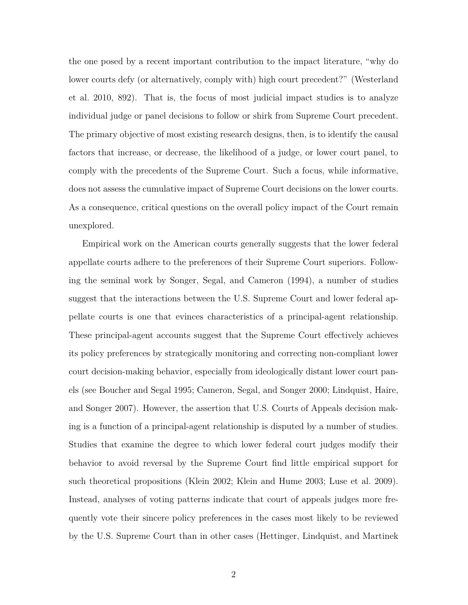the one posed by a recent important contribution to the impact literature, "why do lower courts defy (or alternatively, comply with) high court precedent?" (Westerland et al. 2010, 892). That is, the focus of most judicial impact studies is to analyze individual judge or panel decisions to follow or shirk from Supreme Court precedent. The primary objective of most existing research designs, then, is to identify the causal factors that increase, or decrease, the likelihood of a judge, or lower court panel, to comply with the precedents of the Supreme Court. Such a focus, while informative, does not assess the cumulative impact of Supreme Court decisions on the lower courts. As a consequence, critical questions on the overall policy impact of the Court remain unexplored.

Empirical work on the American courts generally suggests that the lower federal appellate courts adhere to the preferences of their Supreme Court superiors. Following the seminal work by Songer, Segal, and Cameron (1994), a number of studies suggest that the interactions between the U.S. Supreme Court and lower federal appellate courts is one that evinces characteristics of a principal-agent relationship. These principal-agent accounts suggest that the Supreme Court effectively achieves its policy preferences by strategically monitoring and correcting non-compliant lower court decision-making behavior, especially from ideologically distant lower court panels (see Boucher and Segal 1995; Cameron, Segal, and Songer 2000; Lindquist, Haire, and Songer 2007). However, the assertion that U.S. Courts of Appeals decision making is a function of a principal-agent relationship is disputed by a number of studies. Studies that examine the degree to which lower federal court judges modify their behavior to avoid reversal by the Supreme Court find little empirical support for such theoretical propositions (Klein 2002; Klein and Hume 2003; Luse et al. 2009). Instead, analyses of voting patterns indicate that court of appeals judges more frequently vote their sincere policy preferences in the cases most likely to be reviewed by the U.S. Supreme Court than in other cases (Hettinger, Lindquist, and Martinek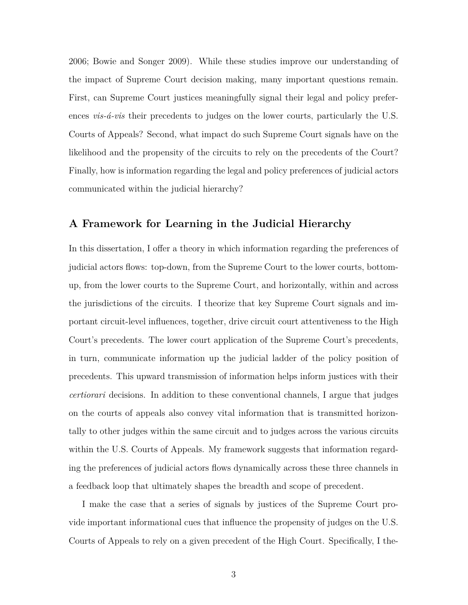2006; Bowie and Songer 2009). While these studies improve our understanding of the impact of Supreme Court decision making, many important questions remain. First, can Supreme Court justices meaningfully signal their legal and policy preferences *vis-á-vis* their precedents to judges on the lower courts, particularly the U.S. Courts of Appeals? Second, what impact do such Supreme Court signals have on the likelihood and the propensity of the circuits to rely on the precedents of the Court? Finally, how is information regarding the legal and policy preferences of judicial actors communicated within the judicial hierarchy?

## **A Framework for Learning in the Judicial Hierarchy**

In this dissertation, I offer a theory in which information regarding the preferences of judicial actors flows: top-down, from the Supreme Court to the lower courts, bottomup, from the lower courts to the Supreme Court, and horizontally, within and across the jurisdictions of the circuits. I theorize that key Supreme Court signals and important circuit-level influences, together, drive circuit court attentiveness to the High Court's precedents. The lower court application of the Supreme Court's precedents, in turn, communicate information up the judicial ladder of the policy position of precedents. This upward transmission of information helps inform justices with their *certiorari* decisions. In addition to these conventional channels, I argue that judges on the courts of appeals also convey vital information that is transmitted horizontally to other judges within the same circuit and to judges across the various circuits within the U.S. Courts of Appeals. My framework suggests that information regarding the preferences of judicial actors flows dynamically across these three channels in a feedback loop that ultimately shapes the breadth and scope of precedent.

I make the case that a series of signals by justices of the Supreme Court provide important informational cues that influence the propensity of judges on the U.S. Courts of Appeals to rely on a given precedent of the High Court. Specifically, I the-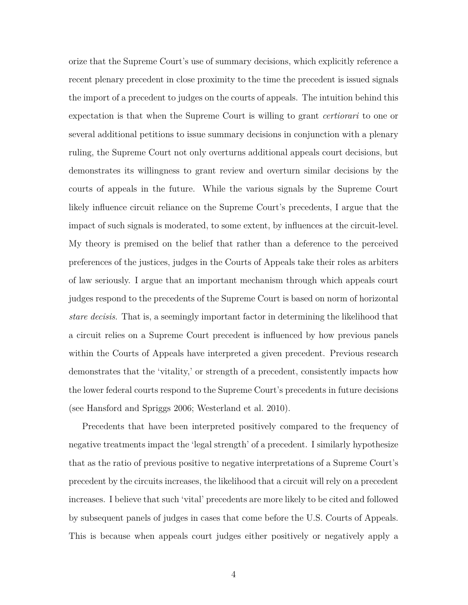orize that the Supreme Court's use of summary decisions, which explicitly reference a recent plenary precedent in close proximity to the time the precedent is issued signals the import of a precedent to judges on the courts of appeals. The intuition behind this expectation is that when the Supreme Court is willing to grant *certiorari* to one or several additional petitions to issue summary decisions in conjunction with a plenary ruling, the Supreme Court not only overturns additional appeals court decisions, but demonstrates its willingness to grant review and overturn similar decisions by the courts of appeals in the future. While the various signals by the Supreme Court likely influence circuit reliance on the Supreme Court's precedents, I argue that the impact of such signals is moderated, to some extent, by influences at the circuit-level. My theory is premised on the belief that rather than a deference to the perceived preferences of the justices, judges in the Courts of Appeals take their roles as arbiters of law seriously. I argue that an important mechanism through which appeals court judges respond to the precedents of the Supreme Court is based on norm of horizontal *stare decisis*. That is, a seemingly important factor in determining the likelihood that a circuit relies on a Supreme Court precedent is influenced by how previous panels within the Courts of Appeals have interpreted a given precedent. Previous research demonstrates that the 'vitality,' or strength of a precedent, consistently impacts how the lower federal courts respond to the Supreme Court's precedents in future decisions (see Hansford and Spriggs 2006; Westerland et al. 2010).

Precedents that have been interpreted positively compared to the frequency of negative treatments impact the 'legal strength' of a precedent. I similarly hypothesize that as the ratio of previous positive to negative interpretations of a Supreme Court's precedent by the circuits increases, the likelihood that a circuit will rely on a precedent increases. I believe that such 'vital' precedents are more likely to be cited and followed by subsequent panels of judges in cases that come before the U.S. Courts of Appeals. This is because when appeals court judges either positively or negatively apply a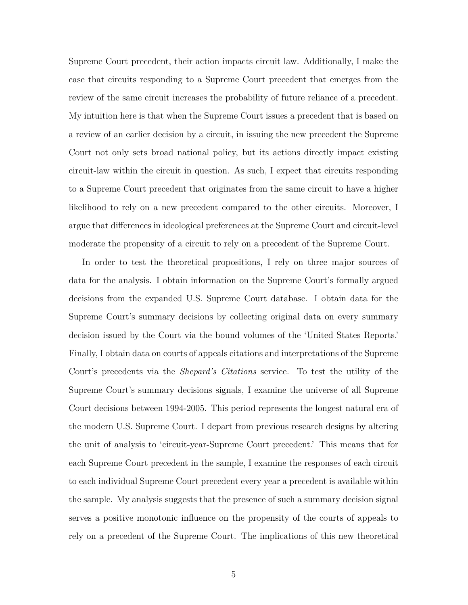Supreme Court precedent, their action impacts circuit law. Additionally, I make the case that circuits responding to a Supreme Court precedent that emerges from the review of the same circuit increases the probability of future reliance of a precedent. My intuition here is that when the Supreme Court issues a precedent that is based on a review of an earlier decision by a circuit, in issuing the new precedent the Supreme Court not only sets broad national policy, but its actions directly impact existing circuit-law within the circuit in question. As such, I expect that circuits responding to a Supreme Court precedent that originates from the same circuit to have a higher likelihood to rely on a new precedent compared to the other circuits. Moreover, I argue that differences in ideological preferences at the Supreme Court and circuit-level moderate the propensity of a circuit to rely on a precedent of the Supreme Court.

In order to test the theoretical propositions, I rely on three major sources of data for the analysis. I obtain information on the Supreme Court's formally argued decisions from the expanded U.S. Supreme Court database. I obtain data for the Supreme Court's summary decisions by collecting original data on every summary decision issued by the Court via the bound volumes of the 'United States Reports.' Finally, I obtain data on courts of appeals citations and interpretations of the Supreme Court's precedents via the *Shepard's Citations* service. To test the utility of the Supreme Court's summary decisions signals, I examine the universe of all Supreme Court decisions between 1994-2005. This period represents the longest natural era of the modern U.S. Supreme Court. I depart from previous research designs by altering the unit of analysis to 'circuit-year-Supreme Court precedent.' This means that for each Supreme Court precedent in the sample, I examine the responses of each circuit to each individual Supreme Court precedent every year a precedent is available within the sample. My analysis suggests that the presence of such a summary decision signal serves a positive monotonic influence on the propensity of the courts of appeals to rely on a precedent of the Supreme Court. The implications of this new theoretical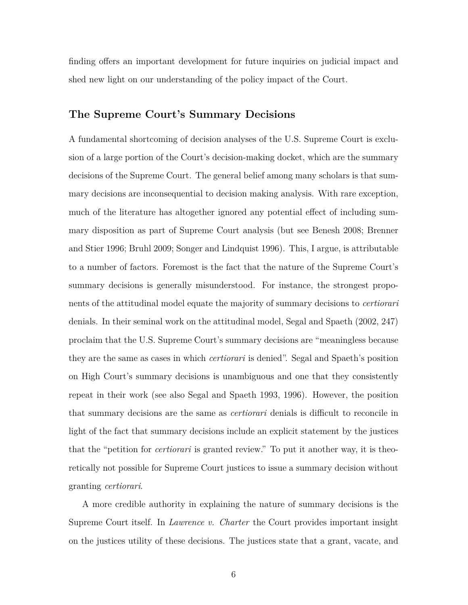finding offers an important development for future inquiries on judicial impact and shed new light on our understanding of the policy impact of the Court.

## **The Supreme Court's Summary Decisions**

A fundamental shortcoming of decision analyses of the U.S. Supreme Court is exclusion of a large portion of the Court's decision-making docket, which are the summary decisions of the Supreme Court. The general belief among many scholars is that summary decisions are inconsequential to decision making analysis. With rare exception, much of the literature has altogether ignored any potential effect of including summary disposition as part of Supreme Court analysis (but see Benesh 2008; Brenner and Stier 1996; Bruhl 2009; Songer and Lindquist 1996). This, I argue, is attributable to a number of factors. Foremost is the fact that the nature of the Supreme Court's summary decisions is generally misunderstood. For instance, the strongest proponents of the attitudinal model equate the majority of summary decisions to *certiorari* denials. In their seminal work on the attitudinal model, Segal and Spaeth (2002, 247) proclaim that the U.S. Supreme Court's summary decisions are "meaningless because they are the same as cases in which *certiorari* is denied". Segal and Spaeth's position on High Court's summary decisions is unambiguous and one that they consistently repeat in their work (see also Segal and Spaeth 1993, 1996). However, the position that summary decisions are the same as *certiorari* denials is difficult to reconcile in light of the fact that summary decisions include an explicit statement by the justices that the "petition for *certiorari* is granted review." To put it another way, it is theoretically not possible for Supreme Court justices to issue a summary decision without granting *certiorari*.

A more credible authority in explaining the nature of summary decisions is the Supreme Court itself. In *Lawrence v. Charter* the Court provides important insight on the justices utility of these decisions. The justices state that a grant, vacate, and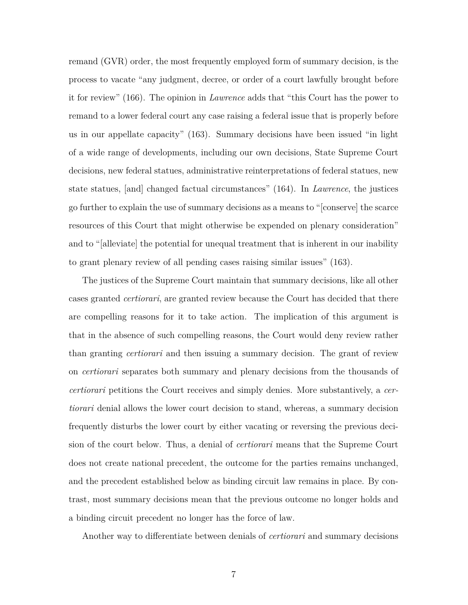remand (GVR) order, the most frequently employed form of summary decision, is the process to vacate "any judgment, decree, or order of a court lawfully brought before it for review" (166). The opinion in *Lawrence* adds that "this Court has the power to remand to a lower federal court any case raising a federal issue that is properly before us in our appellate capacity" (163). Summary decisions have been issued "in light of a wide range of developments, including our own decisions, State Supreme Court decisions, new federal statues, administrative reinterpretations of federal statues, new state statues, [and] changed factual circumstances" (164). In *Lawrence*, the justices go further to explain the use of summary decisions as a means to "[conserve] the scarce resources of this Court that might otherwise be expended on plenary consideration" and to "[alleviate] the potential for unequal treatment that is inherent in our inability to grant plenary review of all pending cases raising similar issues" (163).

The justices of the Supreme Court maintain that summary decisions, like all other cases granted *certiorari*, are granted review because the Court has decided that there are compelling reasons for it to take action. The implication of this argument is that in the absence of such compelling reasons, the Court would deny review rather than granting *certiorari* and then issuing a summary decision. The grant of review on *certiorari* separates both summary and plenary decisions from the thousands of *certiorari* petitions the Court receives and simply denies. More substantively, a *certiorari* denial allows the lower court decision to stand, whereas, a summary decision frequently disturbs the lower court by either vacating or reversing the previous decision of the court below. Thus, a denial of *certiorari* means that the Supreme Court does not create national precedent, the outcome for the parties remains unchanged, and the precedent established below as binding circuit law remains in place. By contrast, most summary decisions mean that the previous outcome no longer holds and a binding circuit precedent no longer has the force of law.

Another way to differentiate between denials of *certiorari* and summary decisions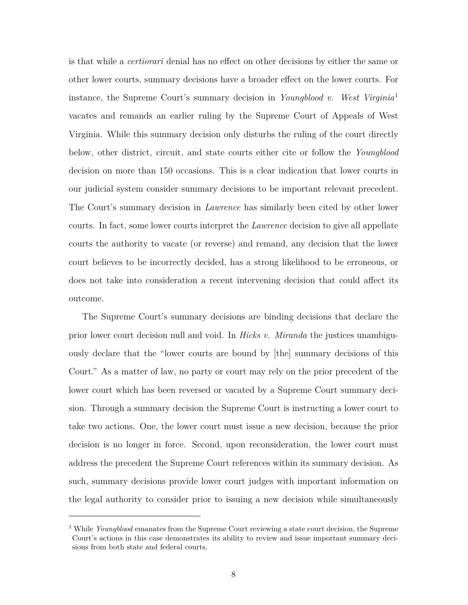is that while a *certiorari* denial has no effect on other decisions by either the same or other lower courts, summary decisions have a broader effect on the lower courts. For instance, the Supreme Court's summary decision in *Youngblood v. West Virginia*<sup>1</sup> vacates and remands an earlier ruling by the Supreme Court of Appeals of West Virginia. While this summary decision only disturbs the ruling of the court directly below, other district, circuit, and state courts either cite or follow the *Youngblood* decision on more than 150 occasions. This is a clear indication that lower courts in our judicial system consider summary decisions to be important relevant precedent. The Court's summary decision in *Lawrence* has similarly been cited by other lower courts. In fact, some lower courts interpret the *Lawrence* decision to give all appellate courts the authority to vacate (or reverse) and remand, any decision that the lower court believes to be incorrectly decided, has a strong likelihood to be erroneous, or does not take into consideration a recent intervening decision that could affect its outcome.

The Supreme Court's summary decisions are binding decisions that declare the prior lower court decision null and void. In *Hicks v. Miranda* the justices unambiguously declare that the "lower courts are bound by [the] summary decisions of this Court." As a matter of law, no party or court may rely on the prior precedent of the lower court which has been reversed or vacated by a Supreme Court summary decision. Through a summary decision the Supreme Court is instructing a lower court to take two actions. One, the lower court must issue a new decision, because the prior decision is no longer in force. Second, upon reconsideration, the lower court must address the precedent the Supreme Court references within its summary decision. As such, summary decisions provide lower court judges with important information on the legal authority to consider prior to issuing a new decision while simultaneously

<sup>&</sup>lt;sup>1</sup> While *Youngblood* emanates from the Supreme Court reviewing a state court decision, the Supreme Court's actions in this case demonstrates its ability to review and issue important summary decisions from both state and federal courts.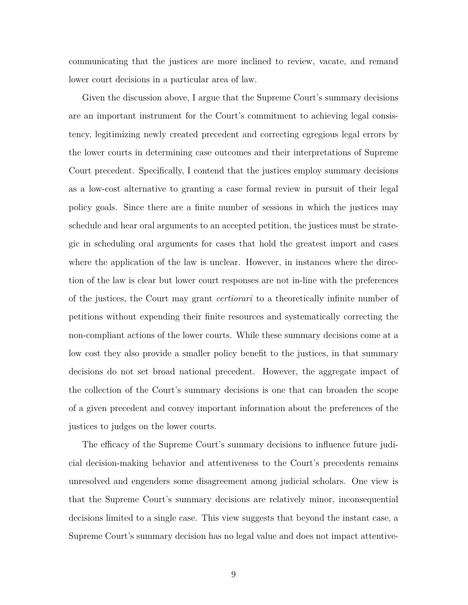communicating that the justices are more inclined to review, vacate, and remand lower court decisions in a particular area of law.

Given the discussion above, I argue that the Supreme Court's summary decisions are an important instrument for the Court's commitment to achieving legal consistency, legitimizing newly created precedent and correcting egregious legal errors by the lower courts in determining case outcomes and their interpretations of Supreme Court precedent. Specifically, I contend that the justices employ summary decisions as a low-cost alternative to granting a case formal review in pursuit of their legal policy goals. Since there are a finite number of sessions in which the justices may schedule and hear oral arguments to an accepted petition, the justices must be strategic in scheduling oral arguments for cases that hold the greatest import and cases where the application of the law is unclear. However, in instances where the direction of the law is clear but lower court responses are not in-line with the preferences of the justices, the Court may grant *certiorari* to a theoretically infinite number of petitions without expending their finite resources and systematically correcting the non-compliant actions of the lower courts. While these summary decisions come at a low cost they also provide a smaller policy benefit to the justices, in that summary decisions do not set broad national precedent. However, the aggregate impact of the collection of the Court's summary decisions is one that can broaden the scope of a given precedent and convey important information about the preferences of the justices to judges on the lower courts.

The efficacy of the Supreme Court's summary decisions to influence future judicial decision-making behavior and attentiveness to the Court's precedents remains unresolved and engenders some disagreement among judicial scholars. One view is that the Supreme Court's summary decisions are relatively minor, inconsequential decisions limited to a single case. This view suggests that beyond the instant case, a Supreme Court's summary decision has no legal value and does not impact attentive-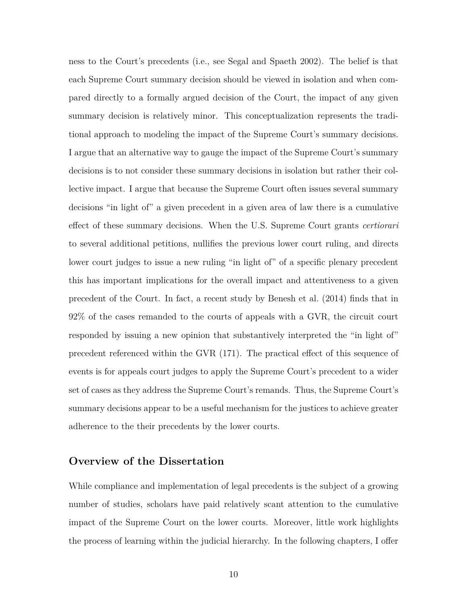ness to the Court's precedents (i.e., see Segal and Spaeth 2002). The belief is that each Supreme Court summary decision should be viewed in isolation and when compared directly to a formally argued decision of the Court, the impact of any given summary decision is relatively minor. This conceptualization represents the traditional approach to modeling the impact of the Supreme Court's summary decisions. I argue that an alternative way to gauge the impact of the Supreme Court's summary decisions is to not consider these summary decisions in isolation but rather their collective impact. I argue that because the Supreme Court often issues several summary decisions "in light of" a given precedent in a given area of law there is a cumulative effect of these summary decisions. When the U.S. Supreme Court grants *certiorari* to several additional petitions, nullifies the previous lower court ruling, and directs lower court judges to issue a new ruling "in light of" of a specific plenary precedent this has important implications for the overall impact and attentiveness to a given precedent of the Court. In fact, a recent study by Benesh et al. (2014) finds that in 92% of the cases remanded to the courts of appeals with a GVR, the circuit court responded by issuing a new opinion that substantively interpreted the "in light of" precedent referenced within the GVR (171). The practical effect of this sequence of events is for appeals court judges to apply the Supreme Court's precedent to a wider set of cases as they address the Supreme Court's remands. Thus, the Supreme Court's summary decisions appear to be a useful mechanism for the justices to achieve greater adherence to the their precedents by the lower courts.

## **Overview of the Dissertation**

While compliance and implementation of legal precedents is the subject of a growing number of studies, scholars have paid relatively scant attention to the cumulative impact of the Supreme Court on the lower courts. Moreover, little work highlights the process of learning within the judicial hierarchy. In the following chapters, I offer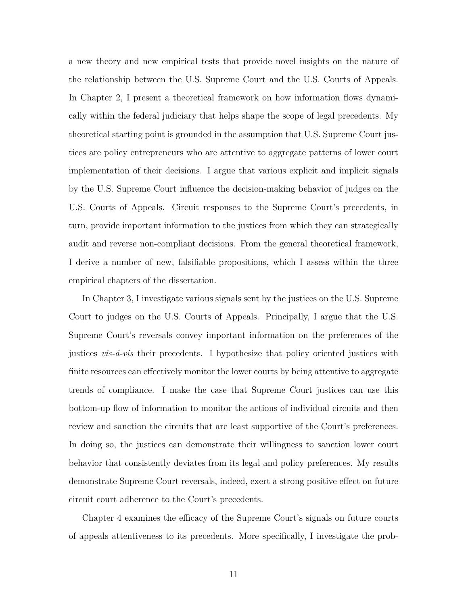a new theory and new empirical tests that provide novel insights on the nature of the relationship between the U.S. Supreme Court and the U.S. Courts of Appeals. In Chapter 2, I present a theoretical framework on how information flows dynamically within the federal judiciary that helps shape the scope of legal precedents. My theoretical starting point is grounded in the assumption that U.S. Supreme Court justices are policy entrepreneurs who are attentive to aggregate patterns of lower court implementation of their decisions. I argue that various explicit and implicit signals by the U.S. Supreme Court influence the decision-making behavior of judges on the U.S. Courts of Appeals. Circuit responses to the Supreme Court's precedents, in turn, provide important information to the justices from which they can strategically audit and reverse non-compliant decisions. From the general theoretical framework, I derive a number of new, falsifiable propositions, which I assess within the three empirical chapters of the dissertation.

In Chapter 3, I investigate various signals sent by the justices on the U.S. Supreme Court to judges on the U.S. Courts of Appeals. Principally, I argue that the U.S. Supreme Court's reversals convey important information on the preferences of the justices *vis-á-vis* their precedents. I hypothesize that policy oriented justices with finite resources can effectively monitor the lower courts by being attentive to aggregate trends of compliance. I make the case that Supreme Court justices can use this bottom-up flow of information to monitor the actions of individual circuits and then review and sanction the circuits that are least supportive of the Court's preferences. In doing so, the justices can demonstrate their willingness to sanction lower court behavior that consistently deviates from its legal and policy preferences. My results demonstrate Supreme Court reversals, indeed, exert a strong positive effect on future circuit court adherence to the Court's precedents.

Chapter 4 examines the efficacy of the Supreme Court's signals on future courts of appeals attentiveness to its precedents. More specifically, I investigate the prob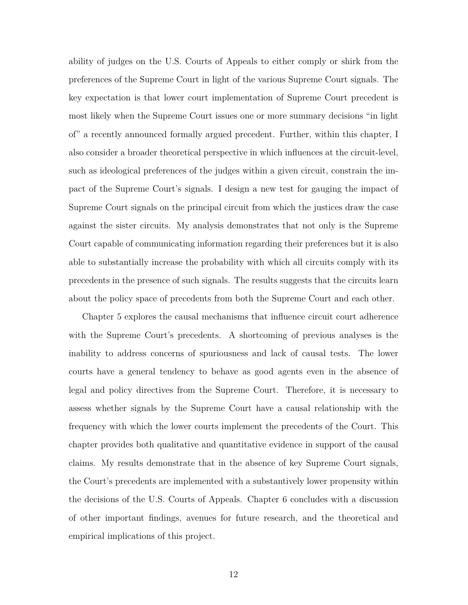ability of judges on the U.S. Courts of Appeals to either comply or shirk from the preferences of the Supreme Court in light of the various Supreme Court signals. The key expectation is that lower court implementation of Supreme Court precedent is most likely when the Supreme Court issues one or more summary decisions "in light of" a recently announced formally argued precedent. Further, within this chapter, I also consider a broader theoretical perspective in which influences at the circuit-level, such as ideological preferences of the judges within a given circuit, constrain the impact of the Supreme Court's signals. I design a new test for gauging the impact of Supreme Court signals on the principal circuit from which the justices draw the case against the sister circuits. My analysis demonstrates that not only is the Supreme Court capable of communicating information regarding their preferences but it is also able to substantially increase the probability with which all circuits comply with its precedents in the presence of such signals. The results suggests that the circuits learn about the policy space of precedents from both the Supreme Court and each other.

Chapter 5 explores the causal mechanisms that influence circuit court adherence with the Supreme Court's precedents. A shortcoming of previous analyses is the inability to address concerns of spuriousness and lack of causal tests. The lower courts have a general tendency to behave as good agents even in the absence of legal and policy directives from the Supreme Court. Therefore, it is necessary to assess whether signals by the Supreme Court have a causal relationship with the frequency with which the lower courts implement the precedents of the Court. This chapter provides both qualitative and quantitative evidence in support of the causal claims. My results demonstrate that in the absence of key Supreme Court signals, the Court's precedents are implemented with a substantively lower propensity within the decisions of the U.S. Courts of Appeals. Chapter 6 concludes with a discussion of other important findings, avenues for future research, and the theoretical and empirical implications of this project.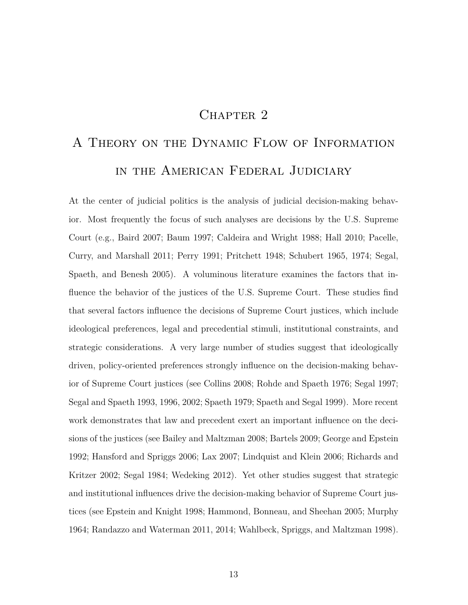## CHAPTER<sub>2</sub>

# A Theory on the Dynamic Flow of Information in the American Federal Judiciary

At the center of judicial politics is the analysis of judicial decision-making behavior. Most frequently the focus of such analyses are decisions by the U.S. Supreme Court (e.g., Baird 2007; Baum 1997; Caldeira and Wright 1988; Hall 2010; Pacelle, Curry, and Marshall 2011; Perry 1991; Pritchett 1948; Schubert 1965, 1974; Segal, Spaeth, and Benesh 2005). A voluminous literature examines the factors that influence the behavior of the justices of the U.S. Supreme Court. These studies find that several factors influence the decisions of Supreme Court justices, which include ideological preferences, legal and precedential stimuli, institutional constraints, and strategic considerations. A very large number of studies suggest that ideologically driven, policy-oriented preferences strongly influence on the decision-making behavior of Supreme Court justices (see Collins 2008; Rohde and Spaeth 1976; Segal 1997; Segal and Spaeth 1993, 1996, 2002; Spaeth 1979; Spaeth and Segal 1999). More recent work demonstrates that law and precedent exert an important influence on the decisions of the justices (see Bailey and Maltzman 2008; Bartels 2009; George and Epstein 1992; Hansford and Spriggs 2006; Lax 2007; Lindquist and Klein 2006; Richards and Kritzer 2002; Segal 1984; Wedeking 2012). Yet other studies suggest that strategic and institutional influences drive the decision-making behavior of Supreme Court justices (see Epstein and Knight 1998; Hammond, Bonneau, and Sheehan 2005; Murphy 1964; Randazzo and Waterman 2011, 2014; Wahlbeck, Spriggs, and Maltzman 1998).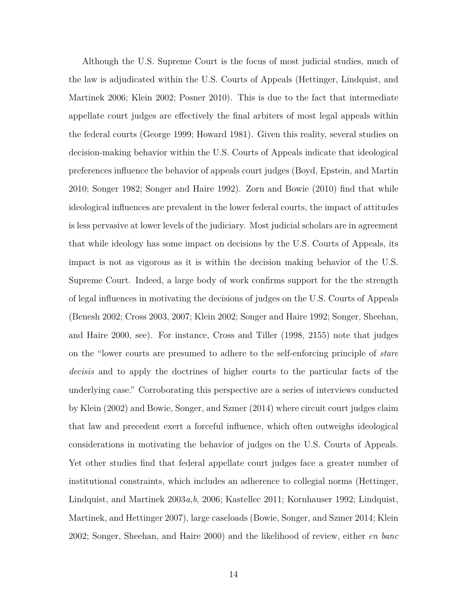Although the U.S. Supreme Court is the focus of most judicial studies, much of the law is adjudicated within the U.S. Courts of Appeals (Hettinger, Lindquist, and Martinek 2006; Klein 2002; Posner 2010). This is due to the fact that intermediate appellate court judges are effectively the final arbiters of most legal appeals within the federal courts (George 1999; Howard 1981). Given this reality, several studies on decision-making behavior within the U.S. Courts of Appeals indicate that ideological preferences influence the behavior of appeals court judges (Boyd, Epstein, and Martin 2010; Songer 1982; Songer and Haire 1992). Zorn and Bowie (2010) find that while ideological influences are prevalent in the lower federal courts, the impact of attitudes is less pervasive at lower levels of the judiciary. Most judicial scholars are in agreement that while ideology has some impact on decisions by the U.S. Courts of Appeals, its impact is not as vigorous as it is within the decision making behavior of the U.S. Supreme Court. Indeed, a large body of work confirms support for the the strength of legal influences in motivating the decisions of judges on the U.S. Courts of Appeals (Benesh 2002; Cross 2003, 2007; Klein 2002; Songer and Haire 1992; Songer, Sheehan, and Haire 2000, see). For instance, Cross and Tiller (1998, 2155) note that judges on the "lower courts are presumed to adhere to the self-enforcing principle of *stare decisis* and to apply the doctrines of higher courts to the particular facts of the underlying case." Corroborating this perspective are a series of interviews conducted by Klein (2002) and Bowie, Songer, and Szmer (2014) where circuit court judges claim that law and precedent exert a forceful influence, which often outweighs ideological considerations in motivating the behavior of judges on the U.S. Courts of Appeals. Yet other studies find that federal appellate court judges face a greater number of institutional constraints, which includes an adherence to collegial norms (Hettinger, Lindquist, and Martinek 2003*a*,*b*, 2006; Kastellec 2011; Kornhauser 1992; Lindquist, Martinek, and Hettinger 2007), large caseloads (Bowie, Songer, and Szmer 2014; Klein 2002; Songer, Sheehan, and Haire 2000) and the likelihood of review, either *en banc*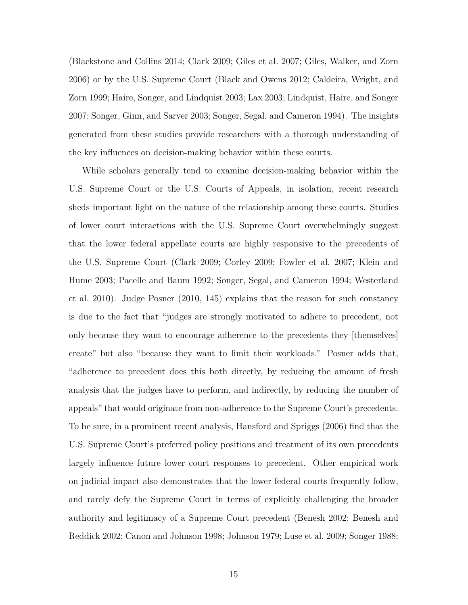(Blackstone and Collins 2014; Clark 2009; Giles et al. 2007; Giles, Walker, and Zorn 2006) or by the U.S. Supreme Court (Black and Owens 2012; Caldeira, Wright, and Zorn 1999; Haire, Songer, and Lindquist 2003; Lax 2003; Lindquist, Haire, and Songer 2007; Songer, Ginn, and Sarver 2003; Songer, Segal, and Cameron 1994). The insights generated from these studies provide researchers with a thorough understanding of the key influences on decision-making behavior within these courts.

While scholars generally tend to examine decision-making behavior within the U.S. Supreme Court or the U.S. Courts of Appeals, in isolation, recent research sheds important light on the nature of the relationship among these courts. Studies of lower court interactions with the U.S. Supreme Court overwhelmingly suggest that the lower federal appellate courts are highly responsive to the precedents of the U.S. Supreme Court (Clark 2009; Corley 2009; Fowler et al. 2007; Klein and Hume 2003; Pacelle and Baum 1992; Songer, Segal, and Cameron 1994; Westerland et al. 2010). Judge Posner (2010, 145) explains that the reason for such constancy is due to the fact that "judges are strongly motivated to adhere to precedent, not only because they want to encourage adherence to the precedents they [themselves] create" but also "because they want to limit their workloads." Posner adds that, "adherence to precedent does this both directly, by reducing the amount of fresh analysis that the judges have to perform, and indirectly, by reducing the number of appeals" that would originate from non-adherence to the Supreme Court's precedents. To be sure, in a prominent recent analysis, Hansford and Spriggs (2006) find that the U.S. Supreme Court's preferred policy positions and treatment of its own precedents largely influence future lower court responses to precedent. Other empirical work on judicial impact also demonstrates that the lower federal courts frequently follow, and rarely defy the Supreme Court in terms of explicitly challenging the broader authority and legitimacy of a Supreme Court precedent (Benesh 2002; Benesh and Reddick 2002; Canon and Johnson 1998; Johnson 1979; Luse et al. 2009; Songer 1988;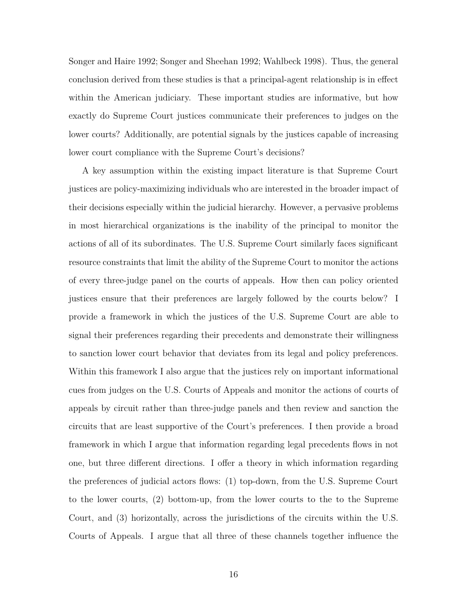Songer and Haire 1992; Songer and Sheehan 1992; Wahlbeck 1998). Thus, the general conclusion derived from these studies is that a principal-agent relationship is in effect within the American judiciary. These important studies are informative, but how exactly do Supreme Court justices communicate their preferences to judges on the lower courts? Additionally, are potential signals by the justices capable of increasing lower court compliance with the Supreme Court's decisions?

A key assumption within the existing impact literature is that Supreme Court justices are policy-maximizing individuals who are interested in the broader impact of their decisions especially within the judicial hierarchy. However, a pervasive problems in most hierarchical organizations is the inability of the principal to monitor the actions of all of its subordinates. The U.S. Supreme Court similarly faces significant resource constraints that limit the ability of the Supreme Court to monitor the actions of every three-judge panel on the courts of appeals. How then can policy oriented justices ensure that their preferences are largely followed by the courts below? I provide a framework in which the justices of the U.S. Supreme Court are able to signal their preferences regarding their precedents and demonstrate their willingness to sanction lower court behavior that deviates from its legal and policy preferences. Within this framework I also argue that the justices rely on important informational cues from judges on the U.S. Courts of Appeals and monitor the actions of courts of appeals by circuit rather than three-judge panels and then review and sanction the circuits that are least supportive of the Court's preferences. I then provide a broad framework in which I argue that information regarding legal precedents flows in not one, but three different directions. I offer a theory in which information regarding the preferences of judicial actors flows: (1) top-down, from the U.S. Supreme Court to the lower courts, (2) bottom-up, from the lower courts to the to the Supreme Court, and (3) horizontally, across the jurisdictions of the circuits within the U.S. Courts of Appeals. I argue that all three of these channels together influence the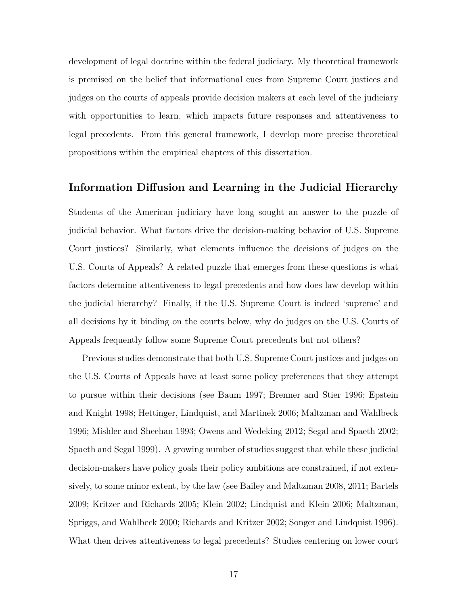development of legal doctrine within the federal judiciary. My theoretical framework is premised on the belief that informational cues from Supreme Court justices and judges on the courts of appeals provide decision makers at each level of the judiciary with opportunities to learn, which impacts future responses and attentiveness to legal precedents. From this general framework, I develop more precise theoretical propositions within the empirical chapters of this dissertation.

#### **Information Diffusion and Learning in the Judicial Hierarchy**

Students of the American judiciary have long sought an answer to the puzzle of judicial behavior. What factors drive the decision-making behavior of U.S. Supreme Court justices? Similarly, what elements influence the decisions of judges on the U.S. Courts of Appeals? A related puzzle that emerges from these questions is what factors determine attentiveness to legal precedents and how does law develop within the judicial hierarchy? Finally, if the U.S. Supreme Court is indeed 'supreme' and all decisions by it binding on the courts below, why do judges on the U.S. Courts of Appeals frequently follow some Supreme Court precedents but not others?

Previous studies demonstrate that both U.S. Supreme Court justices and judges on the U.S. Courts of Appeals have at least some policy preferences that they attempt to pursue within their decisions (see Baum 1997; Brenner and Stier 1996; Epstein and Knight 1998; Hettinger, Lindquist, and Martinek 2006; Maltzman and Wahlbeck 1996; Mishler and Sheehan 1993; Owens and Wedeking 2012; Segal and Spaeth 2002; Spaeth and Segal 1999). A growing number of studies suggest that while these judicial decision-makers have policy goals their policy ambitions are constrained, if not extensively, to some minor extent, by the law (see Bailey and Maltzman 2008, 2011; Bartels 2009; Kritzer and Richards 2005; Klein 2002; Lindquist and Klein 2006; Maltzman, Spriggs, and Wahlbeck 2000; Richards and Kritzer 2002; Songer and Lindquist 1996). What then drives attentiveness to legal precedents? Studies centering on lower court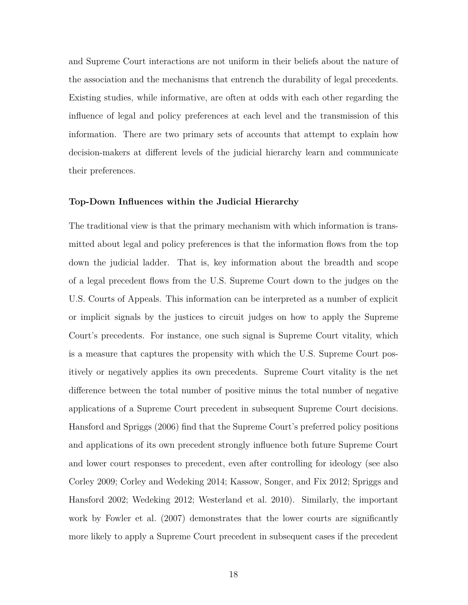and Supreme Court interactions are not uniform in their beliefs about the nature of the association and the mechanisms that entrench the durability of legal precedents. Existing studies, while informative, are often at odds with each other regarding the influence of legal and policy preferences at each level and the transmission of this information. There are two primary sets of accounts that attempt to explain how decision-makers at different levels of the judicial hierarchy learn and communicate their preferences.

#### **Top-Down Influences within the Judicial Hierarchy**

The traditional view is that the primary mechanism with which information is transmitted about legal and policy preferences is that the information flows from the top down the judicial ladder. That is, key information about the breadth and scope of a legal precedent flows from the U.S. Supreme Court down to the judges on the U.S. Courts of Appeals. This information can be interpreted as a number of explicit or implicit signals by the justices to circuit judges on how to apply the Supreme Court's precedents. For instance, one such signal is Supreme Court vitality, which is a measure that captures the propensity with which the U.S. Supreme Court positively or negatively applies its own precedents. Supreme Court vitality is the net difference between the total number of positive minus the total number of negative applications of a Supreme Court precedent in subsequent Supreme Court decisions. Hansford and Spriggs (2006) find that the Supreme Court's preferred policy positions and applications of its own precedent strongly influence both future Supreme Court and lower court responses to precedent, even after controlling for ideology (see also Corley 2009; Corley and Wedeking 2014; Kassow, Songer, and Fix 2012; Spriggs and Hansford 2002; Wedeking 2012; Westerland et al. 2010). Similarly, the important work by Fowler et al. (2007) demonstrates that the lower courts are significantly more likely to apply a Supreme Court precedent in subsequent cases if the precedent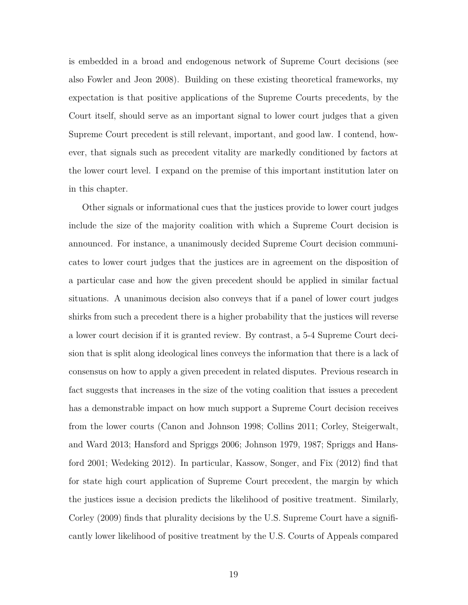is embedded in a broad and endogenous network of Supreme Court decisions (see also Fowler and Jeon 2008). Building on these existing theoretical frameworks, my expectation is that positive applications of the Supreme Courts precedents, by the Court itself, should serve as an important signal to lower court judges that a given Supreme Court precedent is still relevant, important, and good law. I contend, however, that signals such as precedent vitality are markedly conditioned by factors at the lower court level. I expand on the premise of this important institution later on in this chapter.

Other signals or informational cues that the justices provide to lower court judges include the size of the majority coalition with which a Supreme Court decision is announced. For instance, a unanimously decided Supreme Court decision communicates to lower court judges that the justices are in agreement on the disposition of a particular case and how the given precedent should be applied in similar factual situations. A unanimous decision also conveys that if a panel of lower court judges shirks from such a precedent there is a higher probability that the justices will reverse a lower court decision if it is granted review. By contrast, a 5-4 Supreme Court decision that is split along ideological lines conveys the information that there is a lack of consensus on how to apply a given precedent in related disputes. Previous research in fact suggests that increases in the size of the voting coalition that issues a precedent has a demonstrable impact on how much support a Supreme Court decision receives from the lower courts (Canon and Johnson 1998; Collins 2011; Corley, Steigerwalt, and Ward 2013; Hansford and Spriggs 2006; Johnson 1979, 1987; Spriggs and Hansford 2001; Wedeking 2012). In particular, Kassow, Songer, and Fix (2012) find that for state high court application of Supreme Court precedent, the margin by which the justices issue a decision predicts the likelihood of positive treatment. Similarly, Corley (2009) finds that plurality decisions by the U.S. Supreme Court have a significantly lower likelihood of positive treatment by the U.S. Courts of Appeals compared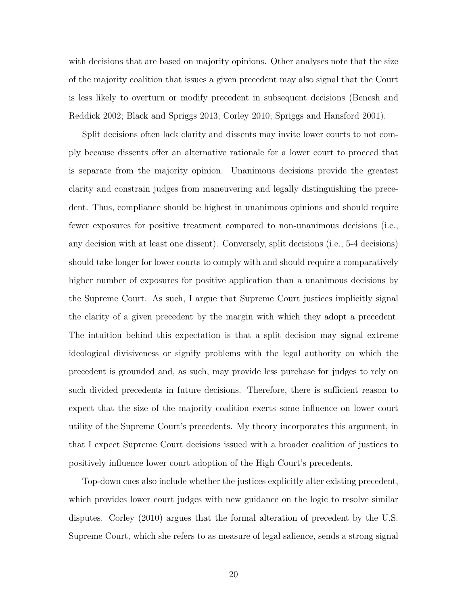with decisions that are based on majority opinions. Other analyses note that the size of the majority coalition that issues a given precedent may also signal that the Court is less likely to overturn or modify precedent in subsequent decisions (Benesh and Reddick 2002; Black and Spriggs 2013; Corley 2010; Spriggs and Hansford 2001).

Split decisions often lack clarity and dissents may invite lower courts to not comply because dissents offer an alternative rationale for a lower court to proceed that is separate from the majority opinion. Unanimous decisions provide the greatest clarity and constrain judges from maneuvering and legally distinguishing the precedent. Thus, compliance should be highest in unanimous opinions and should require fewer exposures for positive treatment compared to non-unanimous decisions (i.e., any decision with at least one dissent). Conversely, split decisions (i.e., 5-4 decisions) should take longer for lower courts to comply with and should require a comparatively higher number of exposures for positive application than a unanimous decisions by the Supreme Court. As such, I argue that Supreme Court justices implicitly signal the clarity of a given precedent by the margin with which they adopt a precedent. The intuition behind this expectation is that a split decision may signal extreme ideological divisiveness or signify problems with the legal authority on which the precedent is grounded and, as such, may provide less purchase for judges to rely on such divided precedents in future decisions. Therefore, there is sufficient reason to expect that the size of the majority coalition exerts some influence on lower court utility of the Supreme Court's precedents. My theory incorporates this argument, in that I expect Supreme Court decisions issued with a broader coalition of justices to positively influence lower court adoption of the High Court's precedents.

Top-down cues also include whether the justices explicitly alter existing precedent, which provides lower court judges with new guidance on the logic to resolve similar disputes. Corley (2010) argues that the formal alteration of precedent by the U.S. Supreme Court, which she refers to as measure of legal salience, sends a strong signal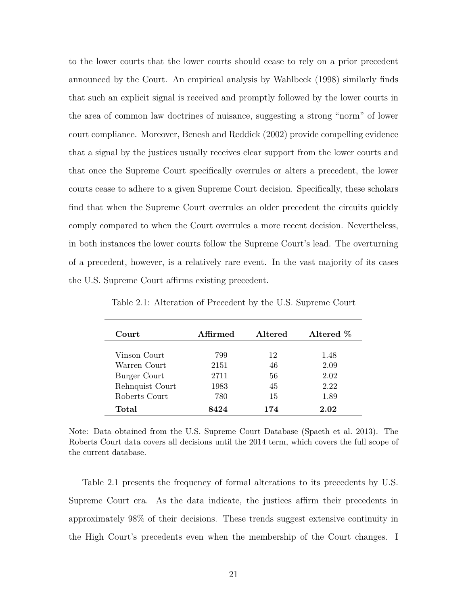to the lower courts that the lower courts should cease to rely on a prior precedent announced by the Court. An empirical analysis by Wahlbeck (1998) similarly finds that such an explicit signal is received and promptly followed by the lower courts in the area of common law doctrines of nuisance, suggesting a strong "norm" of lower court compliance. Moreover, Benesh and Reddick (2002) provide compelling evidence that a signal by the justices usually receives clear support from the lower courts and that once the Supreme Court specifically overrules or alters a precedent, the lower courts cease to adhere to a given Supreme Court decision. Specifically, these scholars find that when the Supreme Court overrules an older precedent the circuits quickly comply compared to when the Court overrules a more recent decision. Nevertheless, in both instances the lower courts follow the Supreme Court's lead. The overturning of a precedent, however, is a relatively rare event. In the vast majority of its cases the U.S. Supreme Court affirms existing precedent.

| <b>Court</b>    | Affirmed | <b>Altered</b> | Altered % |
|-----------------|----------|----------------|-----------|
|                 |          |                |           |
| Vinson Court    | 799      | 12             | 1.48      |
| Warren Court    | 2151     | 46             | 2.09      |
| Burger Court    | 2711     | 56             | 2.02      |
| Rehnquist Court | 1983     | 45             | 2.22      |
| Roberts Court   | 780      | 15             | 1.89      |
| Total           | 8424     | 174            | 2.02      |

Table 2.1: Alteration of Precedent by the U.S. Supreme Court

Note: Data obtained from the U.S. Supreme Court Database (Spaeth et al. 2013). The Roberts Court data covers all decisions until the 2014 term, which covers the full scope of the current database.

Table 2.1 presents the frequency of formal alterations to its precedents by U.S. Supreme Court era. As the data indicate, the justices affirm their precedents in approximately 98% of their decisions. These trends suggest extensive continuity in the High Court's precedents even when the membership of the Court changes. I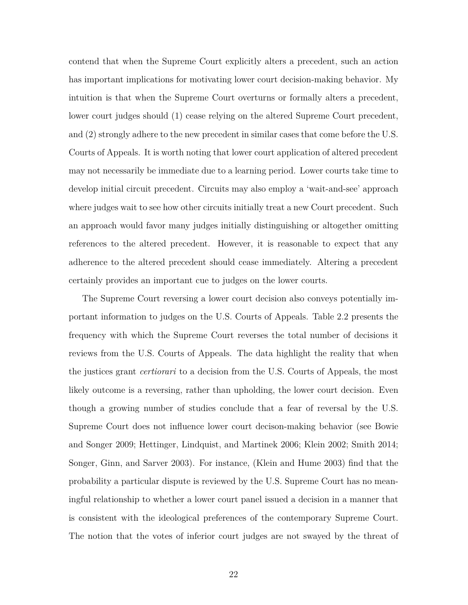contend that when the Supreme Court explicitly alters a precedent, such an action has important implications for motivating lower court decision-making behavior. My intuition is that when the Supreme Court overturns or formally alters a precedent, lower court judges should (1) cease relying on the altered Supreme Court precedent, and (2) strongly adhere to the new precedent in similar cases that come before the U.S. Courts of Appeals. It is worth noting that lower court application of altered precedent may not necessarily be immediate due to a learning period. Lower courts take time to develop initial circuit precedent. Circuits may also employ a 'wait-and-see' approach where judges wait to see how other circuits initially treat a new Court precedent. Such an approach would favor many judges initially distinguishing or altogether omitting references to the altered precedent. However, it is reasonable to expect that any adherence to the altered precedent should cease immediately. Altering a precedent certainly provides an important cue to judges on the lower courts.

The Supreme Court reversing a lower court decision also conveys potentially important information to judges on the U.S. Courts of Appeals. Table 2.2 presents the frequency with which the Supreme Court reverses the total number of decisions it reviews from the U.S. Courts of Appeals. The data highlight the reality that when the justices grant *certiorari* to a decision from the U.S. Courts of Appeals, the most likely outcome is a reversing, rather than upholding, the lower court decision. Even though a growing number of studies conclude that a fear of reversal by the U.S. Supreme Court does not influence lower court decison-making behavior (see Bowie and Songer 2009; Hettinger, Lindquist, and Martinek 2006; Klein 2002; Smith 2014; Songer, Ginn, and Sarver 2003). For instance, (Klein and Hume 2003) find that the probability a particular dispute is reviewed by the U.S. Supreme Court has no meaningful relationship to whether a lower court panel issued a decision in a manner that is consistent with the ideological preferences of the contemporary Supreme Court. The notion that the votes of inferior court judges are not swayed by the threat of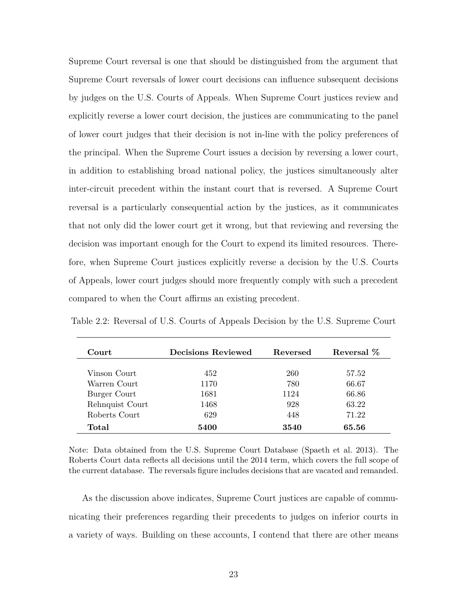Supreme Court reversal is one that should be distinguished from the argument that Supreme Court reversals of lower court decisions can influence subsequent decisions by judges on the U.S. Courts of Appeals. When Supreme Court justices review and explicitly reverse a lower court decision, the justices are communicating to the panel of lower court judges that their decision is not in-line with the policy preferences of the principal. When the Supreme Court issues a decision by reversing a lower court, in addition to establishing broad national policy, the justices simultaneously alter inter-circuit precedent within the instant court that is reversed. A Supreme Court reversal is a particularly consequential action by the justices, as it communicates that not only did the lower court get it wrong, but that reviewing and reversing the decision was important enough for the Court to expend its limited resources. Therefore, when Supreme Court justices explicitly reverse a decision by the U.S. Courts of Appeals, lower court judges should more frequently comply with such a precedent compared to when the Court affirms an existing precedent.

| Court           | Decisions Reviewed | Reversed | Reversal % |
|-----------------|--------------------|----------|------------|
| Vinson Court    | 452                | 260      | 57.52      |
| Warren Court    | 1170               | 780      | 66.67      |
| Burger Court    | 1681               | 1124     | 66.86      |
| Rehnquist Court | 1468               | 928      | 63.22      |
| Roberts Court   | 629                | 448      | 71.22      |
| Total           | 5400               | 3540     | 65.56      |

Table 2.2: Reversal of U.S. Courts of Appeals Decision by the U.S. Supreme Court

Note: Data obtained from the U.S. Supreme Court Database (Spaeth et al. 2013). The Roberts Court data reflects all decisions until the 2014 term, which covers the full scope of the current database. The reversals figure includes decisions that are vacated and remanded.

As the discussion above indicates, Supreme Court justices are capable of communicating their preferences regarding their precedents to judges on inferior courts in a variety of ways. Building on these accounts, I contend that there are other means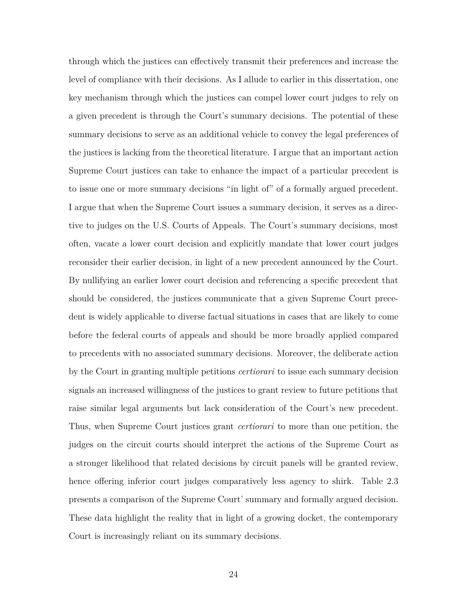through which the justices can effectively transmit their preferences and increase the level of compliance with their decisions. As I allude to earlier in this dissertation, one key mechanism through which the justices can compel lower court judges to rely on a given precedent is through the Court's summary decisions. The potential of these summary decisions to serve as an additional vehicle to convey the legal preferences of the justices is lacking from the theoretical literature. I argue that an important action Supreme Court justices can take to enhance the impact of a particular precedent is to issue one or more summary decisions "in light of" of a formally argued precedent. I argue that when the Supreme Court issues a summary decision, it serves as a directive to judges on the U.S. Courts of Appeals. The Court's summary decisions, most often, vacate a lower court decision and explicitly mandate that lower court judges reconsider their earlier decision, in light of a new precedent announced by the Court. By nullifying an earlier lower court decision and referencing a specific precedent that should be considered, the justices communicate that a given Supreme Court precedent is widely applicable to diverse factual situations in cases that are likely to come before the federal courts of appeals and should be more broadly applied compared to precedents with no associated summary decisions. Moreover, the deliberate action by the Court in granting multiple petitions *certiorari* to issue each summary decision signals an increased willingness of the justices to grant review to future petitions that raise similar legal arguments but lack consideration of the Court's new precedent. Thus, when Supreme Court justices grant *certiorari* to more than one petition, the judges on the circuit courts should interpret the actions of the Supreme Court as a stronger likelihood that related decisions by circuit panels will be granted review, hence offering inferior court judges comparatively less agency to shirk. Table 2.3 presents a comparison of the Supreme Court' summary and formally argued decision. These data highlight the reality that in light of a growing docket, the contemporary Court is increasingly reliant on its summary decisions.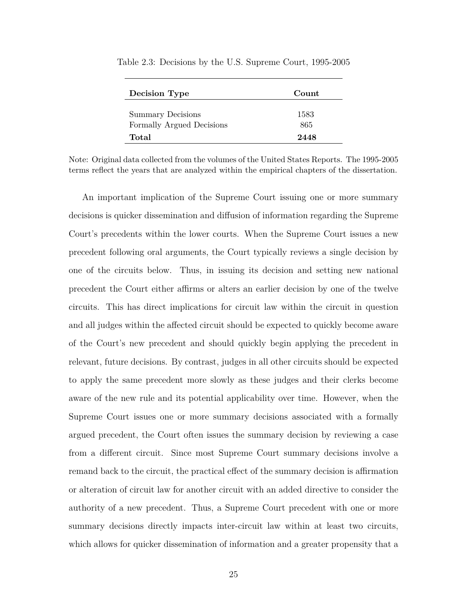| <b>Decision Type</b>                                  | Count.      |  |
|-------------------------------------------------------|-------------|--|
| <b>Summary Decisions</b><br>Formally Argued Decisions | 1583<br>865 |  |
| Total                                                 | 2448        |  |

Table 2.3: Decisions by the U.S. Supreme Court, 1995-2005

Note: Original data collected from the volumes of the United States Reports. The 1995-2005 terms reflect the years that are analyzed within the empirical chapters of the dissertation.

An important implication of the Supreme Court issuing one or more summary decisions is quicker dissemination and diffusion of information regarding the Supreme Court's precedents within the lower courts. When the Supreme Court issues a new precedent following oral arguments, the Court typically reviews a single decision by one of the circuits below. Thus, in issuing its decision and setting new national precedent the Court either affirms or alters an earlier decision by one of the twelve circuits. This has direct implications for circuit law within the circuit in question and all judges within the affected circuit should be expected to quickly become aware of the Court's new precedent and should quickly begin applying the precedent in relevant, future decisions. By contrast, judges in all other circuits should be expected to apply the same precedent more slowly as these judges and their clerks become aware of the new rule and its potential applicability over time. However, when the Supreme Court issues one or more summary decisions associated with a formally argued precedent, the Court often issues the summary decision by reviewing a case from a different circuit. Since most Supreme Court summary decisions involve a remand back to the circuit, the practical effect of the summary decision is affirmation or alteration of circuit law for another circuit with an added directive to consider the authority of a new precedent. Thus, a Supreme Court precedent with one or more summary decisions directly impacts inter-circuit law within at least two circuits, which allows for quicker dissemination of information and a greater propensity that a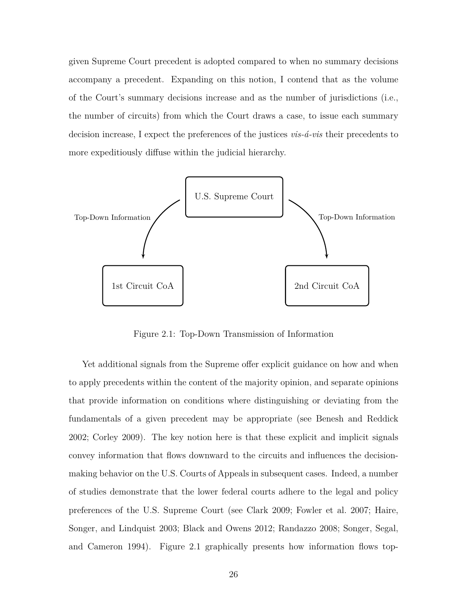given Supreme Court precedent is adopted compared to when no summary decisions accompany a precedent. Expanding on this notion, I contend that as the volume of the Court's summary decisions increase and as the number of jurisdictions (i.e., the number of circuits) from which the Court draws a case, to issue each summary decision increase, I expect the preferences of the justices *vis-á-vis* their precedents to more expeditiously diffuse within the judicial hierarchy.



Figure 2.1: Top-Down Transmission of Information

Yet additional signals from the Supreme offer explicit guidance on how and when to apply precedents within the content of the majority opinion, and separate opinions that provide information on conditions where distinguishing or deviating from the fundamentals of a given precedent may be appropriate (see Benesh and Reddick 2002; Corley 2009). The key notion here is that these explicit and implicit signals convey information that flows downward to the circuits and influences the decisionmaking behavior on the U.S. Courts of Appeals in subsequent cases. Indeed, a number of studies demonstrate that the lower federal courts adhere to the legal and policy preferences of the U.S. Supreme Court (see Clark 2009; Fowler et al. 2007; Haire, Songer, and Lindquist 2003; Black and Owens 2012; Randazzo 2008; Songer, Segal, and Cameron 1994). Figure 2.1 graphically presents how information flows top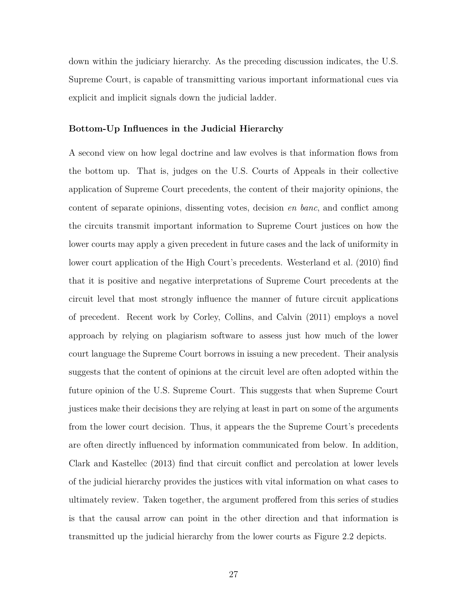down within the judiciary hierarchy. As the preceding discussion indicates, the U.S. Supreme Court, is capable of transmitting various important informational cues via explicit and implicit signals down the judicial ladder.

### **Bottom-Up Influences in the Judicial Hierarchy**

A second view on how legal doctrine and law evolves is that information flows from the bottom up. That is, judges on the U.S. Courts of Appeals in their collective application of Supreme Court precedents, the content of their majority opinions, the content of separate opinions, dissenting votes, decision *en banc*, and conflict among the circuits transmit important information to Supreme Court justices on how the lower courts may apply a given precedent in future cases and the lack of uniformity in lower court application of the High Court's precedents. Westerland et al. (2010) find that it is positive and negative interpretations of Supreme Court precedents at the circuit level that most strongly influence the manner of future circuit applications of precedent. Recent work by Corley, Collins, and Calvin (2011) employs a novel approach by relying on plagiarism software to assess just how much of the lower court language the Supreme Court borrows in issuing a new precedent. Their analysis suggests that the content of opinions at the circuit level are often adopted within the future opinion of the U.S. Supreme Court. This suggests that when Supreme Court justices make their decisions they are relying at least in part on some of the arguments from the lower court decision. Thus, it appears the the Supreme Court's precedents are often directly influenced by information communicated from below. In addition, Clark and Kastellec (2013) find that circuit conflict and percolation at lower levels of the judicial hierarchy provides the justices with vital information on what cases to ultimately review. Taken together, the argument proffered from this series of studies is that the causal arrow can point in the other direction and that information is transmitted up the judicial hierarchy from the lower courts as Figure 2.2 depicts.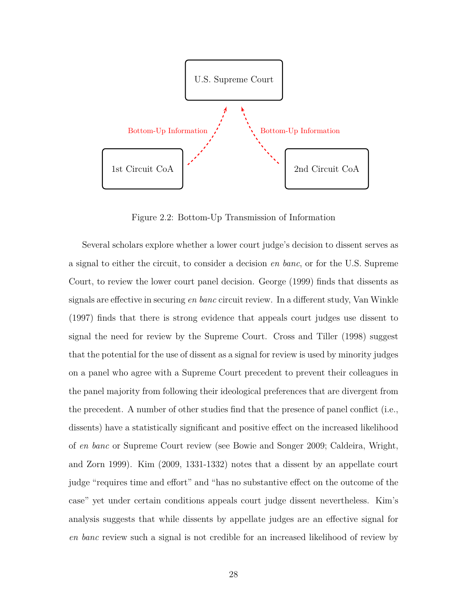

Figure 2.2: Bottom-Up Transmission of Information

Several scholars explore whether a lower court judge's decision to dissent serves as a signal to either the circuit, to consider a decision *en banc*, or for the U.S. Supreme Court, to review the lower court panel decision. George (1999) finds that dissents as signals are effective in securing *en banc* circuit review. In a different study, Van Winkle (1997) finds that there is strong evidence that appeals court judges use dissent to signal the need for review by the Supreme Court. Cross and Tiller (1998) suggest that the potential for the use of dissent as a signal for review is used by minority judges on a panel who agree with a Supreme Court precedent to prevent their colleagues in the panel majority from following their ideological preferences that are divergent from the precedent. A number of other studies find that the presence of panel conflict (i.e., dissents) have a statistically significant and positive effect on the increased likelihood of *en banc* or Supreme Court review (see Bowie and Songer 2009; Caldeira, Wright, and Zorn 1999). Kim (2009, 1331-1332) notes that a dissent by an appellate court judge "requires time and effort" and "has no substantive effect on the outcome of the case" yet under certain conditions appeals court judge dissent nevertheless. Kim's analysis suggests that while dissents by appellate judges are an effective signal for *en banc* review such a signal is not credible for an increased likelihood of review by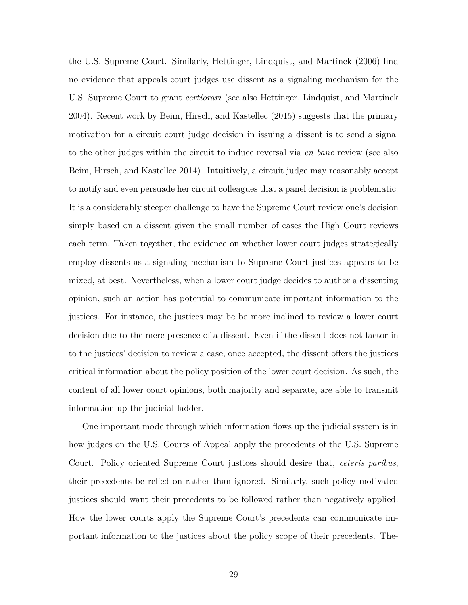the U.S. Supreme Court. Similarly, Hettinger, Lindquist, and Martinek (2006) find no evidence that appeals court judges use dissent as a signaling mechanism for the U.S. Supreme Court to grant *certiorari* (see also Hettinger, Lindquist, and Martinek 2004). Recent work by Beim, Hirsch, and Kastellec (2015) suggests that the primary motivation for a circuit court judge decision in issuing a dissent is to send a signal to the other judges within the circuit to induce reversal via *en banc* review (see also Beim, Hirsch, and Kastellec 2014). Intuitively, a circuit judge may reasonably accept to notify and even persuade her circuit colleagues that a panel decision is problematic. It is a considerably steeper challenge to have the Supreme Court review one's decision simply based on a dissent given the small number of cases the High Court reviews each term. Taken together, the evidence on whether lower court judges strategically employ dissents as a signaling mechanism to Supreme Court justices appears to be mixed, at best. Nevertheless, when a lower court judge decides to author a dissenting opinion, such an action has potential to communicate important information to the justices. For instance, the justices may be be more inclined to review a lower court decision due to the mere presence of a dissent. Even if the dissent does not factor in to the justices' decision to review a case, once accepted, the dissent offers the justices critical information about the policy position of the lower court decision. As such, the content of all lower court opinions, both majority and separate, are able to transmit information up the judicial ladder.

One important mode through which information flows up the judicial system is in how judges on the U.S. Courts of Appeal apply the precedents of the U.S. Supreme Court. Policy oriented Supreme Court justices should desire that, *ceteris paribus*, their precedents be relied on rather than ignored. Similarly, such policy motivated justices should want their precedents to be followed rather than negatively applied. How the lower courts apply the Supreme Court's precedents can communicate important information to the justices about the policy scope of their precedents. The-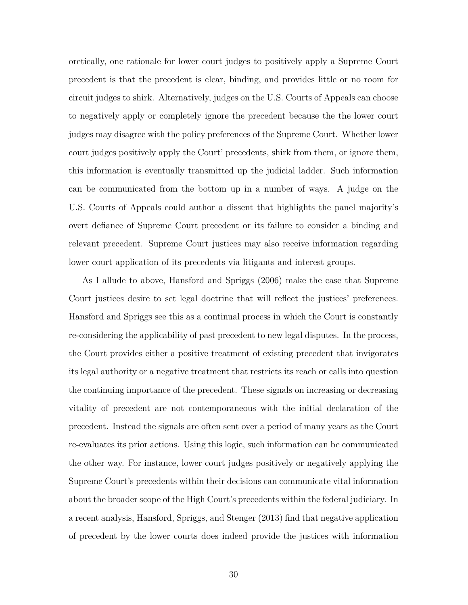oretically, one rationale for lower court judges to positively apply a Supreme Court precedent is that the precedent is clear, binding, and provides little or no room for circuit judges to shirk. Alternatively, judges on the U.S. Courts of Appeals can choose to negatively apply or completely ignore the precedent because the the lower court judges may disagree with the policy preferences of the Supreme Court. Whether lower court judges positively apply the Court' precedents, shirk from them, or ignore them, this information is eventually transmitted up the judicial ladder. Such information can be communicated from the bottom up in a number of ways. A judge on the U.S. Courts of Appeals could author a dissent that highlights the panel majority's overt defiance of Supreme Court precedent or its failure to consider a binding and relevant precedent. Supreme Court justices may also receive information regarding lower court application of its precedents via litigants and interest groups.

As I allude to above, Hansford and Spriggs (2006) make the case that Supreme Court justices desire to set legal doctrine that will reflect the justices' preferences. Hansford and Spriggs see this as a continual process in which the Court is constantly re-considering the applicability of past precedent to new legal disputes. In the process, the Court provides either a positive treatment of existing precedent that invigorates its legal authority or a negative treatment that restricts its reach or calls into question the continuing importance of the precedent. These signals on increasing or decreasing vitality of precedent are not contemporaneous with the initial declaration of the precedent. Instead the signals are often sent over a period of many years as the Court re-evaluates its prior actions. Using this logic, such information can be communicated the other way. For instance, lower court judges positively or negatively applying the Supreme Court's precedents within their decisions can communicate vital information about the broader scope of the High Court's precedents within the federal judiciary. In a recent analysis, Hansford, Spriggs, and Stenger (2013) find that negative application of precedent by the lower courts does indeed provide the justices with information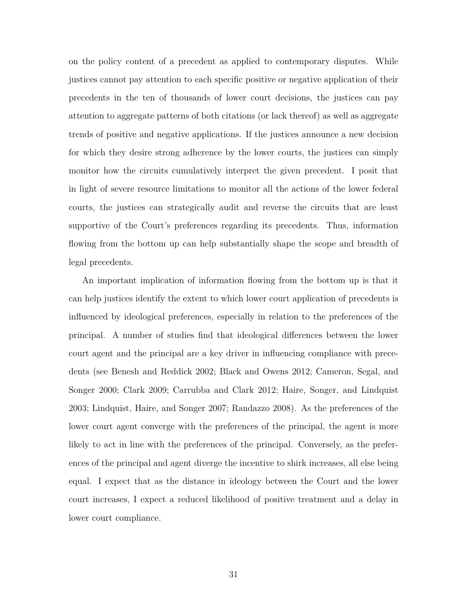on the policy content of a precedent as applied to contemporary disputes. While justices cannot pay attention to each specific positive or negative application of their precedents in the ten of thousands of lower court decisions, the justices can pay attention to aggregate patterns of both citations (or lack thereof) as well as aggregate trends of positive and negative applications. If the justices announce a new decision for which they desire strong adherence by the lower courts, the justices can simply monitor how the circuits cumulatively interpret the given precedent. I posit that in light of severe resource limitations to monitor all the actions of the lower federal courts, the justices can strategically audit and reverse the circuits that are least supportive of the Court's preferences regarding its precedents. Thus, information flowing from the bottom up can help substantially shape the scope and breadth of legal precedents.

An important implication of information flowing from the bottom up is that it can help justices identify the extent to which lower court application of precedents is influenced by ideological preferences, especially in relation to the preferences of the principal. A number of studies find that ideological differences between the lower court agent and the principal are a key driver in influencing compliance with precedents (see Benesh and Reddick 2002; Black and Owens 2012; Cameron, Segal, and Songer 2000; Clark 2009; Carrubba and Clark 2012; Haire, Songer, and Lindquist 2003; Lindquist, Haire, and Songer 2007; Randazzo 2008). As the preferences of the lower court agent converge with the preferences of the principal, the agent is more likely to act in line with the preferences of the principal. Conversely, as the preferences of the principal and agent diverge the incentive to shirk increases, all else being equal. I expect that as the distance in ideology between the Court and the lower court increases, I expect a reduced likelihood of positive treatment and a delay in lower court compliance.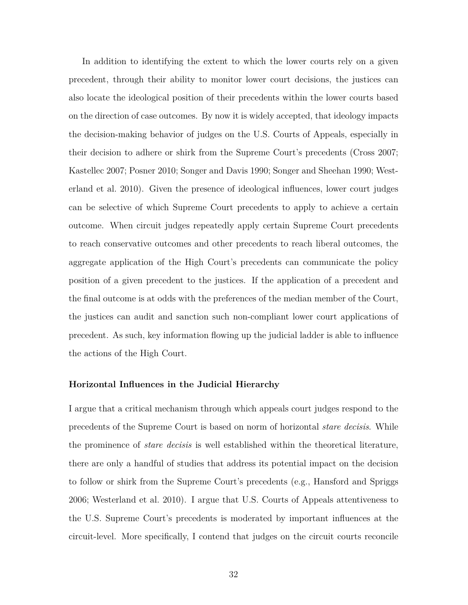In addition to identifying the extent to which the lower courts rely on a given precedent, through their ability to monitor lower court decisions, the justices can also locate the ideological position of their precedents within the lower courts based on the direction of case outcomes. By now it is widely accepted, that ideology impacts the decision-making behavior of judges on the U.S. Courts of Appeals, especially in their decision to adhere or shirk from the Supreme Court's precedents (Cross 2007; Kastellec 2007; Posner 2010; Songer and Davis 1990; Songer and Sheehan 1990; Westerland et al. 2010). Given the presence of ideological influences, lower court judges can be selective of which Supreme Court precedents to apply to achieve a certain outcome. When circuit judges repeatedly apply certain Supreme Court precedents to reach conservative outcomes and other precedents to reach liberal outcomes, the aggregate application of the High Court's precedents can communicate the policy position of a given precedent to the justices. If the application of a precedent and the final outcome is at odds with the preferences of the median member of the Court, the justices can audit and sanction such non-compliant lower court applications of precedent. As such, key information flowing up the judicial ladder is able to influence the actions of the High Court.

### **Horizontal Influences in the Judicial Hierarchy**

I argue that a critical mechanism through which appeals court judges respond to the precedents of the Supreme Court is based on norm of horizontal *stare decisis*. While the prominence of *stare decisis* is well established within the theoretical literature, there are only a handful of studies that address its potential impact on the decision to follow or shirk from the Supreme Court's precedents (e.g., Hansford and Spriggs 2006; Westerland et al. 2010). I argue that U.S. Courts of Appeals attentiveness to the U.S. Supreme Court's precedents is moderated by important influences at the circuit-level. More specifically, I contend that judges on the circuit courts reconcile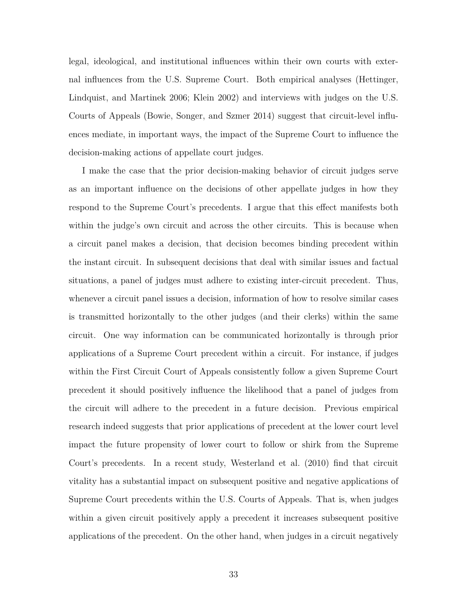legal, ideological, and institutional influences within their own courts with external influences from the U.S. Supreme Court. Both empirical analyses (Hettinger, Lindquist, and Martinek 2006; Klein 2002) and interviews with judges on the U.S. Courts of Appeals (Bowie, Songer, and Szmer 2014) suggest that circuit-level influences mediate, in important ways, the impact of the Supreme Court to influence the decision-making actions of appellate court judges.

I make the case that the prior decision-making behavior of circuit judges serve as an important influence on the decisions of other appellate judges in how they respond to the Supreme Court's precedents. I argue that this effect manifests both within the judge's own circuit and across the other circuits. This is because when a circuit panel makes a decision, that decision becomes binding precedent within the instant circuit. In subsequent decisions that deal with similar issues and factual situations, a panel of judges must adhere to existing inter-circuit precedent. Thus, whenever a circuit panel issues a decision, information of how to resolve similar cases is transmitted horizontally to the other judges (and their clerks) within the same circuit. One way information can be communicated horizontally is through prior applications of a Supreme Court precedent within a circuit. For instance, if judges within the First Circuit Court of Appeals consistently follow a given Supreme Court precedent it should positively influence the likelihood that a panel of judges from the circuit will adhere to the precedent in a future decision. Previous empirical research indeed suggests that prior applications of precedent at the lower court level impact the future propensity of lower court to follow or shirk from the Supreme Court's precedents. In a recent study, Westerland et al. (2010) find that circuit vitality has a substantial impact on subsequent positive and negative applications of Supreme Court precedents within the U.S. Courts of Appeals. That is, when judges within a given circuit positively apply a precedent it increases subsequent positive applications of the precedent. On the other hand, when judges in a circuit negatively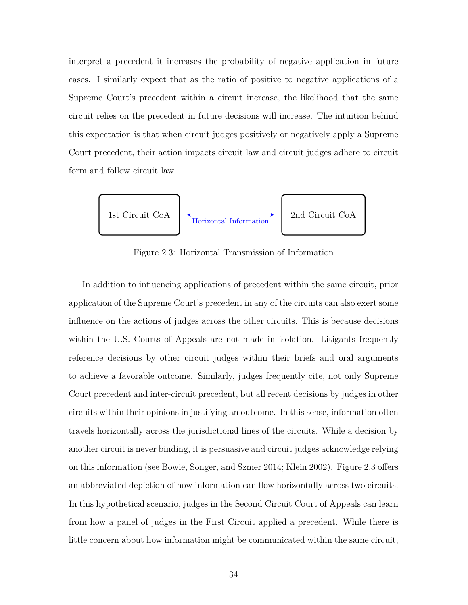interpret a precedent it increases the probability of negative application in future cases. I similarly expect that as the ratio of positive to negative applications of a Supreme Court's precedent within a circuit increase, the likelihood that the same circuit relies on the precedent in future decisions will increase. The intuition behind this expectation is that when circuit judges positively or negatively apply a Supreme Court precedent, their action impacts circuit law and circuit judges adhere to circuit form and follow circuit law.



Figure 2.3: Horizontal Transmission of Information

In addition to influencing applications of precedent within the same circuit, prior application of the Supreme Court's precedent in any of the circuits can also exert some influence on the actions of judges across the other circuits. This is because decisions within the U.S. Courts of Appeals are not made in isolation. Litigants frequently reference decisions by other circuit judges within their briefs and oral arguments to achieve a favorable outcome. Similarly, judges frequently cite, not only Supreme Court precedent and inter-circuit precedent, but all recent decisions by judges in other circuits within their opinions in justifying an outcome. In this sense, information often travels horizontally across the jurisdictional lines of the circuits. While a decision by another circuit is never binding, it is persuasive and circuit judges acknowledge relying on this information (see Bowie, Songer, and Szmer 2014; Klein 2002). Figure 2.3 offers an abbreviated depiction of how information can flow horizontally across two circuits. In this hypothetical scenario, judges in the Second Circuit Court of Appeals can learn from how a panel of judges in the First Circuit applied a precedent. While there is little concern about how information might be communicated within the same circuit,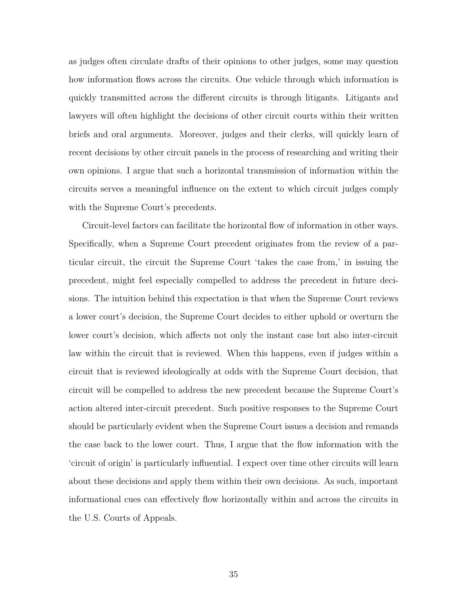as judges often circulate drafts of their opinions to other judges, some may question how information flows across the circuits. One vehicle through which information is quickly transmitted across the different circuits is through litigants. Litigants and lawyers will often highlight the decisions of other circuit courts within their written briefs and oral arguments. Moreover, judges and their clerks, will quickly learn of recent decisions by other circuit panels in the process of researching and writing their own opinions. I argue that such a horizontal transmission of information within the circuits serves a meaningful influence on the extent to which circuit judges comply with the Supreme Court's precedents.

Circuit-level factors can facilitate the horizontal flow of information in other ways. Specifically, when a Supreme Court precedent originates from the review of a particular circuit, the circuit the Supreme Court 'takes the case from,' in issuing the precedent, might feel especially compelled to address the precedent in future decisions. The intuition behind this expectation is that when the Supreme Court reviews a lower court's decision, the Supreme Court decides to either uphold or overturn the lower court's decision, which affects not only the instant case but also inter-circuit law within the circuit that is reviewed. When this happens, even if judges within a circuit that is reviewed ideologically at odds with the Supreme Court decision, that circuit will be compelled to address the new precedent because the Supreme Court's action altered inter-circuit precedent. Such positive responses to the Supreme Court should be particularly evident when the Supreme Court issues a decision and remands the case back to the lower court. Thus, I argue that the flow information with the 'circuit of origin' is particularly influential. I expect over time other circuits will learn about these decisions and apply them within their own decisions. As such, important informational cues can effectively flow horizontally within and across the circuits in the U.S. Courts of Appeals.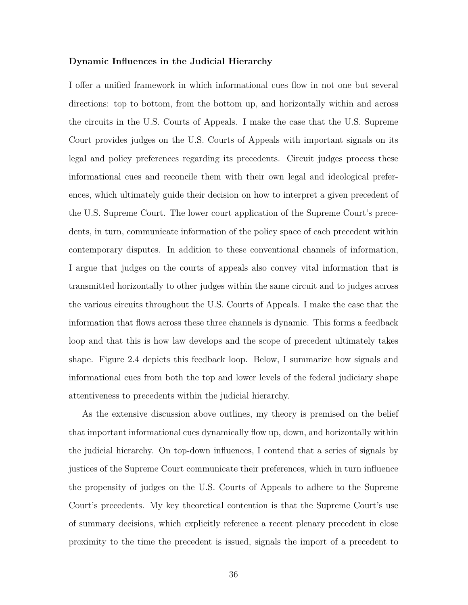### **Dynamic Influences in the Judicial Hierarchy**

I offer a unified framework in which informational cues flow in not one but several directions: top to bottom, from the bottom up, and horizontally within and across the circuits in the U.S. Courts of Appeals. I make the case that the U.S. Supreme Court provides judges on the U.S. Courts of Appeals with important signals on its legal and policy preferences regarding its precedents. Circuit judges process these informational cues and reconcile them with their own legal and ideological preferences, which ultimately guide their decision on how to interpret a given precedent of the U.S. Supreme Court. The lower court application of the Supreme Court's precedents, in turn, communicate information of the policy space of each precedent within contemporary disputes. In addition to these conventional channels of information, I argue that judges on the courts of appeals also convey vital information that is transmitted horizontally to other judges within the same circuit and to judges across the various circuits throughout the U.S. Courts of Appeals. I make the case that the information that flows across these three channels is dynamic. This forms a feedback loop and that this is how law develops and the scope of precedent ultimately takes shape. Figure 2.4 depicts this feedback loop. Below, I summarize how signals and informational cues from both the top and lower levels of the federal judiciary shape attentiveness to precedents within the judicial hierarchy.

As the extensive discussion above outlines, my theory is premised on the belief that important informational cues dynamically flow up, down, and horizontally within the judicial hierarchy. On top-down influences, I contend that a series of signals by justices of the Supreme Court communicate their preferences, which in turn influence the propensity of judges on the U.S. Courts of Appeals to adhere to the Supreme Court's precedents. My key theoretical contention is that the Supreme Court's use of summary decisions, which explicitly reference a recent plenary precedent in close proximity to the time the precedent is issued, signals the import of a precedent to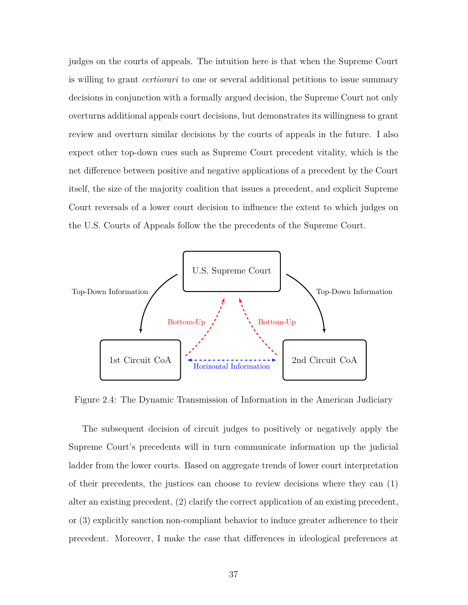judges on the courts of appeals. The intuition here is that when the Supreme Court is willing to grant *certiorari* to one or several additional petitions to issue summary decisions in conjunction with a formally argued decision, the Supreme Court not only overturns additional appeals court decisions, but demonstrates its willingness to grant review and overturn similar decisions by the courts of appeals in the future. I also expect other top-down cues such as Supreme Court precedent vitality, which is the net difference between positive and negative applications of a precedent by the Court itself, the size of the majority coalition that issues a precedent, and explicit Supreme Court reversals of a lower court decision to influence the extent to which judges on the U.S. Courts of Appeals follow the the precedents of the Supreme Court.



Figure 2.4: The Dynamic Transmission of Information in the American Judiciary

The subsequent decision of circuit judges to positively or negatively apply the Supreme Court's precedents will in turn communicate information up the judicial ladder from the lower courts. Based on aggregate trends of lower court interpretation of their precedents, the justices can choose to review decisions where they can (1) alter an existing precedent, (2) clarify the correct application of an existing precedent, or (3) explicitly sanction non-compliant behavior to induce greater adherence to their precedent. Moreover, I make the case that differences in ideological preferences at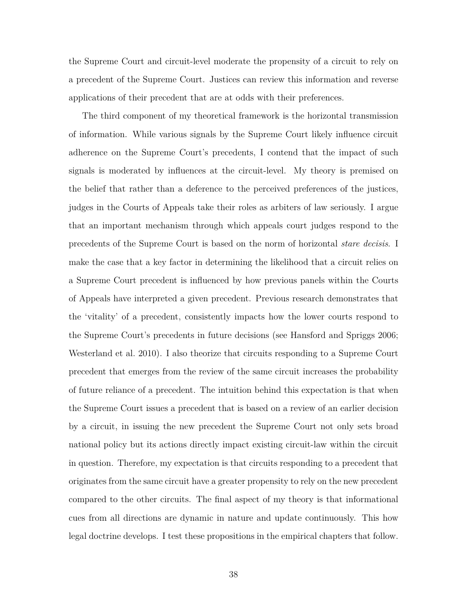the Supreme Court and circuit-level moderate the propensity of a circuit to rely on a precedent of the Supreme Court. Justices can review this information and reverse applications of their precedent that are at odds with their preferences.

The third component of my theoretical framework is the horizontal transmission of information. While various signals by the Supreme Court likely influence circuit adherence on the Supreme Court's precedents, I contend that the impact of such signals is moderated by influences at the circuit-level. My theory is premised on the belief that rather than a deference to the perceived preferences of the justices, judges in the Courts of Appeals take their roles as arbiters of law seriously. I argue that an important mechanism through which appeals court judges respond to the precedents of the Supreme Court is based on the norm of horizontal *stare decisis*. I make the case that a key factor in determining the likelihood that a circuit relies on a Supreme Court precedent is influenced by how previous panels within the Courts of Appeals have interpreted a given precedent. Previous research demonstrates that the 'vitality' of a precedent, consistently impacts how the lower courts respond to the Supreme Court's precedents in future decisions (see Hansford and Spriggs 2006; Westerland et al. 2010). I also theorize that circuits responding to a Supreme Court precedent that emerges from the review of the same circuit increases the probability of future reliance of a precedent. The intuition behind this expectation is that when the Supreme Court issues a precedent that is based on a review of an earlier decision by a circuit, in issuing the new precedent the Supreme Court not only sets broad national policy but its actions directly impact existing circuit-law within the circuit in question. Therefore, my expectation is that circuits responding to a precedent that originates from the same circuit have a greater propensity to rely on the new precedent compared to the other circuits. The final aspect of my theory is that informational cues from all directions are dynamic in nature and update continuously. This how legal doctrine develops. I test these propositions in the empirical chapters that follow.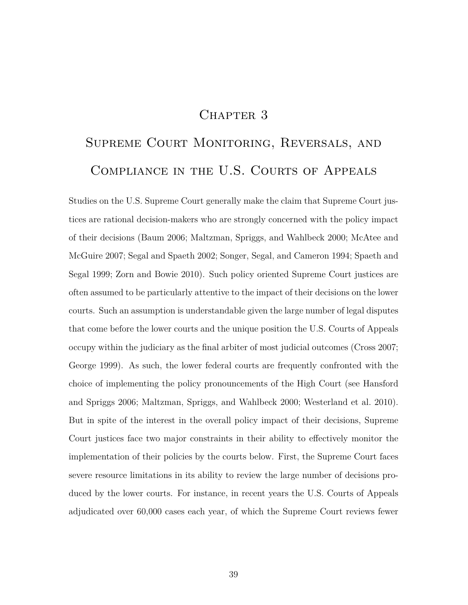# CHAPTER 3

# Supreme Court Monitoring, Reversals, and Compliance in the U.S. Courts of Appeals

Studies on the U.S. Supreme Court generally make the claim that Supreme Court justices are rational decision-makers who are strongly concerned with the policy impact of their decisions (Baum 2006; Maltzman, Spriggs, and Wahlbeck 2000; McAtee and McGuire 2007; Segal and Spaeth 2002; Songer, Segal, and Cameron 1994; Spaeth and Segal 1999; Zorn and Bowie 2010). Such policy oriented Supreme Court justices are often assumed to be particularly attentive to the impact of their decisions on the lower courts. Such an assumption is understandable given the large number of legal disputes that come before the lower courts and the unique position the U.S. Courts of Appeals occupy within the judiciary as the final arbiter of most judicial outcomes (Cross 2007; George 1999). As such, the lower federal courts are frequently confronted with the choice of implementing the policy pronouncements of the High Court (see Hansford and Spriggs 2006; Maltzman, Spriggs, and Wahlbeck 2000; Westerland et al. 2010). But in spite of the interest in the overall policy impact of their decisions, Supreme Court justices face two major constraints in their ability to effectively monitor the implementation of their policies by the courts below. First, the Supreme Court faces severe resource limitations in its ability to review the large number of decisions produced by the lower courts. For instance, in recent years the U.S. Courts of Appeals adjudicated over 60,000 cases each year, of which the Supreme Court reviews fewer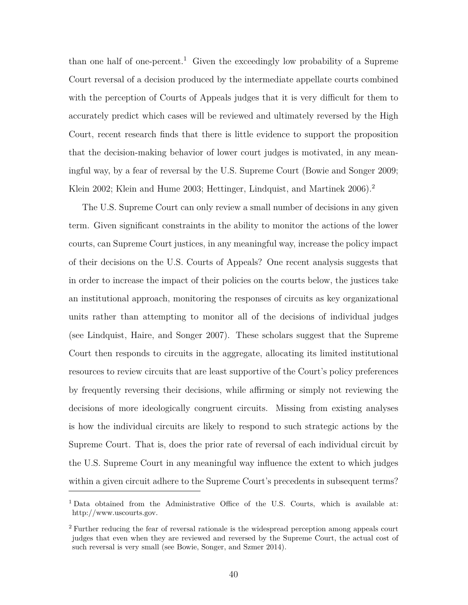than one half of one-percent.<sup>1</sup> Given the exceedingly low probability of a Supreme Court reversal of a decision produced by the intermediate appellate courts combined with the perception of Courts of Appeals judges that it is very difficult for them to accurately predict which cases will be reviewed and ultimately reversed by the High Court, recent research finds that there is little evidence to support the proposition that the decision-making behavior of lower court judges is motivated, in any meaningful way, by a fear of reversal by the U.S. Supreme Court (Bowie and Songer 2009; Klein 2002; Klein and Hume 2003; Hettinger, Lindquist, and Martinek 2006).<sup>2</sup>

The U.S. Supreme Court can only review a small number of decisions in any given term. Given significant constraints in the ability to monitor the actions of the lower courts, can Supreme Court justices, in any meaningful way, increase the policy impact of their decisions on the U.S. Courts of Appeals? One recent analysis suggests that in order to increase the impact of their policies on the courts below, the justices take an institutional approach, monitoring the responses of circuits as key organizational units rather than attempting to monitor all of the decisions of individual judges (see Lindquist, Haire, and Songer 2007). These scholars suggest that the Supreme Court then responds to circuits in the aggregate, allocating its limited institutional resources to review circuits that are least supportive of the Court's policy preferences by frequently reversing their decisions, while affirming or simply not reviewing the decisions of more ideologically congruent circuits. Missing from existing analyses is how the individual circuits are likely to respond to such strategic actions by the Supreme Court. That is, does the prior rate of reversal of each individual circuit by the U.S. Supreme Court in any meaningful way influence the extent to which judges within a given circuit adhere to the Supreme Court's precedents in subsequent terms?

<sup>&</sup>lt;sup>1</sup> Data obtained from the Administrative Office of the U.S. Courts, which is available at: http://www.uscourts.gov.

<sup>2</sup> Further reducing the fear of reversal rationale is the widespread perception among appeals court judges that even when they are reviewed and reversed by the Supreme Court, the actual cost of such reversal is very small (see Bowie, Songer, and Szmer 2014).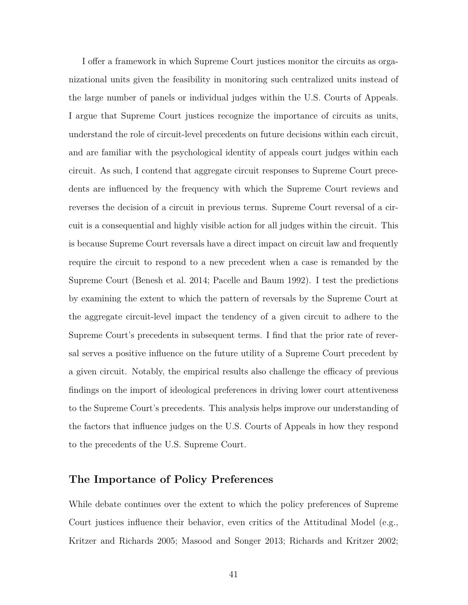I offer a framework in which Supreme Court justices monitor the circuits as organizational units given the feasibility in monitoring such centralized units instead of the large number of panels or individual judges within the U.S. Courts of Appeals. I argue that Supreme Court justices recognize the importance of circuits as units, understand the role of circuit-level precedents on future decisions within each circuit, and are familiar with the psychological identity of appeals court judges within each circuit. As such, I contend that aggregate circuit responses to Supreme Court precedents are influenced by the frequency with which the Supreme Court reviews and reverses the decision of a circuit in previous terms. Supreme Court reversal of a circuit is a consequential and highly visible action for all judges within the circuit. This is because Supreme Court reversals have a direct impact on circuit law and frequently require the circuit to respond to a new precedent when a case is remanded by the Supreme Court (Benesh et al. 2014; Pacelle and Baum 1992). I test the predictions by examining the extent to which the pattern of reversals by the Supreme Court at the aggregate circuit-level impact the tendency of a given circuit to adhere to the Supreme Court's precedents in subsequent terms. I find that the prior rate of reversal serves a positive influence on the future utility of a Supreme Court precedent by a given circuit. Notably, the empirical results also challenge the efficacy of previous findings on the import of ideological preferences in driving lower court attentiveness to the Supreme Court's precedents. This analysis helps improve our understanding of the factors that influence judges on the U.S. Courts of Appeals in how they respond to the precedents of the U.S. Supreme Court.

### **The Importance of Policy Preferences**

While debate continues over the extent to which the policy preferences of Supreme Court justices influence their behavior, even critics of the Attitudinal Model (e.g., Kritzer and Richards 2005; Masood and Songer 2013; Richards and Kritzer 2002;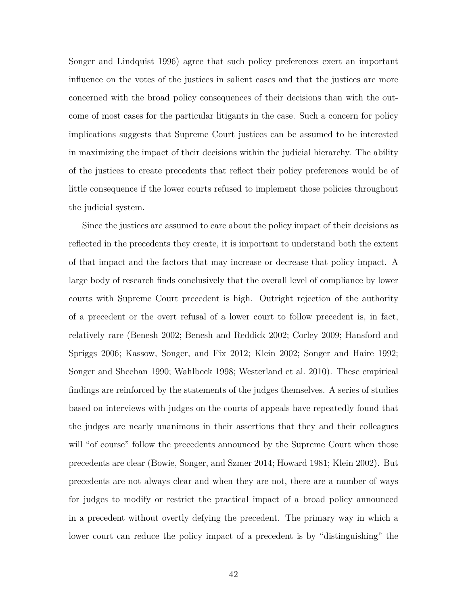Songer and Lindquist 1996) agree that such policy preferences exert an important influence on the votes of the justices in salient cases and that the justices are more concerned with the broad policy consequences of their decisions than with the outcome of most cases for the particular litigants in the case. Such a concern for policy implications suggests that Supreme Court justices can be assumed to be interested in maximizing the impact of their decisions within the judicial hierarchy. The ability of the justices to create precedents that reflect their policy preferences would be of little consequence if the lower courts refused to implement those policies throughout the judicial system.

Since the justices are assumed to care about the policy impact of their decisions as reflected in the precedents they create, it is important to understand both the extent of that impact and the factors that may increase or decrease that policy impact. A large body of research finds conclusively that the overall level of compliance by lower courts with Supreme Court precedent is high. Outright rejection of the authority of a precedent or the overt refusal of a lower court to follow precedent is, in fact, relatively rare (Benesh 2002; Benesh and Reddick 2002; Corley 2009; Hansford and Spriggs 2006; Kassow, Songer, and Fix 2012; Klein 2002; Songer and Haire 1992; Songer and Sheehan 1990; Wahlbeck 1998; Westerland et al. 2010). These empirical findings are reinforced by the statements of the judges themselves. A series of studies based on interviews with judges on the courts of appeals have repeatedly found that the judges are nearly unanimous in their assertions that they and their colleagues will "of course" follow the precedents announced by the Supreme Court when those precedents are clear (Bowie, Songer, and Szmer 2014; Howard 1981; Klein 2002). But precedents are not always clear and when they are not, there are a number of ways for judges to modify or restrict the practical impact of a broad policy announced in a precedent without overtly defying the precedent. The primary way in which a lower court can reduce the policy impact of a precedent is by "distinguishing" the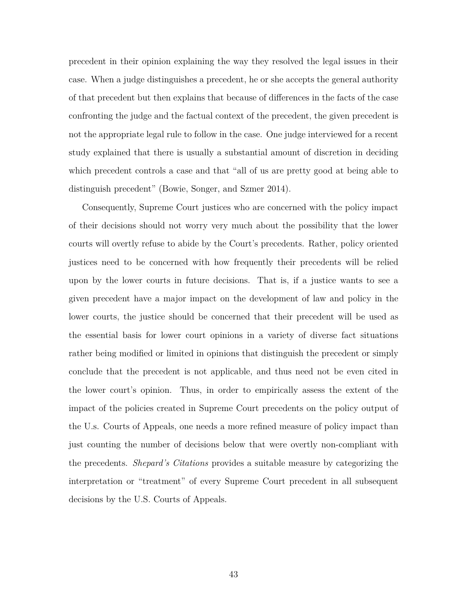precedent in their opinion explaining the way they resolved the legal issues in their case. When a judge distinguishes a precedent, he or she accepts the general authority of that precedent but then explains that because of differences in the facts of the case confronting the judge and the factual context of the precedent, the given precedent is not the appropriate legal rule to follow in the case. One judge interviewed for a recent study explained that there is usually a substantial amount of discretion in deciding which precedent controls a case and that "all of us are pretty good at being able to distinguish precedent" (Bowie, Songer, and Szmer 2014).

Consequently, Supreme Court justices who are concerned with the policy impact of their decisions should not worry very much about the possibility that the lower courts will overtly refuse to abide by the Court's precedents. Rather, policy oriented justices need to be concerned with how frequently their precedents will be relied upon by the lower courts in future decisions. That is, if a justice wants to see a given precedent have a major impact on the development of law and policy in the lower courts, the justice should be concerned that their precedent will be used as the essential basis for lower court opinions in a variety of diverse fact situations rather being modified or limited in opinions that distinguish the precedent or simply conclude that the precedent is not applicable, and thus need not be even cited in the lower court's opinion. Thus, in order to empirically assess the extent of the impact of the policies created in Supreme Court precedents on the policy output of the U.s. Courts of Appeals, one needs a more refined measure of policy impact than just counting the number of decisions below that were overtly non-compliant with the precedents. *Shepard's Citations* provides a suitable measure by categorizing the interpretation or "treatment" of every Supreme Court precedent in all subsequent decisions by the U.S. Courts of Appeals.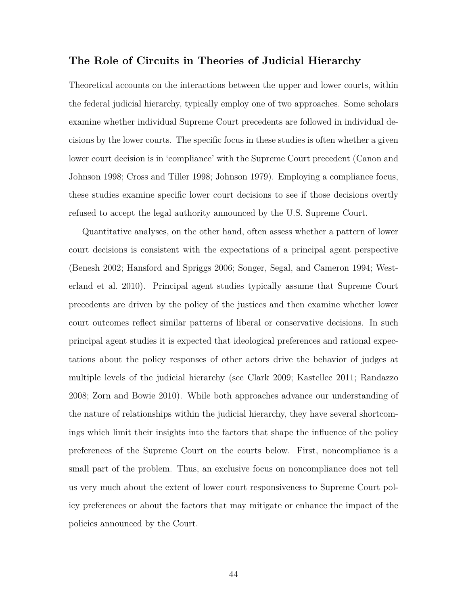# **The Role of Circuits in Theories of Judicial Hierarchy**

Theoretical accounts on the interactions between the upper and lower courts, within the federal judicial hierarchy, typically employ one of two approaches. Some scholars examine whether individual Supreme Court precedents are followed in individual decisions by the lower courts. The specific focus in these studies is often whether a given lower court decision is in 'compliance' with the Supreme Court precedent (Canon and Johnson 1998; Cross and Tiller 1998; Johnson 1979). Employing a compliance focus, these studies examine specific lower court decisions to see if those decisions overtly refused to accept the legal authority announced by the U.S. Supreme Court.

Quantitative analyses, on the other hand, often assess whether a pattern of lower court decisions is consistent with the expectations of a principal agent perspective (Benesh 2002; Hansford and Spriggs 2006; Songer, Segal, and Cameron 1994; Westerland et al. 2010). Principal agent studies typically assume that Supreme Court precedents are driven by the policy of the justices and then examine whether lower court outcomes reflect similar patterns of liberal or conservative decisions. In such principal agent studies it is expected that ideological preferences and rational expectations about the policy responses of other actors drive the behavior of judges at multiple levels of the judicial hierarchy (see Clark 2009; Kastellec 2011; Randazzo 2008; Zorn and Bowie 2010). While both approaches advance our understanding of the nature of relationships within the judicial hierarchy, they have several shortcomings which limit their insights into the factors that shape the influence of the policy preferences of the Supreme Court on the courts below. First, noncompliance is a small part of the problem. Thus, an exclusive focus on noncompliance does not tell us very much about the extent of lower court responsiveness to Supreme Court policy preferences or about the factors that may mitigate or enhance the impact of the policies announced by the Court.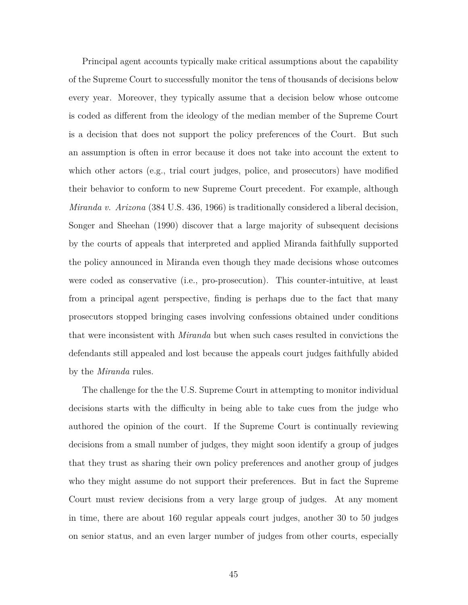Principal agent accounts typically make critical assumptions about the capability of the Supreme Court to successfully monitor the tens of thousands of decisions below every year. Moreover, they typically assume that a decision below whose outcome is coded as different from the ideology of the median member of the Supreme Court is a decision that does not support the policy preferences of the Court. But such an assumption is often in error because it does not take into account the extent to which other actors (e.g., trial court judges, police, and prosecutors) have modified their behavior to conform to new Supreme Court precedent. For example, although *Miranda v. Arizona* (384 U.S. 436, 1966) is traditionally considered a liberal decision, Songer and Sheehan (1990) discover that a large majority of subsequent decisions by the courts of appeals that interpreted and applied Miranda faithfully supported the policy announced in Miranda even though they made decisions whose outcomes were coded as conservative (i.e., pro-prosecution). This counter-intuitive, at least from a principal agent perspective, finding is perhaps due to the fact that many prosecutors stopped bringing cases involving confessions obtained under conditions that were inconsistent with *Miranda* but when such cases resulted in convictions the defendants still appealed and lost because the appeals court judges faithfully abided by the *Miranda* rules.

The challenge for the the U.S. Supreme Court in attempting to monitor individual decisions starts with the difficulty in being able to take cues from the judge who authored the opinion of the court. If the Supreme Court is continually reviewing decisions from a small number of judges, they might soon identify a group of judges that they trust as sharing their own policy preferences and another group of judges who they might assume do not support their preferences. But in fact the Supreme Court must review decisions from a very large group of judges. At any moment in time, there are about 160 regular appeals court judges, another 30 to 50 judges on senior status, and an even larger number of judges from other courts, especially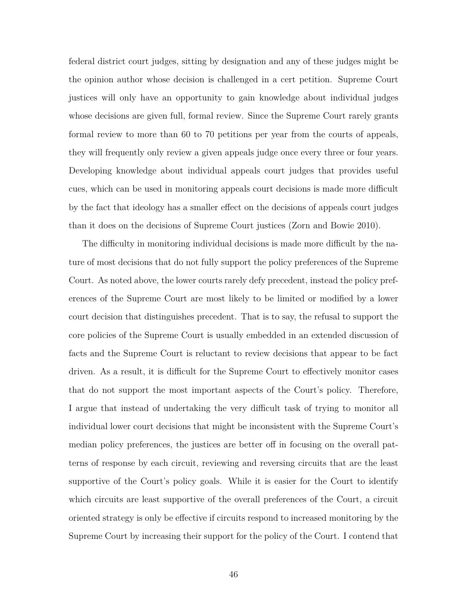federal district court judges, sitting by designation and any of these judges might be the opinion author whose decision is challenged in a cert petition. Supreme Court justices will only have an opportunity to gain knowledge about individual judges whose decisions are given full, formal review. Since the Supreme Court rarely grants formal review to more than 60 to 70 petitions per year from the courts of appeals, they will frequently only review a given appeals judge once every three or four years. Developing knowledge about individual appeals court judges that provides useful cues, which can be used in monitoring appeals court decisions is made more difficult by the fact that ideology has a smaller effect on the decisions of appeals court judges than it does on the decisions of Supreme Court justices (Zorn and Bowie 2010).

The difficulty in monitoring individual decisions is made more difficult by the nature of most decisions that do not fully support the policy preferences of the Supreme Court. As noted above, the lower courts rarely defy precedent, instead the policy preferences of the Supreme Court are most likely to be limited or modified by a lower court decision that distinguishes precedent. That is to say, the refusal to support the core policies of the Supreme Court is usually embedded in an extended discussion of facts and the Supreme Court is reluctant to review decisions that appear to be fact driven. As a result, it is difficult for the Supreme Court to effectively monitor cases that do not support the most important aspects of the Court's policy. Therefore, I argue that instead of undertaking the very difficult task of trying to monitor all individual lower court decisions that might be inconsistent with the Supreme Court's median policy preferences, the justices are better off in focusing on the overall patterns of response by each circuit, reviewing and reversing circuits that are the least supportive of the Court's policy goals. While it is easier for the Court to identify which circuits are least supportive of the overall preferences of the Court, a circuit oriented strategy is only be effective if circuits respond to increased monitoring by the Supreme Court by increasing their support for the policy of the Court. I contend that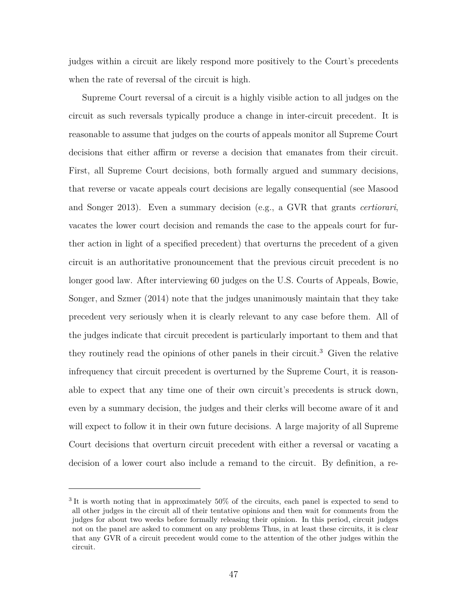judges within a circuit are likely respond more positively to the Court's precedents when the rate of reversal of the circuit is high.

Supreme Court reversal of a circuit is a highly visible action to all judges on the circuit as such reversals typically produce a change in inter-circuit precedent. It is reasonable to assume that judges on the courts of appeals monitor all Supreme Court decisions that either affirm or reverse a decision that emanates from their circuit. First, all Supreme Court decisions, both formally argued and summary decisions, that reverse or vacate appeals court decisions are legally consequential (see Masood and Songer 2013). Even a summary decision (e.g., a GVR that grants *certiorari*, vacates the lower court decision and remands the case to the appeals court for further action in light of a specified precedent) that overturns the precedent of a given circuit is an authoritative pronouncement that the previous circuit precedent is no longer good law. After interviewing 60 judges on the U.S. Courts of Appeals, Bowie, Songer, and Szmer (2014) note that the judges unanimously maintain that they take precedent very seriously when it is clearly relevant to any case before them. All of the judges indicate that circuit precedent is particularly important to them and that they routinely read the opinions of other panels in their circuit.<sup>3</sup> Given the relative infrequency that circuit precedent is overturned by the Supreme Court, it is reasonable to expect that any time one of their own circuit's precedents is struck down, even by a summary decision, the judges and their clerks will become aware of it and will expect to follow it in their own future decisions. A large majority of all Supreme Court decisions that overturn circuit precedent with either a reversal or vacating a decision of a lower court also include a remand to the circuit. By definition, a re-

<sup>&</sup>lt;sup>3</sup>It is worth noting that in approximately 50% of the circuits, each panel is expected to send to all other judges in the circuit all of their tentative opinions and then wait for comments from the judges for about two weeks before formally releasing their opinion. In this period, circuit judges not on the panel are asked to comment on any problems Thus, in at least these circuits, it is clear that any GVR of a circuit precedent would come to the attention of the other judges within the circuit.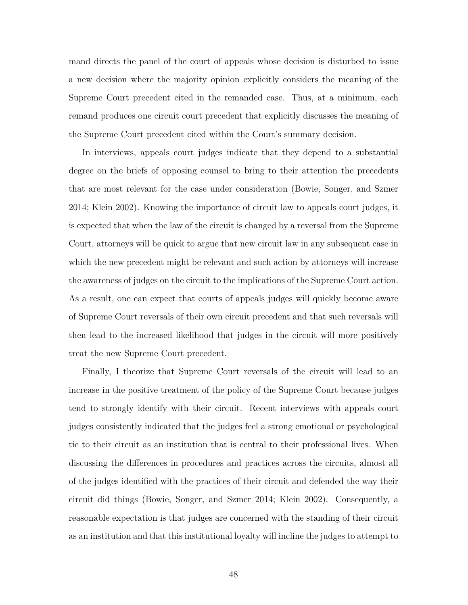mand directs the panel of the court of appeals whose decision is disturbed to issue a new decision where the majority opinion explicitly considers the meaning of the Supreme Court precedent cited in the remanded case. Thus, at a minimum, each remand produces one circuit court precedent that explicitly discusses the meaning of the Supreme Court precedent cited within the Court's summary decision.

In interviews, appeals court judges indicate that they depend to a substantial degree on the briefs of opposing counsel to bring to their attention the precedents that are most relevant for the case under consideration (Bowie, Songer, and Szmer 2014; Klein 2002). Knowing the importance of circuit law to appeals court judges, it is expected that when the law of the circuit is changed by a reversal from the Supreme Court, attorneys will be quick to argue that new circuit law in any subsequent case in which the new precedent might be relevant and such action by attorneys will increase the awareness of judges on the circuit to the implications of the Supreme Court action. As a result, one can expect that courts of appeals judges will quickly become aware of Supreme Court reversals of their own circuit precedent and that such reversals will then lead to the increased likelihood that judges in the circuit will more positively treat the new Supreme Court precedent.

Finally, I theorize that Supreme Court reversals of the circuit will lead to an increase in the positive treatment of the policy of the Supreme Court because judges tend to strongly identify with their circuit. Recent interviews with appeals court judges consistently indicated that the judges feel a strong emotional or psychological tie to their circuit as an institution that is central to their professional lives. When discussing the differences in procedures and practices across the circuits, almost all of the judges identified with the practices of their circuit and defended the way their circuit did things (Bowie, Songer, and Szmer 2014; Klein 2002). Consequently, a reasonable expectation is that judges are concerned with the standing of their circuit as an institution and that this institutional loyalty will incline the judges to attempt to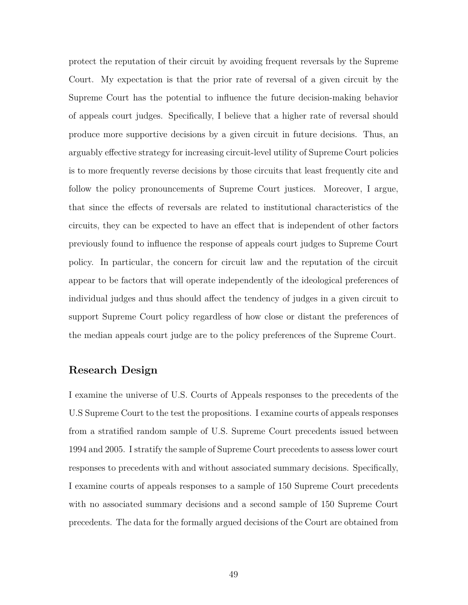protect the reputation of their circuit by avoiding frequent reversals by the Supreme Court. My expectation is that the prior rate of reversal of a given circuit by the Supreme Court has the potential to influence the future decision-making behavior of appeals court judges. Specifically, I believe that a higher rate of reversal should produce more supportive decisions by a given circuit in future decisions. Thus, an arguably effective strategy for increasing circuit-level utility of Supreme Court policies is to more frequently reverse decisions by those circuits that least frequently cite and follow the policy pronouncements of Supreme Court justices. Moreover, I argue, that since the effects of reversals are related to institutional characteristics of the circuits, they can be expected to have an effect that is independent of other factors previously found to influence the response of appeals court judges to Supreme Court policy. In particular, the concern for circuit law and the reputation of the circuit appear to be factors that will operate independently of the ideological preferences of individual judges and thus should affect the tendency of judges in a given circuit to support Supreme Court policy regardless of how close or distant the preferences of the median appeals court judge are to the policy preferences of the Supreme Court.

### **Research Design**

I examine the universe of U.S. Courts of Appeals responses to the precedents of the U.S Supreme Court to the test the propositions. I examine courts of appeals responses from a stratified random sample of U.S. Supreme Court precedents issued between 1994 and 2005. I stratify the sample of Supreme Court precedents to assess lower court responses to precedents with and without associated summary decisions. Specifically, I examine courts of appeals responses to a sample of 150 Supreme Court precedents with no associated summary decisions and a second sample of 150 Supreme Court precedents. The data for the formally argued decisions of the Court are obtained from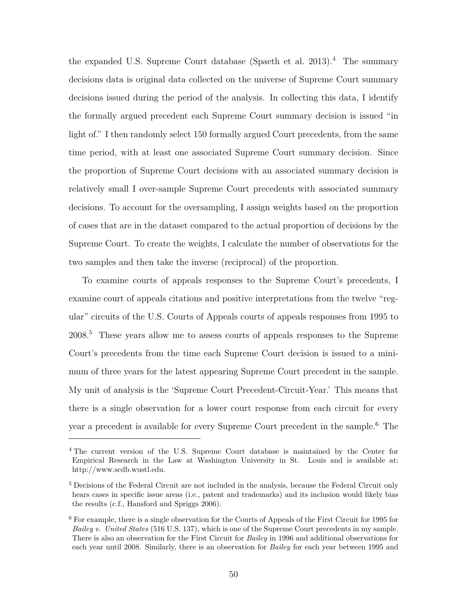the expanded U.S. Supreme Court database (Spaeth et al. 2013).<sup>4</sup> The summary decisions data is original data collected on the universe of Supreme Court summary decisions issued during the period of the analysis. In collecting this data, I identify the formally argued precedent each Supreme Court summary decision is issued "in light of." I then randomly select 150 formally argued Court precedents, from the same time period, with at least one associated Supreme Court summary decision. Since the proportion of Supreme Court decisions with an associated summary decision is relatively small I over-sample Supreme Court precedents with associated summary decisions. To account for the oversampling, I assign weights based on the proportion of cases that are in the dataset compared to the actual proportion of decisions by the Supreme Court. To create the weights, I calculate the number of observations for the two samples and then take the inverse (reciprocal) of the proportion.

To examine courts of appeals responses to the Supreme Court's precedents, I examine court of appeals citations and positive interpretations from the twelve "regular" circuits of the U.S. Courts of Appeals courts of appeals responses from 1995 to 2008.<sup>5</sup> These years allow me to assess courts of appeals responses to the Supreme Court's precedents from the time each Supreme Court decision is issued to a minimum of three years for the latest appearing Supreme Court precedent in the sample. My unit of analysis is the 'Supreme Court Precedent-Circuit-Year.' This means that there is a single observation for a lower court response from each circuit for every year a precedent is available for every Supreme Court precedent in the sample.<sup>6</sup> The

<sup>4</sup> The current version of the U.S. Supreme Court database is maintained by the Center for Empirical Research in the Law at Washington University in St. Louis and is available at: http://www.scdb.wustl.edu.

<sup>5</sup> Decisions of the Federal Circuit are not included in the analysis, because the Federal Circuit only hears cases in specific issue areas (i.e., patent and trademarks) and its inclusion would likely bias the results (c.f., Hansford and Spriggs 2006).

<sup>6</sup> For example, there is a single observation for the Courts of Appeals of the First Circuit for 1995 for *Bailey v. United States* (516 U.S. 137), which is one of the Supreme Court precedents in my sample. There is also an observation for the First Circuit for *Bailey* in 1996 and additional observations for each year until 2008. Similarly, there is an observation for *Bailey* for each year between 1995 and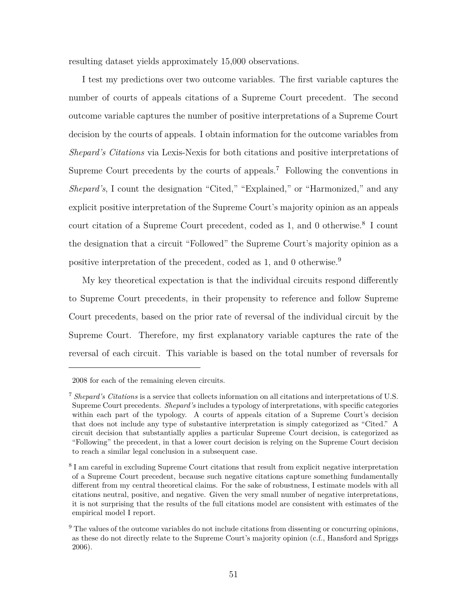resulting dataset yields approximately 15,000 observations.

I test my predictions over two outcome variables. The first variable captures the number of courts of appeals citations of a Supreme Court precedent. The second outcome variable captures the number of positive interpretations of a Supreme Court decision by the courts of appeals. I obtain information for the outcome variables from *Shepard's Citations* via Lexis-Nexis for both citations and positive interpretations of Supreme Court precedents by the courts of appeals.<sup>7</sup> Following the conventions in *Shepard's*, I count the designation "Cited," "Explained," or "Harmonized," and any explicit positive interpretation of the Supreme Court's majority opinion as an appeals court citation of a Supreme Court precedent, coded as 1, and 0 otherwise.<sup>8</sup> I count the designation that a circuit "Followed" the Supreme Court's majority opinion as a positive interpretation of the precedent, coded as 1, and 0 otherwise.<sup>9</sup>

My key theoretical expectation is that the individual circuits respond differently to Supreme Court precedents, in their propensity to reference and follow Supreme Court precedents, based on the prior rate of reversal of the individual circuit by the Supreme Court. Therefore, my first explanatory variable captures the rate of the reversal of each circuit. This variable is based on the total number of reversals for

<sup>2008</sup> for each of the remaining eleven circuits.

<sup>7</sup> *Shepard's Citations* is a service that collects information on all citations and interpretations of U.S. Supreme Court precedents. *Shepard's* includes a typology of interpretations, with specific categories within each part of the typology. A courts of appeals citation of a Supreme Court's decision that does not include any type of substantive interpretation is simply categorized as "Cited." A circuit decision that substantially applies a particular Supreme Court decision, is categorized as "Following" the precedent, in that a lower court decision is relying on the Supreme Court decision to reach a similar legal conclusion in a subsequent case.

<sup>&</sup>lt;sup>8</sup> I am careful in excluding Supreme Court citations that result from explicit negative interpretation of a Supreme Court precedent, because such negative citations capture something fundamentally different from my central theoretical claims. For the sake of robustness, I estimate models with all citations neutral, positive, and negative. Given the very small number of negative interpretations, it is not surprising that the results of the full citations model are consistent with estimates of the empirical model I report.

 $9$  The values of the outcome variables do not include citations from dissenting or concurring opinions, as these do not directly relate to the Supreme Court's majority opinion (c.f., Hansford and Spriggs 2006).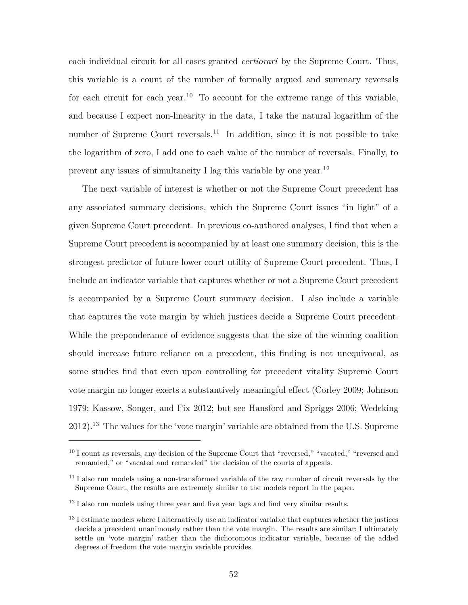each individual circuit for all cases granted *certiorari* by the Supreme Court. Thus, this variable is a count of the number of formally argued and summary reversals for each circuit for each year.<sup>10</sup> To account for the extreme range of this variable, and because I expect non-linearity in the data, I take the natural logarithm of the number of Supreme Court reversals.<sup>11</sup> In addition, since it is not possible to take the logarithm of zero, I add one to each value of the number of reversals. Finally, to prevent any issues of simultaneity I lag this variable by one year.<sup>12</sup>

The next variable of interest is whether or not the Supreme Court precedent has any associated summary decisions, which the Supreme Court issues "in light" of a given Supreme Court precedent. In previous co-authored analyses, I find that when a Supreme Court precedent is accompanied by at least one summary decision, this is the strongest predictor of future lower court utility of Supreme Court precedent. Thus, I include an indicator variable that captures whether or not a Supreme Court precedent is accompanied by a Supreme Court summary decision. I also include a variable that captures the vote margin by which justices decide a Supreme Court precedent. While the preponderance of evidence suggests that the size of the winning coalition should increase future reliance on a precedent, this finding is not unequivocal, as some studies find that even upon controlling for precedent vitality Supreme Court vote margin no longer exerts a substantively meaningful effect (Corley 2009; Johnson 1979; Kassow, Songer, and Fix 2012; but see Hansford and Spriggs 2006; Wedeking 2012).<sup>13</sup> The values for the 'vote margin' variable are obtained from the U.S. Supreme

 $12$  I also run models using three year and five year lags and find very similar results.

<sup>&</sup>lt;sup>10</sup> I count as reversals, any decision of the Supreme Court that "reversed," "vacated," "reversed and remanded," or "vacated and remanded" the decision of the courts of appeals.

<sup>&</sup>lt;sup>11</sup> I also run models using a non-transformed variable of the raw number of circuit reversals by the Supreme Court, the results are extremely similar to the models report in the paper.

<sup>&</sup>lt;sup>13</sup> I estimate models where I alternatively use an indicator variable that captures whether the justices decide a precedent unanimously rather than the vote margin. The results are similar; I ultimately settle on 'vote margin' rather than the dichotomous indicator variable, because of the added degrees of freedom the vote margin variable provides.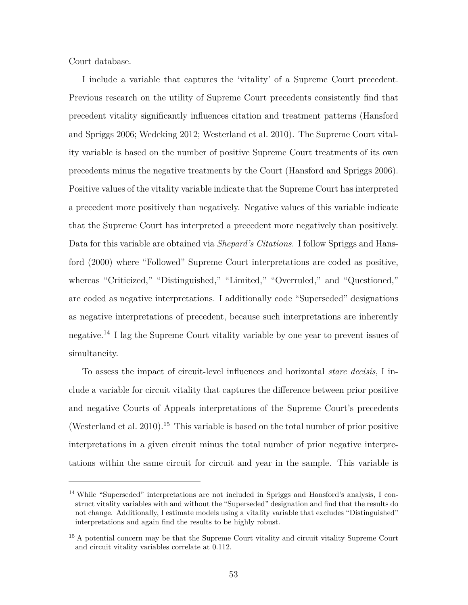Court database.

I include a variable that captures the 'vitality' of a Supreme Court precedent. Previous research on the utility of Supreme Court precedents consistently find that precedent vitality significantly influences citation and treatment patterns (Hansford and Spriggs 2006; Wedeking 2012; Westerland et al. 2010). The Supreme Court vitality variable is based on the number of positive Supreme Court treatments of its own precedents minus the negative treatments by the Court (Hansford and Spriggs 2006). Positive values of the vitality variable indicate that the Supreme Court has interpreted a precedent more positively than negatively. Negative values of this variable indicate that the Supreme Court has interpreted a precedent more negatively than positively. Data for this variable are obtained via *Shepard's Citations*. I follow Spriggs and Hansford (2000) where "Followed" Supreme Court interpretations are coded as positive, whereas "Criticized," "Distinguished," "Limited," "Overruled," and "Questioned," are coded as negative interpretations. I additionally code "Superseded" designations as negative interpretations of precedent, because such interpretations are inherently negative.<sup>14</sup> I lag the Supreme Court vitality variable by one year to prevent issues of simultaneity.

To assess the impact of circuit-level influences and horizontal *stare decisis*, I include a variable for circuit vitality that captures the difference between prior positive and negative Courts of Appeals interpretations of the Supreme Court's precedents (Westerland et al. 2010).<sup>15</sup> This variable is based on the total number of prior positive interpretations in a given circuit minus the total number of prior negative interpretations within the same circuit for circuit and year in the sample. This variable is

<sup>&</sup>lt;sup>14</sup> While "Superseded" interpretations are not included in Spriggs and Hansford's analysis, I construct vitality variables with and without the "Superseded" designation and find that the results do not change. Additionally, I estimate models using a vitality variable that excludes "Distinguished" interpretations and again find the results to be highly robust.

<sup>&</sup>lt;sup>15</sup> A potential concern may be that the Supreme Court vitality and circuit vitality Supreme Court and circuit vitality variables correlate at 0.112.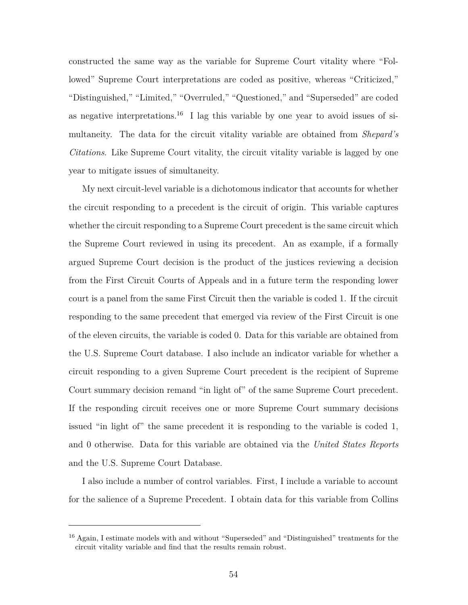constructed the same way as the variable for Supreme Court vitality where "Followed" Supreme Court interpretations are coded as positive, whereas "Criticized," "Distinguished," "Limited," "Overruled," "Questioned," and "Superseded" are coded as negative interpretations.<sup>16</sup> I lag this variable by one year to avoid issues of simultaneity. The data for the circuit vitality variable are obtained from *Shepard's Citations*. Like Supreme Court vitality, the circuit vitality variable is lagged by one year to mitigate issues of simultaneity.

My next circuit-level variable is a dichotomous indicator that accounts for whether the circuit responding to a precedent is the circuit of origin. This variable captures whether the circuit responding to a Supreme Court precedent is the same circuit which the Supreme Court reviewed in using its precedent. An as example, if a formally argued Supreme Court decision is the product of the justices reviewing a decision from the First Circuit Courts of Appeals and in a future term the responding lower court is a panel from the same First Circuit then the variable is coded 1. If the circuit responding to the same precedent that emerged via review of the First Circuit is one of the eleven circuits, the variable is coded 0. Data for this variable are obtained from the U.S. Supreme Court database. I also include an indicator variable for whether a circuit responding to a given Supreme Court precedent is the recipient of Supreme Court summary decision remand "in light of" of the same Supreme Court precedent. If the responding circuit receives one or more Supreme Court summary decisions issued "in light of" the same precedent it is responding to the variable is coded 1, and 0 otherwise. Data for this variable are obtained via the *United States Reports* and the U.S. Supreme Court Database.

I also include a number of control variables. First, I include a variable to account for the salience of a Supreme Precedent. I obtain data for this variable from Collins

<sup>&</sup>lt;sup>16</sup> Again, I estimate models with and without "Superseded" and "Distinguished" treatments for the circuit vitality variable and find that the results remain robust.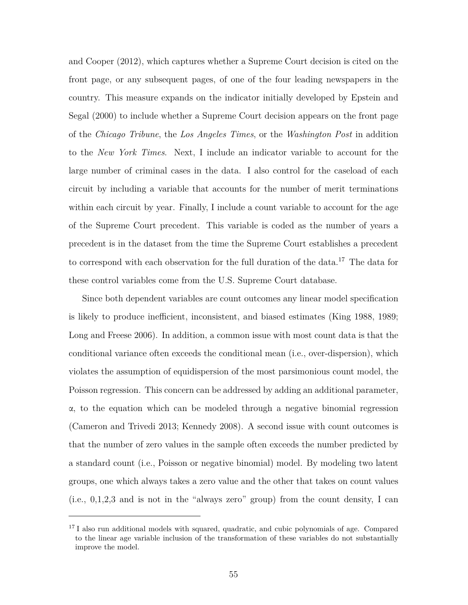and Cooper (2012), which captures whether a Supreme Court decision is cited on the front page, or any subsequent pages, of one of the four leading newspapers in the country. This measure expands on the indicator initially developed by Epstein and Segal (2000) to include whether a Supreme Court decision appears on the front page of the *Chicago Tribune*, the *Los Angeles Times*, or the *Washington Post* in addition to the *New York Times*. Next, I include an indicator variable to account for the large number of criminal cases in the data. I also control for the caseload of each circuit by including a variable that accounts for the number of merit terminations within each circuit by year. Finally, I include a count variable to account for the age of the Supreme Court precedent. This variable is coded as the number of years a precedent is in the dataset from the time the Supreme Court establishes a precedent to correspond with each observation for the full duration of the data.<sup>17</sup> The data for these control variables come from the U.S. Supreme Court database.

Since both dependent variables are count outcomes any linear model specification is likely to produce inefficient, inconsistent, and biased estimates (King 1988, 1989; Long and Freese 2006). In addition, a common issue with most count data is that the conditional variance often exceeds the conditional mean (i.e., over-dispersion), which violates the assumption of equidispersion of the most parsimonious count model, the Poisson regression. This concern can be addressed by adding an additional parameter, α, to the equation which can be modeled through a negative binomial regression (Cameron and Trivedi 2013; Kennedy 2008). A second issue with count outcomes is that the number of zero values in the sample often exceeds the number predicted by a standard count (i.e., Poisson or negative binomial) model. By modeling two latent groups, one which always takes a zero value and the other that takes on count values (i.e., 0,1,2,3 and is not in the "always zero" group) from the count density, I can

<sup>&</sup>lt;sup>17</sup> I also run additional models with squared, quadratic, and cubic polynomials of age. Compared to the linear age variable inclusion of the transformation of these variables do not substantially improve the model.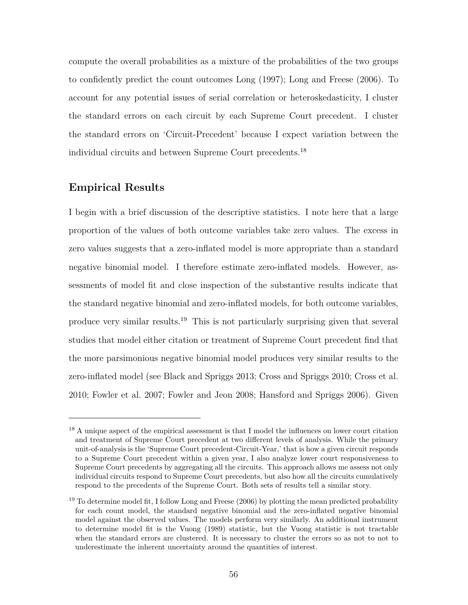compute the overall probabilities as a mixture of the probabilities of the two groups to confidently predict the count outcomes Long (1997); Long and Freese (2006). To account for any potential issues of serial correlation or heteroskedasticity, I cluster the standard errors on each circuit by each Supreme Court precedent. I cluster the standard errors on 'Circuit-Precedent' because I expect variation between the individual circuits and between Supreme Court precedents.<sup>18</sup>

# **Empirical Results**

I begin with a brief discussion of the descriptive statistics. I note here that a large proportion of the values of both outcome variables take zero values. The excess in zero values suggests that a zero-inflated model is more appropriate than a standard negative binomial model. I therefore estimate zero-inflated models. However, assessments of model fit and close inspection of the substantive results indicate that the standard negative binomial and zero-inflated models, for both outcome variables, produce very similar results.<sup>19</sup> This is not particularly surprising given that several studies that model either citation or treatment of Supreme Court precedent find that the more parsimonious negative binomial model produces very similar results to the zero-inflated model (see Black and Spriggs 2013; Cross and Spriggs 2010; Cross et al. 2010; Fowler et al. 2007; Fowler and Jeon 2008; Hansford and Spriggs 2006). Given

<sup>&</sup>lt;sup>18</sup> A unique aspect of the empirical assessment is that I model the influences on lower court citation and treatment of Supreme Court precedent at two different levels of analysis. While the primary unit-of-analysis is the 'Supreme Court precedent-Circuit-Year,' that is how a given circuit responds to a Supreme Court precedent within a given year, I also analyze lower court responsiveness to Supreme Court precedents by aggregating all the circuits. This approach allows me assess not only individual circuits respond to Supreme Court precedents, but also how all the circuits cumulatively respond to the precedents of the Supreme Court. Both sets of results tell a similar story.

<sup>&</sup>lt;sup>19</sup> To determine model fit, I follow Long and Freese  $(2006)$  by plotting the mean predicted probability for each count model, the standard negative binomial and the zero-inflated negative binomial model against the observed values. The models perform very similarly. An additional instrument to determine model fit is the Vuong (1989) statistic, but the Vuong statistic is not tractable when the standard errors are clustered. It is necessary to cluster the errors so as not to not to underestimate the inherent uncertainty around the quantities of interest.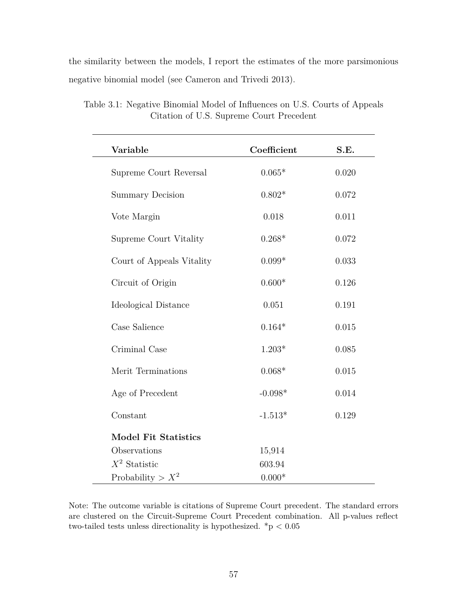the similarity between the models, I report the estimates of the more parsimonious negative binomial model (see Cameron and Trivedi 2013).

| Variable                    | Coefficient | S.E.  |
|-----------------------------|-------------|-------|
|                             |             |       |
| Supreme Court Reversal      | $0.065*$    | 0.020 |
| <b>Summary Decision</b>     | $0.802*$    | 0.072 |
| Vote Margin                 | 0.018       | 0.011 |
| Supreme Court Vitality      | $0.268*$    | 0.072 |
| Court of Appeals Vitality   | $0.099*$    | 0.033 |
| Circuit of Origin           | $0.600*$    | 0.126 |
| Ideological Distance        | 0.051       | 0.191 |
| Case Salience               | $0.164*$    | 0.015 |
| Criminal Case               | $1.203*$    | 0.085 |
| Merit Terminations          | $0.068*$    | 0.015 |
| Age of Precedent            | $-0.098*$   | 0.014 |
| Constant                    | $-1.513*$   | 0.129 |
| <b>Model Fit Statistics</b> |             |       |
| Observations                | 15,914      |       |
| $X^2$ Statistic             | 603.94      |       |
| Probability > $X^2$         | $0.000*$    |       |

Table 3.1: Negative Binomial Model of Influences on U.S. Courts of Appeals Citation of U.S. Supreme Court Precedent

Note: The outcome variable is citations of Supreme Court precedent. The standard errors are clustered on the Circuit-Supreme Court Precedent combination. All p-values reflect two-tailed tests unless directionality is hypothesized. \*p *<* 0.05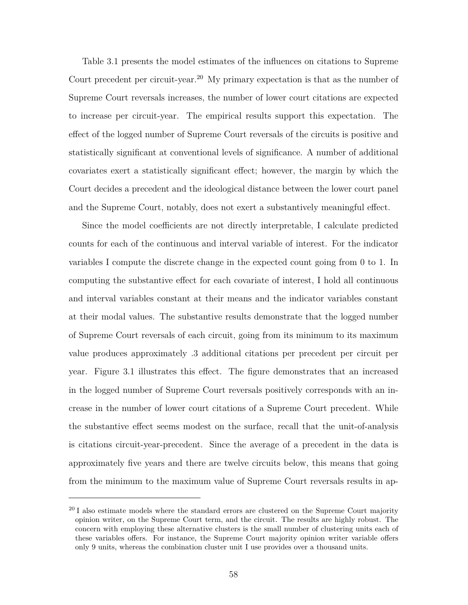Table 3.1 presents the model estimates of the influences on citations to Supreme Court precedent per circuit-year.<sup>20</sup> My primary expectation is that as the number of Supreme Court reversals increases, the number of lower court citations are expected to increase per circuit-year. The empirical results support this expectation. The effect of the logged number of Supreme Court reversals of the circuits is positive and statistically significant at conventional levels of significance. A number of additional covariates exert a statistically significant effect; however, the margin by which the Court decides a precedent and the ideological distance between the lower court panel and the Supreme Court, notably, does not exert a substantively meaningful effect.

Since the model coefficients are not directly interpretable, I calculate predicted counts for each of the continuous and interval variable of interest. For the indicator variables I compute the discrete change in the expected count going from 0 to 1. In computing the substantive effect for each covariate of interest, I hold all continuous and interval variables constant at their means and the indicator variables constant at their modal values. The substantive results demonstrate that the logged number of Supreme Court reversals of each circuit, going from its minimum to its maximum value produces approximately .3 additional citations per precedent per circuit per year. Figure 3.1 illustrates this effect. The figure demonstrates that an increased in the logged number of Supreme Court reversals positively corresponds with an increase in the number of lower court citations of a Supreme Court precedent. While the substantive effect seems modest on the surface, recall that the unit-of-analysis is citations circuit-year-precedent. Since the average of a precedent in the data is approximately five years and there are twelve circuits below, this means that going from the minimum to the maximum value of Supreme Court reversals results in ap-

 $20$  I also estimate models where the standard errors are clustered on the Supreme Court majority opinion writer, on the Supreme Court term, and the circuit. The results are highly robust. The concern with employing these alternative clusters is the small number of clustering units each of these variables offers. For instance, the Supreme Court majority opinion writer variable offers only 9 units, whereas the combination cluster unit I use provides over a thousand units.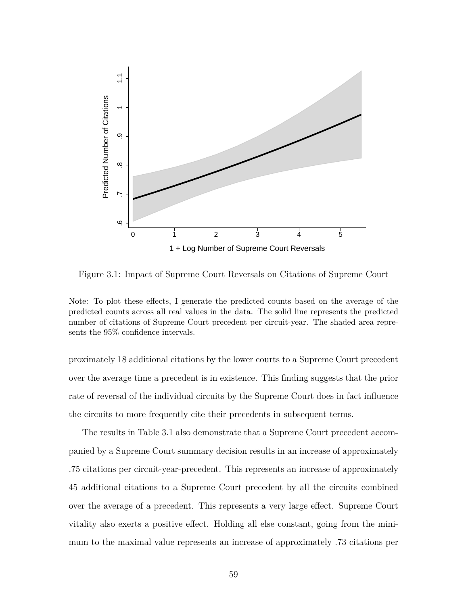

Figure 3.1: Impact of Supreme Court Reversals on Citations of Supreme Court

Note: To plot these effects, I generate the predicted counts based on the average of the predicted counts across all real values in the data. The solid line represents the predicted number of citations of Supreme Court precedent per circuit-year. The shaded area represents the 95% confidence intervals.

proximately 18 additional citations by the lower courts to a Supreme Court precedent over the average time a precedent is in existence. This finding suggests that the prior rate of reversal of the individual circuits by the Supreme Court does in fact influence the circuits to more frequently cite their precedents in subsequent terms.

The results in Table 3.1 also demonstrate that a Supreme Court precedent accompanied by a Supreme Court summary decision results in an increase of approximately .75 citations per circuit-year-precedent. This represents an increase of approximately 45 additional citations to a Supreme Court precedent by all the circuits combined over the average of a precedent. This represents a very large effect. Supreme Court vitality also exerts a positive effect. Holding all else constant, going from the minimum to the maximal value represents an increase of approximately .73 citations per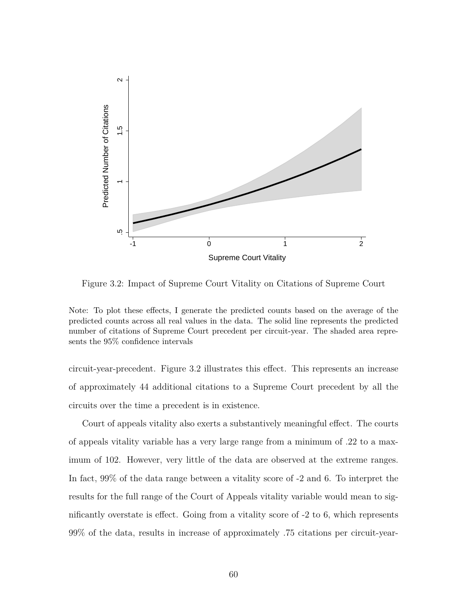

Figure 3.2: Impact of Supreme Court Vitality on Citations of Supreme Court

circuit-year-precedent. Figure 3.2 illustrates this effect. This represents an increase of approximately 44 additional citations to a Supreme Court precedent by all the circuits over the time a precedent is in existence.

Court of appeals vitality also exerts a substantively meaningful effect. The courts of appeals vitality variable has a very large range from a minimum of .22 to a maximum of 102. However, very little of the data are observed at the extreme ranges. In fact, 99% of the data range between a vitality score of -2 and 6. To interpret the results for the full range of the Court of Appeals vitality variable would mean to significantly overstate is effect. Going from a vitality score of -2 to 6, which represents 99% of the data, results in increase of approximately .75 citations per circuit-year-

Note: To plot these effects, I generate the predicted counts based on the average of the predicted counts across all real values in the data. The solid line represents the predicted number of citations of Supreme Court precedent per circuit-year. The shaded area represents the 95% confidence intervals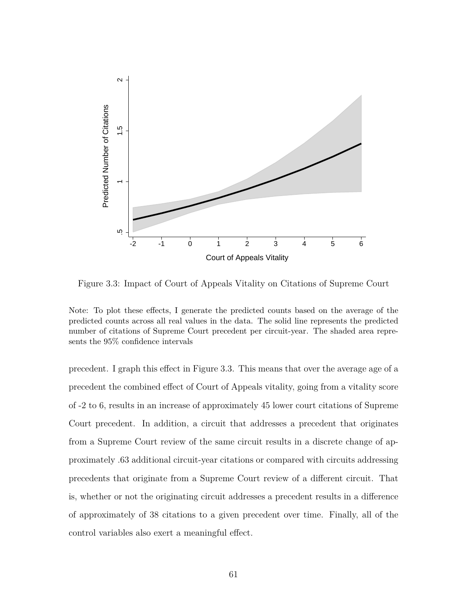

Figure 3.3: Impact of Court of Appeals Vitality on Citations of Supreme Court

Note: To plot these effects, I generate the predicted counts based on the average of the predicted counts across all real values in the data. The solid line represents the predicted number of citations of Supreme Court precedent per circuit-year. The shaded area represents the 95% confidence intervals

precedent. I graph this effect in Figure 3.3. This means that over the average age of a precedent the combined effect of Court of Appeals vitality, going from a vitality score of -2 to 6, results in an increase of approximately 45 lower court citations of Supreme Court precedent. In addition, a circuit that addresses a precedent that originates from a Supreme Court review of the same circuit results in a discrete change of approximately .63 additional circuit-year citations or compared with circuits addressing precedents that originate from a Supreme Court review of a different circuit. That is, whether or not the originating circuit addresses a precedent results in a difference of approximately of 38 citations to a given precedent over time. Finally, all of the control variables also exert a meaningful effect.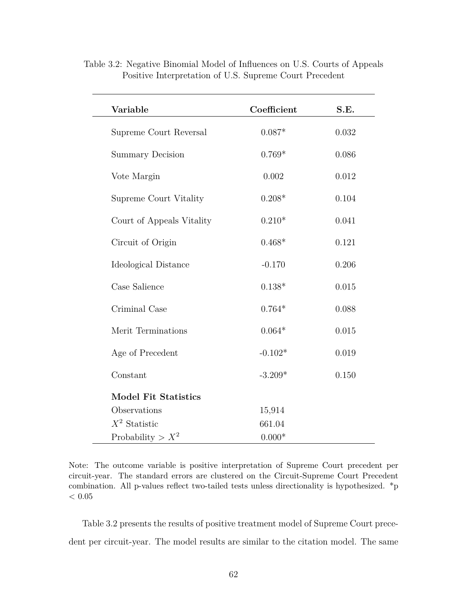| Variable                    | Coefficient | S.E.  |  |
|-----------------------------|-------------|-------|--|
| Supreme Court Reversal      | $0.087*$    | 0.032 |  |
| <b>Summary Decision</b>     | $0.769*$    | 0.086 |  |
| Vote Margin                 | 0.002       | 0.012 |  |
| Supreme Court Vitality      | $0.208*$    | 0.104 |  |
| Court of Appeals Vitality   | $0.210*$    | 0.041 |  |
| Circuit of Origin           | $0.468*$    | 0.121 |  |
| Ideological Distance        | $-0.170$    | 0.206 |  |
| Case Salience               | $0.138*$    | 0.015 |  |
| Criminal Case               | $0.764*$    | 0.088 |  |
| Merit Terminations          | $0.064*$    | 0.015 |  |
| Age of Precedent            | $-0.102*$   | 0.019 |  |
| Constant                    | $-3.209*$   | 0.150 |  |
| <b>Model Fit Statistics</b> |             |       |  |
| Observations                | 15,914      |       |  |
| $X^2$ Statistic             | 661.04      |       |  |
| Probability > $X^2$         | $0.000*$    |       |  |

Table 3.2: Negative Binomial Model of Influences on U.S. Courts of Appeals Positive Interpretation of U.S. Supreme Court Precedent

Note: The outcome variable is positive interpretation of Supreme Court precedent per circuit-year. The standard errors are clustered on the Circuit-Supreme Court Precedent combination. All p-values reflect two-tailed tests unless directionality is hypothesized. \*p  $<\,0.05$ 

Table 3.2 presents the results of positive treatment model of Supreme Court precedent per circuit-year. The model results are similar to the citation model. The same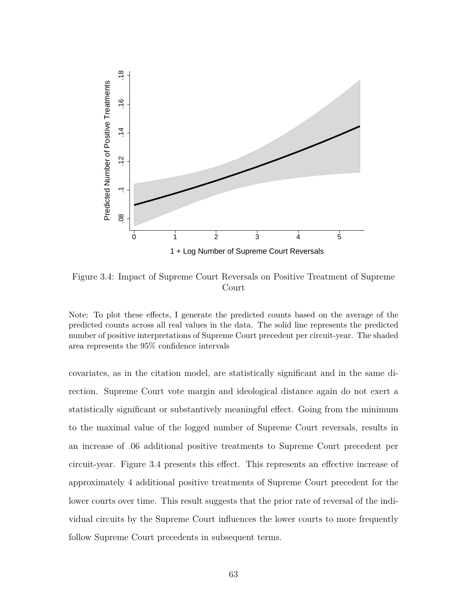

Figure 3.4: Impact of Supreme Court Reversals on Positive Treatment of Supreme Court

Note: To plot these effects, I generate the predicted counts based on the average of the predicted counts across all real values in the data. The solid line represents the predicted number of positive interpretations of Supreme Court precedent per circuit-year. The shaded area represents the 95% confidence intervals

covariates, as in the citation model, are statistically significant and in the same direction. Supreme Court vote margin and ideological distance again do not exert a statistically significant or substantively meaningful effect. Going from the minimum to the maximal value of the logged number of Supreme Court reversals, results in an increase of .06 additional positive treatments to Supreme Court precedent per circuit-year. Figure 3.4 presents this effect. This represents an effective increase of approximately 4 additional positive treatments of Supreme Court precedent for the lower courts over time. This result suggests that the prior rate of reversal of the individual circuits by the Supreme Court influences the lower courts to more frequently follow Supreme Court precedents in subsequent terms.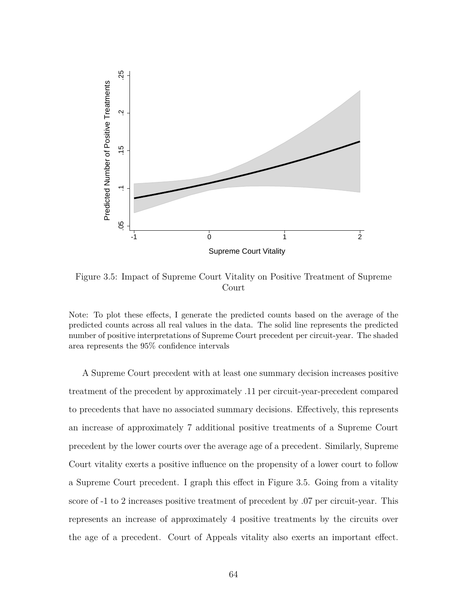

Figure 3.5: Impact of Supreme Court Vitality on Positive Treatment of Supreme Court

Note: To plot these effects, I generate the predicted counts based on the average of the predicted counts across all real values in the data. The solid line represents the predicted number of positive interpretations of Supreme Court precedent per circuit-year. The shaded area represents the 95% confidence intervals

A Supreme Court precedent with at least one summary decision increases positive treatment of the precedent by approximately .11 per circuit-year-precedent compared to precedents that have no associated summary decisions. Effectively, this represents an increase of approximately 7 additional positive treatments of a Supreme Court precedent by the lower courts over the average age of a precedent. Similarly, Supreme Court vitality exerts a positive influence on the propensity of a lower court to follow a Supreme Court precedent. I graph this effect in Figure 3.5. Going from a vitality score of -1 to 2 increases positive treatment of precedent by .07 per circuit-year. This represents an increase of approximately 4 positive treatments by the circuits over the age of a precedent. Court of Appeals vitality also exerts an important effect.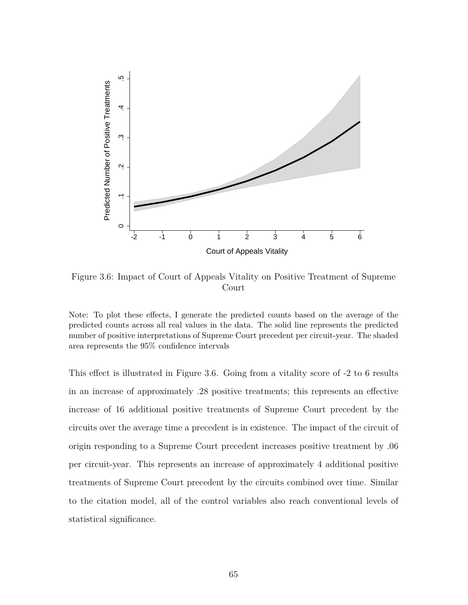

Figure 3.6: Impact of Court of Appeals Vitality on Positive Treatment of Supreme Court

Note: To plot these effects, I generate the predicted counts based on the average of the predicted counts across all real values in the data. The solid line represents the predicted number of positive interpretations of Supreme Court precedent per circuit-year. The shaded area represents the 95% confidence intervals

This effect is illustrated in Figure 3.6. Going from a vitality score of -2 to 6 results in an increase of approximately .28 positive treatments; this represents an effective increase of 16 additional positive treatments of Supreme Court precedent by the circuits over the average time a precedent is in existence. The impact of the circuit of origin responding to a Supreme Court precedent increases positive treatment by .06 per circuit-year. This represents an increase of approximately 4 additional positive treatments of Supreme Court precedent by the circuits combined over time. Similar to the citation model, all of the control variables also reach conventional levels of statistical significance.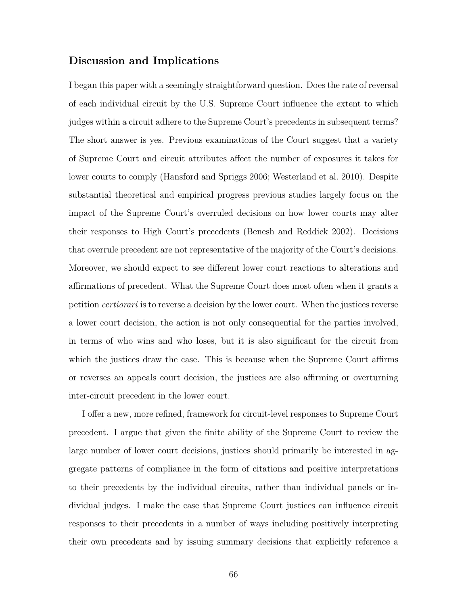# **Discussion and Implications**

I began this paper with a seemingly straightforward question. Does the rate of reversal of each individual circuit by the U.S. Supreme Court influence the extent to which judges within a circuit adhere to the Supreme Court's precedents in subsequent terms? The short answer is yes. Previous examinations of the Court suggest that a variety of Supreme Court and circuit attributes affect the number of exposures it takes for lower courts to comply (Hansford and Spriggs 2006; Westerland et al. 2010). Despite substantial theoretical and empirical progress previous studies largely focus on the impact of the Supreme Court's overruled decisions on how lower courts may alter their responses to High Court's precedents (Benesh and Reddick 2002). Decisions that overrule precedent are not representative of the majority of the Court's decisions. Moreover, we should expect to see different lower court reactions to alterations and affirmations of precedent. What the Supreme Court does most often when it grants a petition *certiorari* is to reverse a decision by the lower court. When the justices reverse a lower court decision, the action is not only consequential for the parties involved, in terms of who wins and who loses, but it is also significant for the circuit from which the justices draw the case. This is because when the Supreme Court affirms or reverses an appeals court decision, the justices are also affirming or overturning inter-circuit precedent in the lower court.

I offer a new, more refined, framework for circuit-level responses to Supreme Court precedent. I argue that given the finite ability of the Supreme Court to review the large number of lower court decisions, justices should primarily be interested in aggregate patterns of compliance in the form of citations and positive interpretations to their precedents by the individual circuits, rather than individual panels or individual judges. I make the case that Supreme Court justices can influence circuit responses to their precedents in a number of ways including positively interpreting their own precedents and by issuing summary decisions that explicitly reference a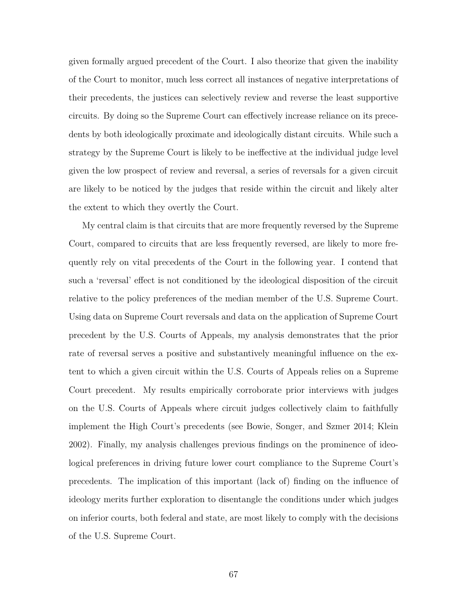given formally argued precedent of the Court. I also theorize that given the inability of the Court to monitor, much less correct all instances of negative interpretations of their precedents, the justices can selectively review and reverse the least supportive circuits. By doing so the Supreme Court can effectively increase reliance on its precedents by both ideologically proximate and ideologically distant circuits. While such a strategy by the Supreme Court is likely to be ineffective at the individual judge level given the low prospect of review and reversal, a series of reversals for a given circuit are likely to be noticed by the judges that reside within the circuit and likely alter the extent to which they overtly the Court.

My central claim is that circuits that are more frequently reversed by the Supreme Court, compared to circuits that are less frequently reversed, are likely to more frequently rely on vital precedents of the Court in the following year. I contend that such a 'reversal' effect is not conditioned by the ideological disposition of the circuit relative to the policy preferences of the median member of the U.S. Supreme Court. Using data on Supreme Court reversals and data on the application of Supreme Court precedent by the U.S. Courts of Appeals, my analysis demonstrates that the prior rate of reversal serves a positive and substantively meaningful influence on the extent to which a given circuit within the U.S. Courts of Appeals relies on a Supreme Court precedent. My results empirically corroborate prior interviews with judges on the U.S. Courts of Appeals where circuit judges collectively claim to faithfully implement the High Court's precedents (see Bowie, Songer, and Szmer 2014; Klein 2002). Finally, my analysis challenges previous findings on the prominence of ideological preferences in driving future lower court compliance to the Supreme Court's precedents. The implication of this important (lack of) finding on the influence of ideology merits further exploration to disentangle the conditions under which judges on inferior courts, both federal and state, are most likely to comply with the decisions of the U.S. Supreme Court.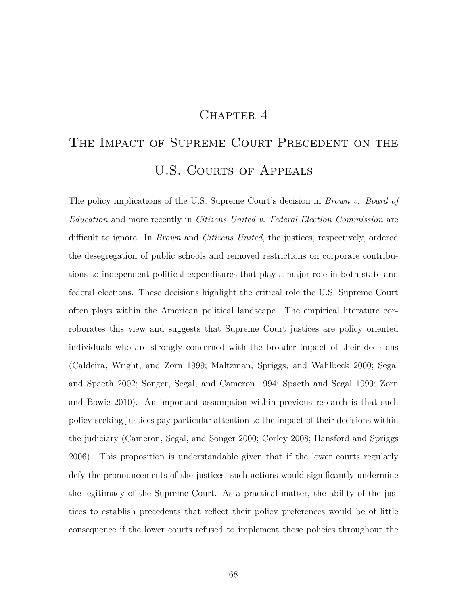# CHAPTER 4

# THE IMPACT OF SUPREME COURT PRECEDENT ON THE U.S. COURTS OF APPEALS

The policy implications of the U.S. Supreme Court's decision in *Brown v. Board of Education* and more recently in *Citizens United v. Federal Election Commission* are difficult to ignore. In *Brown* and *Citizens United*, the justices, respectively, ordered the desegregation of public schools and removed restrictions on corporate contributions to independent political expenditures that play a major role in both state and federal elections. These decisions highlight the critical role the U.S. Supreme Court often plays within the American political landscape. The empirical literature corroborates this view and suggests that Supreme Court justices are policy oriented individuals who are strongly concerned with the broader impact of their decisions (Caldeira, Wright, and Zorn 1999; Maltzman, Spriggs, and Wahlbeck 2000; Segal and Spaeth 2002; Songer, Segal, and Cameron 1994; Spaeth and Segal 1999; Zorn and Bowie 2010). An important assumption within previous research is that such policy-seeking justices pay particular attention to the impact of their decisions within the judiciary (Cameron, Segal, and Songer 2000; Corley 2008; Hansford and Spriggs 2006). This proposition is understandable given that if the lower courts regularly defy the pronouncements of the justices, such actions would significantly undermine the legitimacy of the Supreme Court. As a practical matter, the ability of the justices to establish precedents that reflect their policy preferences would be of little consequence if the lower courts refused to implement those policies throughout the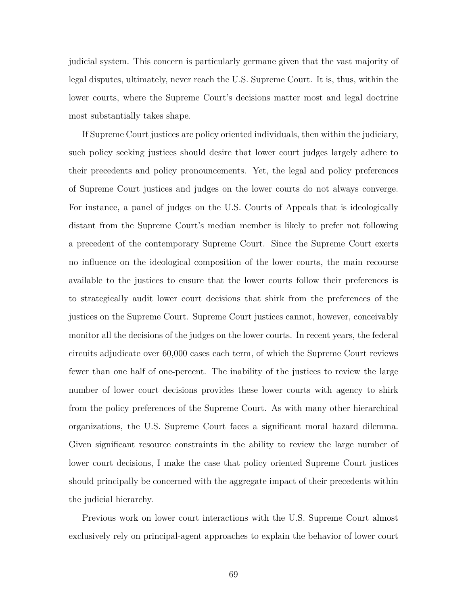judicial system. This concern is particularly germane given that the vast majority of legal disputes, ultimately, never reach the U.S. Supreme Court. It is, thus, within the lower courts, where the Supreme Court's decisions matter most and legal doctrine most substantially takes shape.

If Supreme Court justices are policy oriented individuals, then within the judiciary, such policy seeking justices should desire that lower court judges largely adhere to their precedents and policy pronouncements. Yet, the legal and policy preferences of Supreme Court justices and judges on the lower courts do not always converge. For instance, a panel of judges on the U.S. Courts of Appeals that is ideologically distant from the Supreme Court's median member is likely to prefer not following a precedent of the contemporary Supreme Court. Since the Supreme Court exerts no influence on the ideological composition of the lower courts, the main recourse available to the justices to ensure that the lower courts follow their preferences is to strategically audit lower court decisions that shirk from the preferences of the justices on the Supreme Court. Supreme Court justices cannot, however, conceivably monitor all the decisions of the judges on the lower courts. In recent years, the federal circuits adjudicate over 60,000 cases each term, of which the Supreme Court reviews fewer than one half of one-percent. The inability of the justices to review the large number of lower court decisions provides these lower courts with agency to shirk from the policy preferences of the Supreme Court. As with many other hierarchical organizations, the U.S. Supreme Court faces a significant moral hazard dilemma. Given significant resource constraints in the ability to review the large number of lower court decisions, I make the case that policy oriented Supreme Court justices should principally be concerned with the aggregate impact of their precedents within the judicial hierarchy.

Previous work on lower court interactions with the U.S. Supreme Court almost exclusively rely on principal-agent approaches to explain the behavior of lower court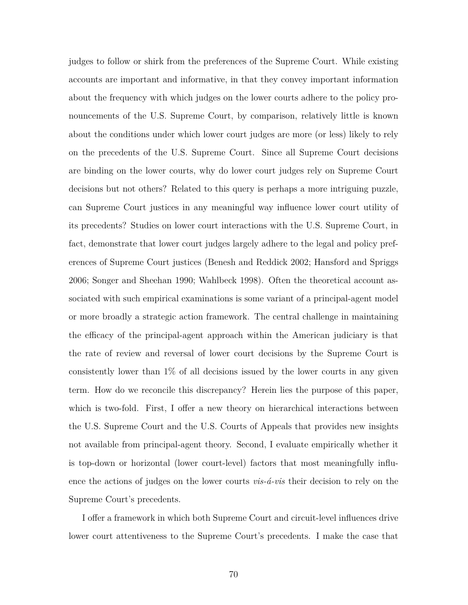judges to follow or shirk from the preferences of the Supreme Court. While existing accounts are important and informative, in that they convey important information about the frequency with which judges on the lower courts adhere to the policy pronouncements of the U.S. Supreme Court, by comparison, relatively little is known about the conditions under which lower court judges are more (or less) likely to rely on the precedents of the U.S. Supreme Court. Since all Supreme Court decisions are binding on the lower courts, why do lower court judges rely on Supreme Court decisions but not others? Related to this query is perhaps a more intriguing puzzle, can Supreme Court justices in any meaningful way influence lower court utility of its precedents? Studies on lower court interactions with the U.S. Supreme Court, in fact, demonstrate that lower court judges largely adhere to the legal and policy preferences of Supreme Court justices (Benesh and Reddick 2002; Hansford and Spriggs 2006; Songer and Sheehan 1990; Wahlbeck 1998). Often the theoretical account associated with such empirical examinations is some variant of a principal-agent model or more broadly a strategic action framework. The central challenge in maintaining the efficacy of the principal-agent approach within the American judiciary is that the rate of review and reversal of lower court decisions by the Supreme Court is consistently lower than 1% of all decisions issued by the lower courts in any given term. How do we reconcile this discrepancy? Herein lies the purpose of this paper, which is two-fold. First, I offer a new theory on hierarchical interactions between the U.S. Supreme Court and the U.S. Courts of Appeals that provides new insights not available from principal-agent theory. Second, I evaluate empirically whether it is top-down or horizontal (lower court-level) factors that most meaningfully influence the actions of judges on the lower courts *vis-á-vis* their decision to rely on the Supreme Court's precedents.

I offer a framework in which both Supreme Court and circuit-level influences drive lower court attentiveness to the Supreme Court's precedents. I make the case that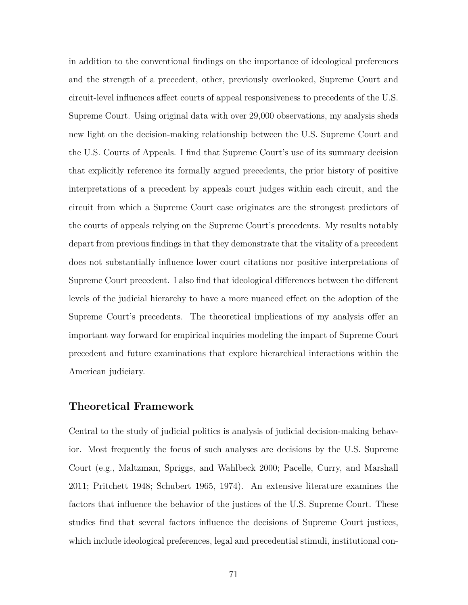in addition to the conventional findings on the importance of ideological preferences and the strength of a precedent, other, previously overlooked, Supreme Court and circuit-level influences affect courts of appeal responsiveness to precedents of the U.S. Supreme Court. Using original data with over 29,000 observations, my analysis sheds new light on the decision-making relationship between the U.S. Supreme Court and the U.S. Courts of Appeals. I find that Supreme Court's use of its summary decision that explicitly reference its formally argued precedents, the prior history of positive interpretations of a precedent by appeals court judges within each circuit, and the circuit from which a Supreme Court case originates are the strongest predictors of the courts of appeals relying on the Supreme Court's precedents. My results notably depart from previous findings in that they demonstrate that the vitality of a precedent does not substantially influence lower court citations nor positive interpretations of Supreme Court precedent. I also find that ideological differences between the different levels of the judicial hierarchy to have a more nuanced effect on the adoption of the Supreme Court's precedents. The theoretical implications of my analysis offer an important way forward for empirical inquiries modeling the impact of Supreme Court precedent and future examinations that explore hierarchical interactions within the American judiciary.

### **Theoretical Framework**

Central to the study of judicial politics is analysis of judicial decision-making behavior. Most frequently the focus of such analyses are decisions by the U.S. Supreme Court (e.g., Maltzman, Spriggs, and Wahlbeck 2000; Pacelle, Curry, and Marshall 2011; Pritchett 1948; Schubert 1965, 1974). An extensive literature examines the factors that influence the behavior of the justices of the U.S. Supreme Court. These studies find that several factors influence the decisions of Supreme Court justices, which include ideological preferences, legal and precedential stimuli, institutional con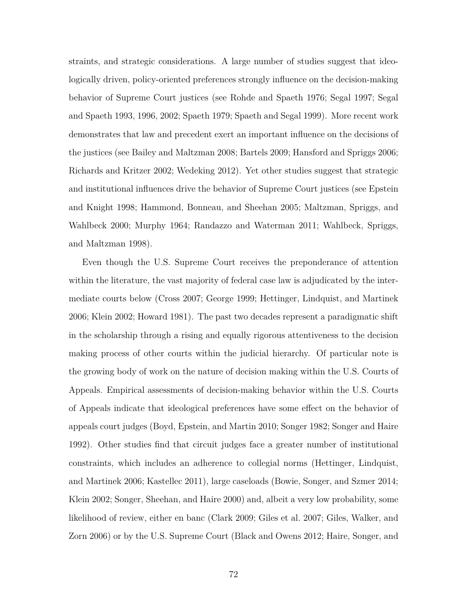straints, and strategic considerations. A large number of studies suggest that ideologically driven, policy-oriented preferences strongly influence on the decision-making behavior of Supreme Court justices (see Rohde and Spaeth 1976; Segal 1997; Segal and Spaeth 1993, 1996, 2002; Spaeth 1979; Spaeth and Segal 1999). More recent work demonstrates that law and precedent exert an important influence on the decisions of the justices (see Bailey and Maltzman 2008; Bartels 2009; Hansford and Spriggs 2006; Richards and Kritzer 2002; Wedeking 2012). Yet other studies suggest that strategic and institutional influences drive the behavior of Supreme Court justices (see Epstein and Knight 1998; Hammond, Bonneau, and Sheehan 2005; Maltzman, Spriggs, and Wahlbeck 2000; Murphy 1964; Randazzo and Waterman 2011; Wahlbeck, Spriggs, and Maltzman 1998).

Even though the U.S. Supreme Court receives the preponderance of attention within the literature, the vast majority of federal case law is adjudicated by the intermediate courts below (Cross 2007; George 1999; Hettinger, Lindquist, and Martinek 2006; Klein 2002; Howard 1981). The past two decades represent a paradigmatic shift in the scholarship through a rising and equally rigorous attentiveness to the decision making process of other courts within the judicial hierarchy. Of particular note is the growing body of work on the nature of decision making within the U.S. Courts of Appeals. Empirical assessments of decision-making behavior within the U.S. Courts of Appeals indicate that ideological preferences have some effect on the behavior of appeals court judges (Boyd, Epstein, and Martin 2010; Songer 1982; Songer and Haire 1992). Other studies find that circuit judges face a greater number of institutional constraints, which includes an adherence to collegial norms (Hettinger, Lindquist, and Martinek 2006; Kastellec 2011), large caseloads (Bowie, Songer, and Szmer 2014; Klein 2002; Songer, Sheehan, and Haire 2000) and, albeit a very low probability, some likelihood of review, either en banc (Clark 2009; Giles et al. 2007; Giles, Walker, and Zorn 2006) or by the U.S. Supreme Court (Black and Owens 2012; Haire, Songer, and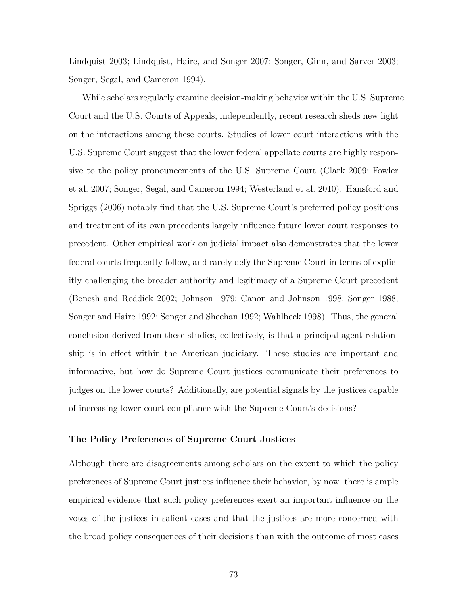Lindquist 2003; Lindquist, Haire, and Songer 2007; Songer, Ginn, and Sarver 2003; Songer, Segal, and Cameron 1994).

While scholars regularly examine decision-making behavior within the U.S. Supreme Court and the U.S. Courts of Appeals, independently, recent research sheds new light on the interactions among these courts. Studies of lower court interactions with the U.S. Supreme Court suggest that the lower federal appellate courts are highly responsive to the policy pronouncements of the U.S. Supreme Court (Clark 2009; Fowler et al. 2007; Songer, Segal, and Cameron 1994; Westerland et al. 2010). Hansford and Spriggs (2006) notably find that the U.S. Supreme Court's preferred policy positions and treatment of its own precedents largely influence future lower court responses to precedent. Other empirical work on judicial impact also demonstrates that the lower federal courts frequently follow, and rarely defy the Supreme Court in terms of explicitly challenging the broader authority and legitimacy of a Supreme Court precedent (Benesh and Reddick 2002; Johnson 1979; Canon and Johnson 1998; Songer 1988; Songer and Haire 1992; Songer and Sheehan 1992; Wahlbeck 1998). Thus, the general conclusion derived from these studies, collectively, is that a principal-agent relationship is in effect within the American judiciary. These studies are important and informative, but how do Supreme Court justices communicate their preferences to judges on the lower courts? Additionally, are potential signals by the justices capable of increasing lower court compliance with the Supreme Court's decisions?

#### **The Policy Preferences of Supreme Court Justices**

Although there are disagreements among scholars on the extent to which the policy preferences of Supreme Court justices influence their behavior, by now, there is ample empirical evidence that such policy preferences exert an important influence on the votes of the justices in salient cases and that the justices are more concerned with the broad policy consequences of their decisions than with the outcome of most cases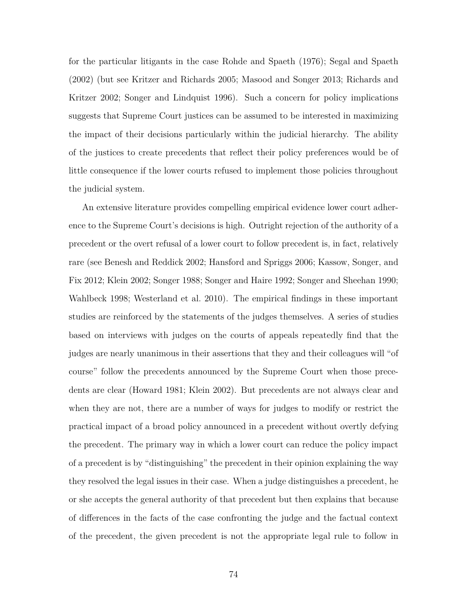for the particular litigants in the case Rohde and Spaeth (1976); Segal and Spaeth (2002) (but see Kritzer and Richards 2005; Masood and Songer 2013; Richards and Kritzer 2002; Songer and Lindquist 1996). Such a concern for policy implications suggests that Supreme Court justices can be assumed to be interested in maximizing the impact of their decisions particularly within the judicial hierarchy. The ability of the justices to create precedents that reflect their policy preferences would be of little consequence if the lower courts refused to implement those policies throughout the judicial system.

An extensive literature provides compelling empirical evidence lower court adherence to the Supreme Court's decisions is high. Outright rejection of the authority of a precedent or the overt refusal of a lower court to follow precedent is, in fact, relatively rare (see Benesh and Reddick 2002; Hansford and Spriggs 2006; Kassow, Songer, and Fix 2012; Klein 2002; Songer 1988; Songer and Haire 1992; Songer and Sheehan 1990; Wahlbeck 1998; Westerland et al. 2010). The empirical findings in these important studies are reinforced by the statements of the judges themselves. A series of studies based on interviews with judges on the courts of appeals repeatedly find that the judges are nearly unanimous in their assertions that they and their colleagues will "of course" follow the precedents announced by the Supreme Court when those precedents are clear (Howard 1981; Klein 2002). But precedents are not always clear and when they are not, there are a number of ways for judges to modify or restrict the practical impact of a broad policy announced in a precedent without overtly defying the precedent. The primary way in which a lower court can reduce the policy impact of a precedent is by "distinguishing" the precedent in their opinion explaining the way they resolved the legal issues in their case. When a judge distinguishes a precedent, he or she accepts the general authority of that precedent but then explains that because of differences in the facts of the case confronting the judge and the factual context of the precedent, the given precedent is not the appropriate legal rule to follow in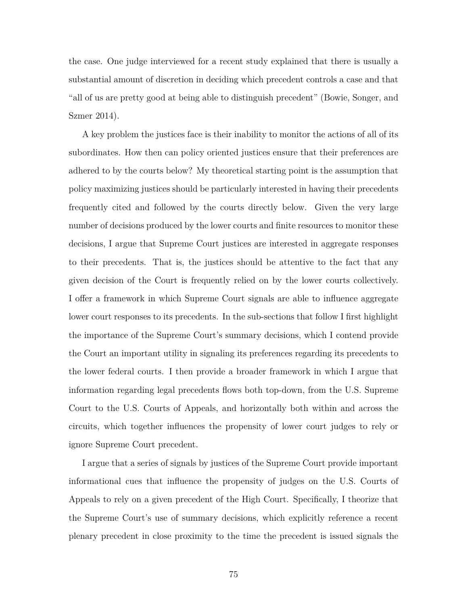the case. One judge interviewed for a recent study explained that there is usually a substantial amount of discretion in deciding which precedent controls a case and that "all of us are pretty good at being able to distinguish precedent" (Bowie, Songer, and Szmer 2014).

A key problem the justices face is their inability to monitor the actions of all of its subordinates. How then can policy oriented justices ensure that their preferences are adhered to by the courts below? My theoretical starting point is the assumption that policy maximizing justices should be particularly interested in having their precedents frequently cited and followed by the courts directly below. Given the very large number of decisions produced by the lower courts and finite resources to monitor these decisions, I argue that Supreme Court justices are interested in aggregate responses to their precedents. That is, the justices should be attentive to the fact that any given decision of the Court is frequently relied on by the lower courts collectively. I offer a framework in which Supreme Court signals are able to influence aggregate lower court responses to its precedents. In the sub-sections that follow I first highlight the importance of the Supreme Court's summary decisions, which I contend provide the Court an important utility in signaling its preferences regarding its precedents to the lower federal courts. I then provide a broader framework in which I argue that information regarding legal precedents flows both top-down, from the U.S. Supreme Court to the U.S. Courts of Appeals, and horizontally both within and across the circuits, which together influences the propensity of lower court judges to rely or ignore Supreme Court precedent.

I argue that a series of signals by justices of the Supreme Court provide important informational cues that influence the propensity of judges on the U.S. Courts of Appeals to rely on a given precedent of the High Court. Specifically, I theorize that the Supreme Court's use of summary decisions, which explicitly reference a recent plenary precedent in close proximity to the time the precedent is issued signals the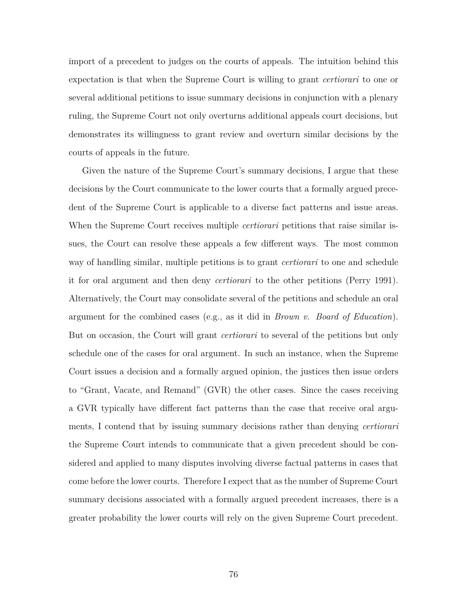import of a precedent to judges on the courts of appeals. The intuition behind this expectation is that when the Supreme Court is willing to grant *certiorari* to one or several additional petitions to issue summary decisions in conjunction with a plenary ruling, the Supreme Court not only overturns additional appeals court decisions, but demonstrates its willingness to grant review and overturn similar decisions by the courts of appeals in the future.

Given the nature of the Supreme Court's summary decisions, I argue that these decisions by the Court communicate to the lower courts that a formally argued precedent of the Supreme Court is applicable to a diverse fact patterns and issue areas. When the Supreme Court receives multiple *certiorari* petitions that raise similar issues, the Court can resolve these appeals a few different ways. The most common way of handling similar, multiple petitions is to grant *certiorari* to one and schedule it for oral argument and then deny *certiorari* to the other petitions (Perry 1991). Alternatively, the Court may consolidate several of the petitions and schedule an oral argument for the combined cases (e.g., as it did in *Brown v. Board of Education*). But on occasion, the Court will grant *certiorari* to several of the petitions but only schedule one of the cases for oral argument. In such an instance, when the Supreme Court issues a decision and a formally argued opinion, the justices then issue orders to "Grant, Vacate, and Remand" (GVR) the other cases. Since the cases receiving a GVR typically have different fact patterns than the case that receive oral arguments, I contend that by issuing summary decisions rather than denying *certiorari* the Supreme Court intends to communicate that a given precedent should be considered and applied to many disputes involving diverse factual patterns in cases that come before the lower courts. Therefore I expect that as the number of Supreme Court summary decisions associated with a formally argued precedent increases, there is a greater probability the lower courts will rely on the given Supreme Court precedent.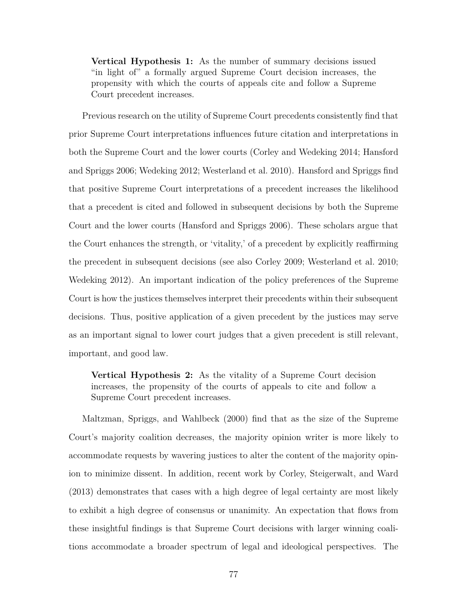**Vertical Hypothesis 1:** As the number of summary decisions issued "in light of" a formally argued Supreme Court decision increases, the propensity with which the courts of appeals cite and follow a Supreme Court precedent increases.

Previous research on the utility of Supreme Court precedents consistently find that prior Supreme Court interpretations influences future citation and interpretations in both the Supreme Court and the lower courts (Corley and Wedeking 2014; Hansford and Spriggs 2006; Wedeking 2012; Westerland et al. 2010). Hansford and Spriggs find that positive Supreme Court interpretations of a precedent increases the likelihood that a precedent is cited and followed in subsequent decisions by both the Supreme Court and the lower courts (Hansford and Spriggs 2006). These scholars argue that the Court enhances the strength, or 'vitality,' of a precedent by explicitly reaffirming the precedent in subsequent decisions (see also Corley 2009; Westerland et al. 2010; Wedeking 2012). An important indication of the policy preferences of the Supreme Court is how the justices themselves interpret their precedents within their subsequent decisions. Thus, positive application of a given precedent by the justices may serve as an important signal to lower court judges that a given precedent is still relevant, important, and good law.

**Vertical Hypothesis 2:** As the vitality of a Supreme Court decision increases, the propensity of the courts of appeals to cite and follow a Supreme Court precedent increases.

Maltzman, Spriggs, and Wahlbeck (2000) find that as the size of the Supreme Court's majority coalition decreases, the majority opinion writer is more likely to accommodate requests by wavering justices to alter the content of the majority opinion to minimize dissent. In addition, recent work by Corley, Steigerwalt, and Ward (2013) demonstrates that cases with a high degree of legal certainty are most likely to exhibit a high degree of consensus or unanimity. An expectation that flows from these insightful findings is that Supreme Court decisions with larger winning coalitions accommodate a broader spectrum of legal and ideological perspectives. The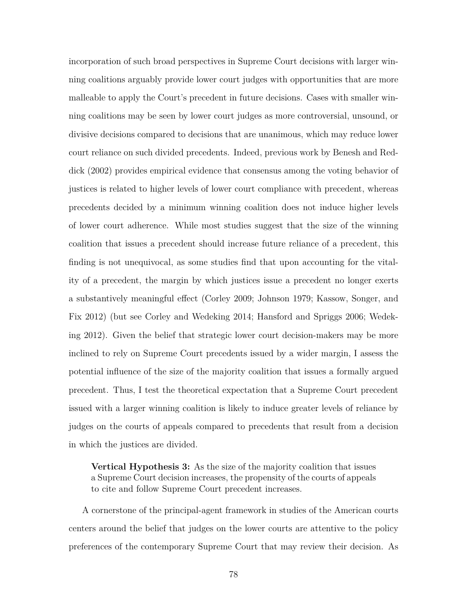incorporation of such broad perspectives in Supreme Court decisions with larger winning coalitions arguably provide lower court judges with opportunities that are more malleable to apply the Court's precedent in future decisions. Cases with smaller winning coalitions may be seen by lower court judges as more controversial, unsound, or divisive decisions compared to decisions that are unanimous, which may reduce lower court reliance on such divided precedents. Indeed, previous work by Benesh and Reddick (2002) provides empirical evidence that consensus among the voting behavior of justices is related to higher levels of lower court compliance with precedent, whereas precedents decided by a minimum winning coalition does not induce higher levels of lower court adherence. While most studies suggest that the size of the winning coalition that issues a precedent should increase future reliance of a precedent, this finding is not unequivocal, as some studies find that upon accounting for the vitality of a precedent, the margin by which justices issue a precedent no longer exerts a substantively meaningful effect (Corley 2009; Johnson 1979; Kassow, Songer, and Fix 2012) (but see Corley and Wedeking 2014; Hansford and Spriggs 2006; Wedeking 2012). Given the belief that strategic lower court decision-makers may be more inclined to rely on Supreme Court precedents issued by a wider margin, I assess the potential influence of the size of the majority coalition that issues a formally argued precedent. Thus, I test the theoretical expectation that a Supreme Court precedent issued with a larger winning coalition is likely to induce greater levels of reliance by judges on the courts of appeals compared to precedents that result from a decision in which the justices are divided.

**Vertical Hypothesis 3:** As the size of the majority coalition that issues a Supreme Court decision increases, the propensity of the courts of appeals to cite and follow Supreme Court precedent increases.

A cornerstone of the principal-agent framework in studies of the American courts centers around the belief that judges on the lower courts are attentive to the policy preferences of the contemporary Supreme Court that may review their decision. As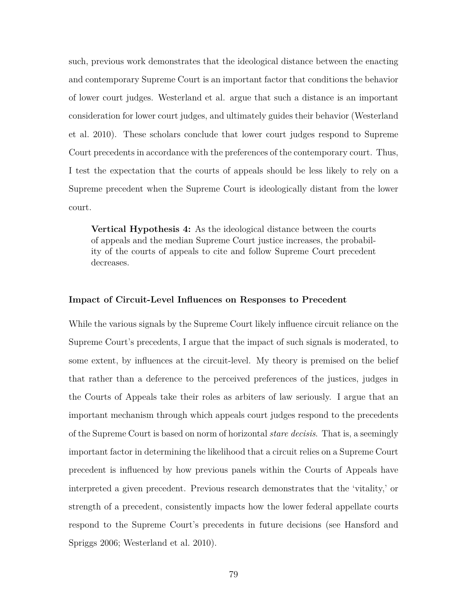such, previous work demonstrates that the ideological distance between the enacting and contemporary Supreme Court is an important factor that conditions the behavior of lower court judges. Westerland et al. argue that such a distance is an important consideration for lower court judges, and ultimately guides their behavior (Westerland et al. 2010). These scholars conclude that lower court judges respond to Supreme Court precedents in accordance with the preferences of the contemporary court. Thus, I test the expectation that the courts of appeals should be less likely to rely on a Supreme precedent when the Supreme Court is ideologically distant from the lower court.

**Vertical Hypothesis 4:** As the ideological distance between the courts of appeals and the median Supreme Court justice increases, the probability of the courts of appeals to cite and follow Supreme Court precedent decreases.

#### **Impact of Circuit-Level Influences on Responses to Precedent**

While the various signals by the Supreme Court likely influence circuit reliance on the Supreme Court's precedents, I argue that the impact of such signals is moderated, to some extent, by influences at the circuit-level. My theory is premised on the belief that rather than a deference to the perceived preferences of the justices, judges in the Courts of Appeals take their roles as arbiters of law seriously. I argue that an important mechanism through which appeals court judges respond to the precedents of the Supreme Court is based on norm of horizontal *stare decisis*. That is, a seemingly important factor in determining the likelihood that a circuit relies on a Supreme Court precedent is influenced by how previous panels within the Courts of Appeals have interpreted a given precedent. Previous research demonstrates that the 'vitality,' or strength of a precedent, consistently impacts how the lower federal appellate courts respond to the Supreme Court's precedents in future decisions (see Hansford and Spriggs 2006; Westerland et al. 2010).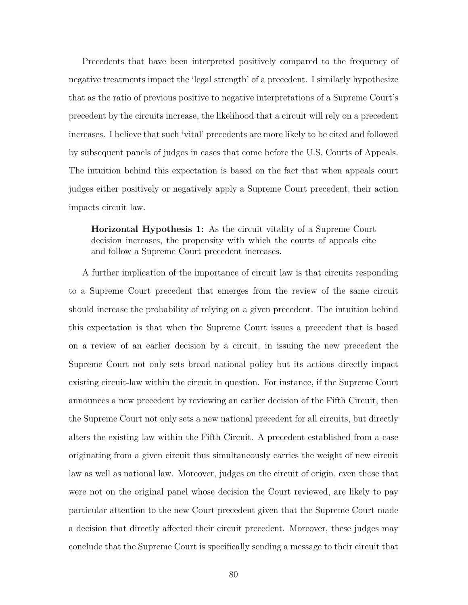Precedents that have been interpreted positively compared to the frequency of negative treatments impact the 'legal strength' of a precedent. I similarly hypothesize that as the ratio of previous positive to negative interpretations of a Supreme Court's precedent by the circuits increase, the likelihood that a circuit will rely on a precedent increases. I believe that such 'vital' precedents are more likely to be cited and followed by subsequent panels of judges in cases that come before the U.S. Courts of Appeals. The intuition behind this expectation is based on the fact that when appeals court judges either positively or negatively apply a Supreme Court precedent, their action impacts circuit law.

**Horizontal Hypothesis 1:** As the circuit vitality of a Supreme Court decision increases, the propensity with which the courts of appeals cite and follow a Supreme Court precedent increases.

A further implication of the importance of circuit law is that circuits responding to a Supreme Court precedent that emerges from the review of the same circuit should increase the probability of relying on a given precedent. The intuition behind this expectation is that when the Supreme Court issues a precedent that is based on a review of an earlier decision by a circuit, in issuing the new precedent the Supreme Court not only sets broad national policy but its actions directly impact existing circuit-law within the circuit in question. For instance, if the Supreme Court announces a new precedent by reviewing an earlier decision of the Fifth Circuit, then the Supreme Court not only sets a new national precedent for all circuits, but directly alters the existing law within the Fifth Circuit. A precedent established from a case originating from a given circuit thus simultaneously carries the weight of new circuit law as well as national law. Moreover, judges on the circuit of origin, even those that were not on the original panel whose decision the Court reviewed, are likely to pay particular attention to the new Court precedent given that the Supreme Court made a decision that directly affected their circuit precedent. Moreover, these judges may conclude that the Supreme Court is specifically sending a message to their circuit that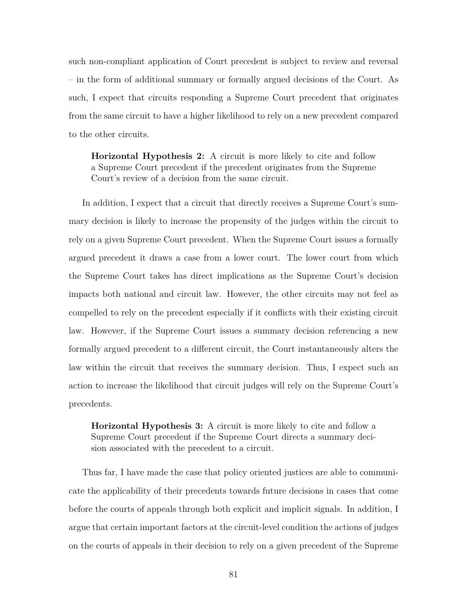such non-compliant application of Court precedent is subject to review and reversal – in the form of additional summary or formally argued decisions of the Court. As such, I expect that circuits responding a Supreme Court precedent that originates from the same circuit to have a higher likelihood to rely on a new precedent compared to the other circuits.

**Horizontal Hypothesis 2:** A circuit is more likely to cite and follow a Supreme Court precedent if the precedent originates from the Supreme Court's review of a decision from the same circuit.

In addition, I expect that a circuit that directly receives a Supreme Court's summary decision is likely to increase the propensity of the judges within the circuit to rely on a given Supreme Court precedent. When the Supreme Court issues a formally argued precedent it draws a case from a lower court. The lower court from which the Supreme Court takes has direct implications as the Supreme Court's decision impacts both national and circuit law. However, the other circuits may not feel as compelled to rely on the precedent especially if it conflicts with their existing circuit law. However, if the Supreme Court issues a summary decision referencing a new formally argued precedent to a different circuit, the Court instantaneously alters the law within the circuit that receives the summary decision. Thus, I expect such an action to increase the likelihood that circuit judges will rely on the Supreme Court's precedents.

**Horizontal Hypothesis 3:** A circuit is more likely to cite and follow a Supreme Court precedent if the Supreme Court directs a summary decision associated with the precedent to a circuit.

Thus far, I have made the case that policy oriented justices are able to communicate the applicability of their precedents towards future decisions in cases that come before the courts of appeals through both explicit and implicit signals. In addition, I argue that certain important factors at the circuit-level condition the actions of judges on the courts of appeals in their decision to rely on a given precedent of the Supreme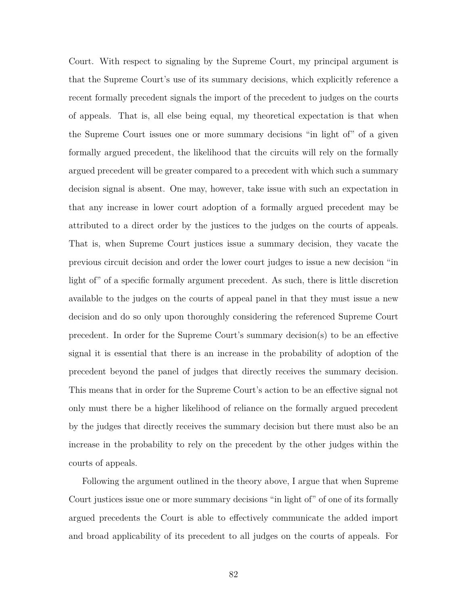Court. With respect to signaling by the Supreme Court, my principal argument is that the Supreme Court's use of its summary decisions, which explicitly reference a recent formally precedent signals the import of the precedent to judges on the courts of appeals. That is, all else being equal, my theoretical expectation is that when the Supreme Court issues one or more summary decisions "in light of" of a given formally argued precedent, the likelihood that the circuits will rely on the formally argued precedent will be greater compared to a precedent with which such a summary decision signal is absent. One may, however, take issue with such an expectation in that any increase in lower court adoption of a formally argued precedent may be attributed to a direct order by the justices to the judges on the courts of appeals. That is, when Supreme Court justices issue a summary decision, they vacate the previous circuit decision and order the lower court judges to issue a new decision "in light of" of a specific formally argument precedent. As such, there is little discretion available to the judges on the courts of appeal panel in that they must issue a new decision and do so only upon thoroughly considering the referenced Supreme Court precedent. In order for the Supreme Court's summary decision(s) to be an effective signal it is essential that there is an increase in the probability of adoption of the precedent beyond the panel of judges that directly receives the summary decision. This means that in order for the Supreme Court's action to be an effective signal not only must there be a higher likelihood of reliance on the formally argued precedent by the judges that directly receives the summary decision but there must also be an increase in the probability to rely on the precedent by the other judges within the courts of appeals.

Following the argument outlined in the theory above, I argue that when Supreme Court justices issue one or more summary decisions "in light of" of one of its formally argued precedents the Court is able to effectively communicate the added import and broad applicability of its precedent to all judges on the courts of appeals. For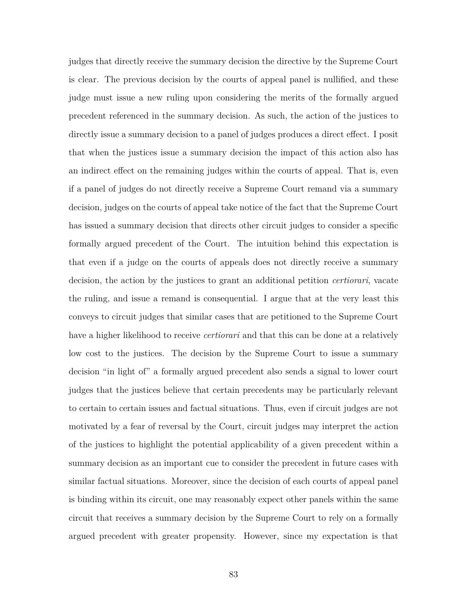judges that directly receive the summary decision the directive by the Supreme Court is clear. The previous decision by the courts of appeal panel is nullified, and these judge must issue a new ruling upon considering the merits of the formally argued precedent referenced in the summary decision. As such, the action of the justices to directly issue a summary decision to a panel of judges produces a direct effect. I posit that when the justices issue a summary decision the impact of this action also has an indirect effect on the remaining judges within the courts of appeal. That is, even if a panel of judges do not directly receive a Supreme Court remand via a summary decision, judges on the courts of appeal take notice of the fact that the Supreme Court has issued a summary decision that directs other circuit judges to consider a specific formally argued precedent of the Court. The intuition behind this expectation is that even if a judge on the courts of appeals does not directly receive a summary decision, the action by the justices to grant an additional petition *certiorari*, vacate the ruling, and issue a remand is consequential. I argue that at the very least this conveys to circuit judges that similar cases that are petitioned to the Supreme Court have a higher likelihood to receive *certiorari* and that this can be done at a relatively low cost to the justices. The decision by the Supreme Court to issue a summary decision "in light of" a formally argued precedent also sends a signal to lower court judges that the justices believe that certain precedents may be particularly relevant to certain to certain issues and factual situations. Thus, even if circuit judges are not motivated by a fear of reversal by the Court, circuit judges may interpret the action of the justices to highlight the potential applicability of a given precedent within a summary decision as an important cue to consider the precedent in future cases with similar factual situations. Moreover, since the decision of each courts of appeal panel is binding within its circuit, one may reasonably expect other panels within the same circuit that receives a summary decision by the Supreme Court to rely on a formally argued precedent with greater propensity. However, since my expectation is that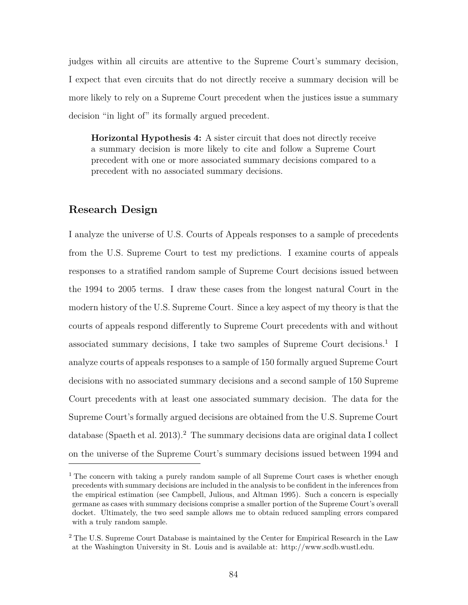judges within all circuits are attentive to the Supreme Court's summary decision, I expect that even circuits that do not directly receive a summary decision will be more likely to rely on a Supreme Court precedent when the justices issue a summary decision "in light of" its formally argued precedent.

**Horizontal Hypothesis 4:** A sister circuit that does not directly receive a summary decision is more likely to cite and follow a Supreme Court precedent with one or more associated summary decisions compared to a precedent with no associated summary decisions.

# **Research Design**

I analyze the universe of U.S. Courts of Appeals responses to a sample of precedents from the U.S. Supreme Court to test my predictions. I examine courts of appeals responses to a stratified random sample of Supreme Court decisions issued between the 1994 to 2005 terms. I draw these cases from the longest natural Court in the modern history of the U.S. Supreme Court. Since a key aspect of my theory is that the courts of appeals respond differently to Supreme Court precedents with and without associated summary decisions, I take two samples of Supreme Court decisions.<sup>1</sup> I analyze courts of appeals responses to a sample of 150 formally argued Supreme Court decisions with no associated summary decisions and a second sample of 150 Supreme Court precedents with at least one associated summary decision. The data for the Supreme Court's formally argued decisions are obtained from the U.S. Supreme Court  $database$  (Spaeth et al. 2013).<sup>2</sup> The summary decisions data are original data I collect on the universe of the Supreme Court's summary decisions issued between 1994 and

<sup>&</sup>lt;sup>1</sup> The concern with taking a purely random sample of all Supreme Court cases is whether enough precedents with summary decisions are included in the analysis to be confident in the inferences from the empirical estimation (see Campbell, Julious, and Altman 1995). Such a concern is especially germane as cases with summary decisions comprise a smaller portion of the Supreme Court's overall docket. Ultimately, the two seed sample allows me to obtain reduced sampling errors compared with a truly random sample.

<sup>&</sup>lt;sup>2</sup> The U.S. Supreme Court Database is maintained by the Center for Empirical Research in the Law at the Washington University in St. Louis and is available at: http://www.scdb.wustl.edu.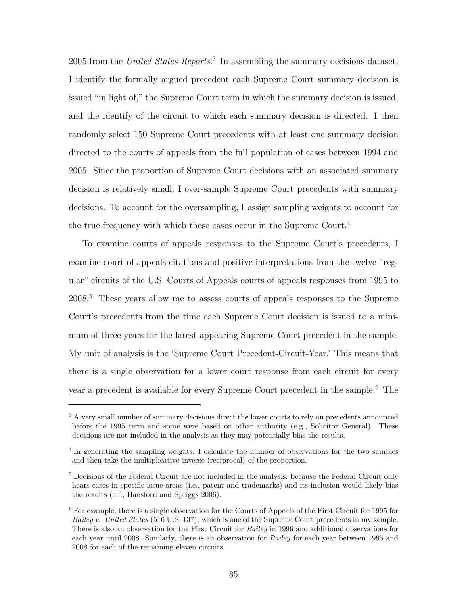2005 from the *United States Reports*. 3 In assembling the summary decisions dataset, I identify the formally argued precedent each Supreme Court summary decision is issued "in light of," the Supreme Court term in which the summary decision is issued, and the identify of the circuit to which each summary decision is directed. I then randomly select 150 Supreme Court precedents with at least one summary decision directed to the courts of appeals from the full population of cases between 1994 and 2005. Since the proportion of Supreme Court decisions with an associated summary decision is relatively small, I over-sample Supreme Court precedents with summary decisions. To account for the oversampling, I assign sampling weights to account for the true frequency with which these cases occur in the Supreme Court.<sup>4</sup>

To examine courts of appeals responses to the Supreme Court's precedents, I examine court of appeals citations and positive interpretations from the twelve "regular" circuits of the U.S. Courts of Appeals courts of appeals responses from 1995 to 2008.<sup>5</sup> These years allow me to assess courts of appeals responses to the Supreme Court's precedents from the time each Supreme Court decision is issued to a minimum of three years for the latest appearing Supreme Court precedent in the sample. My unit of analysis is the 'Supreme Court Precedent-Circuit-Year.' This means that there is a single observation for a lower court response from each circuit for every year a precedent is available for every Supreme Court precedent in the sample.<sup>6</sup> The

<sup>&</sup>lt;sup>3</sup> A very small number of summary decisions direct the lower courts to rely on precedents announced before the 1995 term and some were based on other authority (e.g., Solicitor General). These decisions are not included in the analysis as they may potentially bias the results.

<sup>&</sup>lt;sup>4</sup> In generating the sampling weights, I calculate the number of observations for the two samples and then take the multiplicative inverse (reciprocal) of the proportion.

<sup>&</sup>lt;sup>5</sup> Decisions of the Federal Circuit are not included in the analysis, because the Federal Circuit only hears cases in specific issue areas (i.e., patent and trademarks) and its inclusion would likely bias the results (c.f., Hansford and Spriggs 2006).

<sup>6</sup> For example, there is a single observation for the Courts of Appeals of the First Circuit for 1995 for *Bailey v. United States* (516 U.S. 137), which is one of the Supreme Court precedents in my sample. There is also an observation for the First Circuit for *Bailey* in 1996 and additional observations for each year until 2008. Similarly, there is an observation for *Bailey* for each year between 1995 and 2008 for each of the remaining eleven circuits.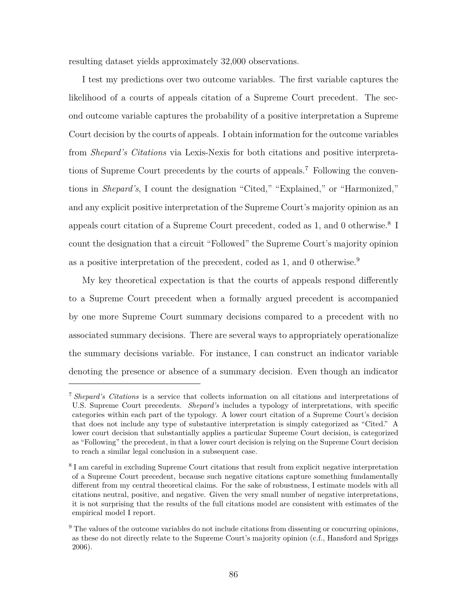resulting dataset yields approximately 32,000 observations.

I test my predictions over two outcome variables. The first variable captures the likelihood of a courts of appeals citation of a Supreme Court precedent. The second outcome variable captures the probability of a positive interpretation a Supreme Court decision by the courts of appeals. I obtain information for the outcome variables from *Shepard's Citations* via Lexis-Nexis for both citations and positive interpretations of Supreme Court precedents by the courts of appeals.<sup>7</sup> Following the conventions in *Shepard's*, I count the designation "Cited," "Explained," or "Harmonized," and any explicit positive interpretation of the Supreme Court's majority opinion as an appeals court citation of a Supreme Court precedent, coded as 1, and 0 otherwise.<sup>8</sup> I count the designation that a circuit "Followed" the Supreme Court's majority opinion as a positive interpretation of the precedent, coded as 1, and 0 otherwise.<sup>9</sup>

My key theoretical expectation is that the courts of appeals respond differently to a Supreme Court precedent when a formally argued precedent is accompanied by one more Supreme Court summary decisions compared to a precedent with no associated summary decisions. There are several ways to appropriately operationalize the summary decisions variable. For instance, I can construct an indicator variable denoting the presence or absence of a summary decision. Even though an indicator

<sup>7</sup> *Shepard's Citations* is a service that collects information on all citations and interpretations of U.S. Supreme Court precedents. *Shepard's* includes a typology of interpretations, with specific categories within each part of the typology. A lower court citation of a Supreme Court's decision that does not include any type of substantive interpretation is simply categorized as "Cited." A lower court decision that substantially applies a particular Supreme Court decision, is categorized as "Following" the precedent, in that a lower court decision is relying on the Supreme Court decision to reach a similar legal conclusion in a subsequent case.

<sup>&</sup>lt;sup>8</sup> I am careful in excluding Supreme Court citations that result from explicit negative interpretation of a Supreme Court precedent, because such negative citations capture something fundamentally different from my central theoretical claims. For the sake of robustness, I estimate models with all citations neutral, positive, and negative. Given the very small number of negative interpretations, it is not surprising that the results of the full citations model are consistent with estimates of the empirical model I report.

 $9$  The values of the outcome variables do not include citations from dissenting or concurring opinions, as these do not directly relate to the Supreme Court's majority opinion (c.f., Hansford and Spriggs 2006).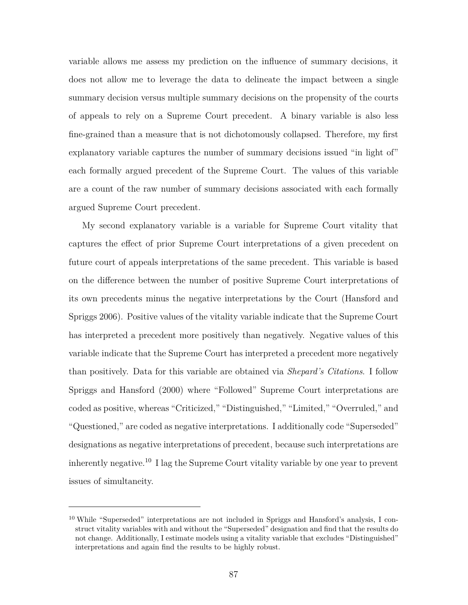variable allows me assess my prediction on the influence of summary decisions, it does not allow me to leverage the data to delineate the impact between a single summary decision versus multiple summary decisions on the propensity of the courts of appeals to rely on a Supreme Court precedent. A binary variable is also less fine-grained than a measure that is not dichotomously collapsed. Therefore, my first explanatory variable captures the number of summary decisions issued "in light of" each formally argued precedent of the Supreme Court. The values of this variable are a count of the raw number of summary decisions associated with each formally argued Supreme Court precedent.

My second explanatory variable is a variable for Supreme Court vitality that captures the effect of prior Supreme Court interpretations of a given precedent on future court of appeals interpretations of the same precedent. This variable is based on the difference between the number of positive Supreme Court interpretations of its own precedents minus the negative interpretations by the Court (Hansford and Spriggs 2006). Positive values of the vitality variable indicate that the Supreme Court has interpreted a precedent more positively than negatively. Negative values of this variable indicate that the Supreme Court has interpreted a precedent more negatively than positively. Data for this variable are obtained via *Shepard's Citations*. I follow Spriggs and Hansford (2000) where "Followed" Supreme Court interpretations are coded as positive, whereas "Criticized," "Distinguished," "Limited," "Overruled," and "Questioned," are coded as negative interpretations. I additionally code "Superseded" designations as negative interpretations of precedent, because such interpretations are inherently negative.<sup>10</sup> I lag the Supreme Court vitality variable by one year to prevent issues of simultaneity.

<sup>&</sup>lt;sup>10</sup> While "Superseded" interpretations are not included in Spriggs and Hansford's analysis, I construct vitality variables with and without the "Superseded" designation and find that the results do not change. Additionally, I estimate models using a vitality variable that excludes "Distinguished" interpretations and again find the results to be highly robust.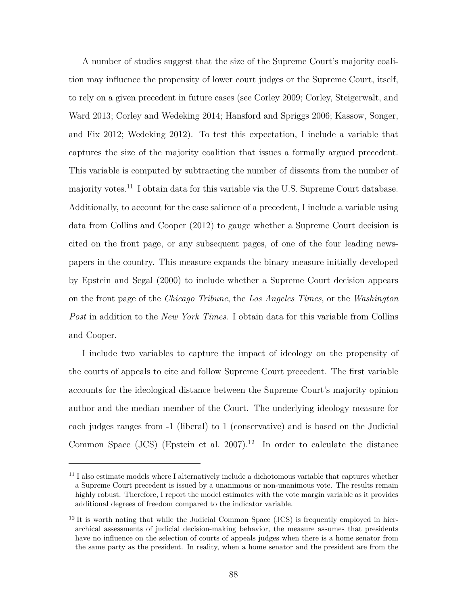A number of studies suggest that the size of the Supreme Court's majority coalition may influence the propensity of lower court judges or the Supreme Court, itself, to rely on a given precedent in future cases (see Corley 2009; Corley, Steigerwalt, and Ward 2013; Corley and Wedeking 2014; Hansford and Spriggs 2006; Kassow, Songer, and Fix 2012; Wedeking 2012). To test this expectation, I include a variable that captures the size of the majority coalition that issues a formally argued precedent. This variable is computed by subtracting the number of dissents from the number of majority votes.<sup>11</sup> I obtain data for this variable via the U.S. Supreme Court database. Additionally, to account for the case salience of a precedent, I include a variable using data from Collins and Cooper (2012) to gauge whether a Supreme Court decision is cited on the front page, or any subsequent pages, of one of the four leading newspapers in the country. This measure expands the binary measure initially developed by Epstein and Segal (2000) to include whether a Supreme Court decision appears on the front page of the *Chicago Tribune*, the *Los Angeles Times*, or the *Washington Post* in addition to the *New York Times*. I obtain data for this variable from Collins and Cooper.

I include two variables to capture the impact of ideology on the propensity of the courts of appeals to cite and follow Supreme Court precedent. The first variable accounts for the ideological distance between the Supreme Court's majority opinion author and the median member of the Court. The underlying ideology measure for each judges ranges from -1 (liberal) to 1 (conservative) and is based on the Judicial Common Space (JCS) (Epstein et al. 2007).<sup>12</sup> In order to calculate the distance

 $11$  I also estimate models where I alternatively include a dichotomous variable that captures whether a Supreme Court precedent is issued by a unanimous or non-unanimous vote. The results remain highly robust. Therefore, I report the model estimates with the vote margin variable as it provides additional degrees of freedom compared to the indicator variable.

 $12$  It is worth noting that while the Judicial Common Space (JCS) is frequently employed in hierarchical assessments of judicial decision-making behavior, the measure assumes that presidents have no influence on the selection of courts of appeals judges when there is a home senator from the same party as the president. In reality, when a home senator and the president are from the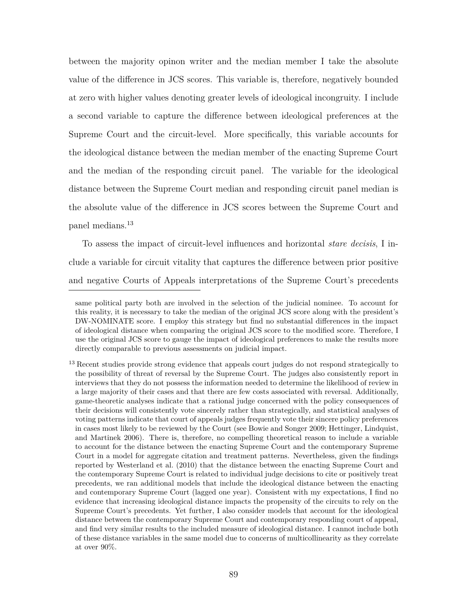between the majority opinon writer and the median member I take the absolute value of the difference in JCS scores. This variable is, therefore, negatively bounded at zero with higher values denoting greater levels of ideological incongruity. I include a second variable to capture the difference between ideological preferences at the Supreme Court and the circuit-level. More specifically, this variable accounts for the ideological distance between the median member of the enacting Supreme Court and the median of the responding circuit panel. The variable for the ideological distance between the Supreme Court median and responding circuit panel median is the absolute value of the difference in JCS scores between the Supreme Court and panel medians.<sup>13</sup>

To assess the impact of circuit-level influences and horizontal *stare decisis*, I include a variable for circuit vitality that captures the difference between prior positive and negative Courts of Appeals interpretations of the Supreme Court's precedents

same political party both are involved in the selection of the judicial nominee. To account for this reality, it is necessary to take the median of the original JCS score along with the president's DW-NOMINATE score. I employ this strategy but find no substantial differences in the impact of ideological distance when comparing the original JCS score to the modified score. Therefore, I use the original JCS score to gauge the impact of ideological preferences to make the results more directly comparable to previous assessments on judicial impact.

<sup>&</sup>lt;sup>13</sup> Recent studies provide strong evidence that appeals court judges do not respond strategically to the possibility of threat of reversal by the Supreme Court. The judges also consistently report in interviews that they do not possess the information needed to determine the likelihood of review in a large majority of their cases and that there are few costs associated with reversal. Additionally, game-theoretic analyses indicate that a rational judge concerned with the policy consequences of their decisions will consistently vote sincerely rather than strategically, and statistical analyses of voting patterns indicate that court of appeals judges frequently vote their sincere policy preferences in cases most likely to be reviewed by the Court (see Bowie and Songer 2009; Hettinger, Lindquist, and Martinek 2006). There is, therefore, no compelling theoretical reason to include a variable to account for the distance between the enacting Supreme Court and the contemporary Supreme Court in a model for aggregate citation and treatment patterns. Nevertheless, given the findings reported by Westerland et al. (2010) that the distance between the enacting Supreme Court and the contemporary Supreme Court is related to individual judge decisions to cite or positively treat precedents, we ran additional models that include the ideological distance between the enacting and contemporary Supreme Court (lagged one year). Consistent with my expectations, I find no evidence that increasing ideological distance impacts the propensity of the circuits to rely on the Supreme Court's precedents. Yet further, I also consider models that account for the ideological distance between the contemporary Supreme Court and contemporary responding court of appeal, and find very similar results to the included measure of ideological distance. I cannot include both of these distance variables in the same model due to concerns of multicollinearity as they correlate at over 90%.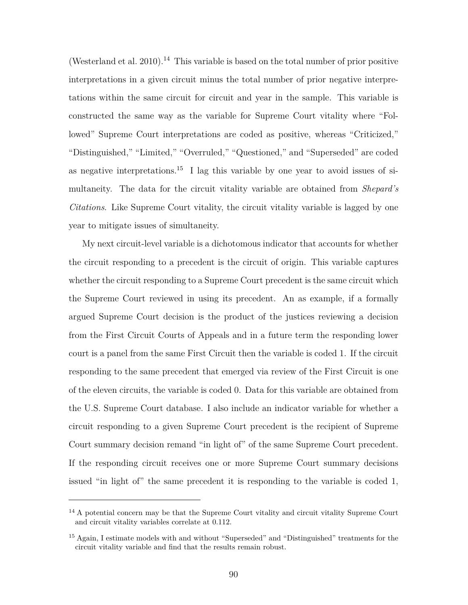(Westerland et al. 2010).<sup>14</sup> This variable is based on the total number of prior positive interpretations in a given circuit minus the total number of prior negative interpretations within the same circuit for circuit and year in the sample. This variable is constructed the same way as the variable for Supreme Court vitality where "Followed" Supreme Court interpretations are coded as positive, whereas "Criticized," "Distinguished," "Limited," "Overruled," "Questioned," and "Superseded" are coded as negative interpretations.<sup>15</sup> I lag this variable by one year to avoid issues of simultaneity. The data for the circuit vitality variable are obtained from *Shepard's Citations*. Like Supreme Court vitality, the circuit vitality variable is lagged by one year to mitigate issues of simultaneity.

My next circuit-level variable is a dichotomous indicator that accounts for whether the circuit responding to a precedent is the circuit of origin. This variable captures whether the circuit responding to a Supreme Court precedent is the same circuit which the Supreme Court reviewed in using its precedent. An as example, if a formally argued Supreme Court decision is the product of the justices reviewing a decision from the First Circuit Courts of Appeals and in a future term the responding lower court is a panel from the same First Circuit then the variable is coded 1. If the circuit responding to the same precedent that emerged via review of the First Circuit is one of the eleven circuits, the variable is coded 0. Data for this variable are obtained from the U.S. Supreme Court database. I also include an indicator variable for whether a circuit responding to a given Supreme Court precedent is the recipient of Supreme Court summary decision remand "in light of" of the same Supreme Court precedent. If the responding circuit receives one or more Supreme Court summary decisions issued "in light of" the same precedent it is responding to the variable is coded 1,

<sup>&</sup>lt;sup>14</sup> A potential concern may be that the Supreme Court vitality and circuit vitality Supreme Court and circuit vitality variables correlate at 0.112.

<sup>&</sup>lt;sup>15</sup> Again, I estimate models with and without "Superseded" and "Distinguished" treatments for the circuit vitality variable and find that the results remain robust.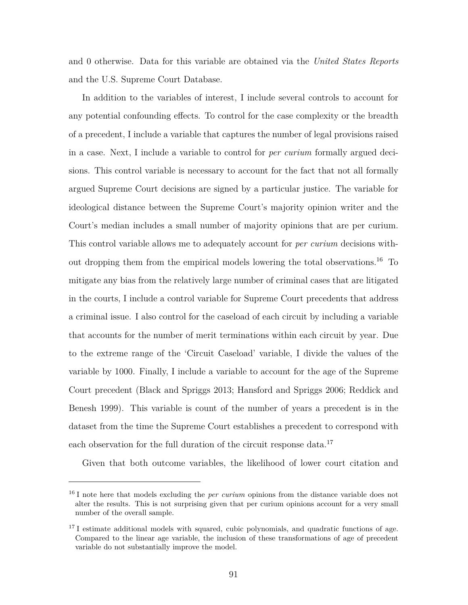and 0 otherwise. Data for this variable are obtained via the *United States Reports* and the U.S. Supreme Court Database.

In addition to the variables of interest, I include several controls to account for any potential confounding effects. To control for the case complexity or the breadth of a precedent, I include a variable that captures the number of legal provisions raised in a case. Next, I include a variable to control for *per curium* formally argued decisions. This control variable is necessary to account for the fact that not all formally argued Supreme Court decisions are signed by a particular justice. The variable for ideological distance between the Supreme Court's majority opinion writer and the Court's median includes a small number of majority opinions that are per curium. This control variable allows me to adequately account for *per curium* decisions without dropping them from the empirical models lowering the total observations.<sup>16</sup> To mitigate any bias from the relatively large number of criminal cases that are litigated in the courts, I include a control variable for Supreme Court precedents that address a criminal issue. I also control for the caseload of each circuit by including a variable that accounts for the number of merit terminations within each circuit by year. Due to the extreme range of the 'Circuit Caseload' variable, I divide the values of the variable by 1000. Finally, I include a variable to account for the age of the Supreme Court precedent (Black and Spriggs 2013; Hansford and Spriggs 2006; Reddick and Benesh 1999). This variable is count of the number of years a precedent is in the dataset from the time the Supreme Court establishes a precedent to correspond with each observation for the full duration of the circuit response data.<sup>17</sup>

Given that both outcome variables, the likelihood of lower court citation and

<sup>&</sup>lt;sup>16</sup> I note here that models excluding the *per curium* opinions from the distance variable does not alter the results. This is not surprising given that per curium opinions account for a very small number of the overall sample.

<sup>&</sup>lt;sup>17</sup> I estimate additional models with squared, cubic polynomials, and quadratic functions of age. Compared to the linear age variable, the inclusion of these transformations of age of precedent variable do not substantially improve the model.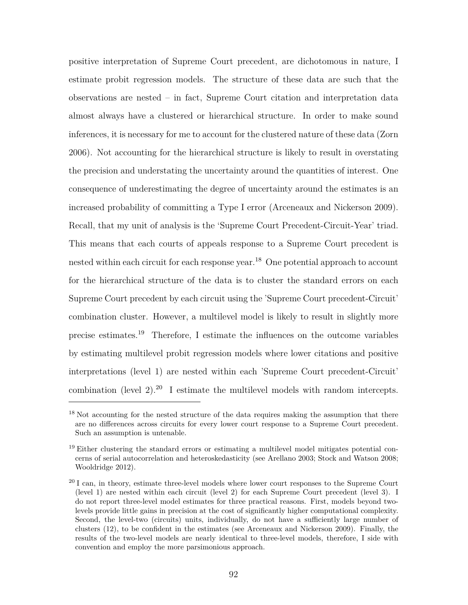positive interpretation of Supreme Court precedent, are dichotomous in nature, I estimate probit regression models. The structure of these data are such that the observations are nested – in fact, Supreme Court citation and interpretation data almost always have a clustered or hierarchical structure. In order to make sound inferences, it is necessary for me to account for the clustered nature of these data (Zorn 2006). Not accounting for the hierarchical structure is likely to result in overstating the precision and understating the uncertainty around the quantities of interest. One consequence of underestimating the degree of uncertainty around the estimates is an increased probability of committing a Type I error (Arceneaux and Nickerson 2009). Recall, that my unit of analysis is the 'Supreme Court Precedent-Circuit-Year' triad. This means that each courts of appeals response to a Supreme Court precedent is nested within each circuit for each response year.<sup>18</sup> One potential approach to account for the hierarchical structure of the data is to cluster the standard errors on each Supreme Court precedent by each circuit using the 'Supreme Court precedent-Circuit' combination cluster. However, a multilevel model is likely to result in slightly more precise estimates.<sup>19</sup> Therefore, I estimate the influences on the outcome variables by estimating multilevel probit regression models where lower citations and positive interpretations (level 1) are nested within each 'Supreme Court precedent-Circuit' combination (level  $2$ ).<sup>20</sup> I estimate the multilevel models with random intercepts.

<sup>&</sup>lt;sup>18</sup> Not accounting for the nested structure of the data requires making the assumption that there are no differences across circuits for every lower court response to a Supreme Court precedent. Such an assumption is untenable.

<sup>&</sup>lt;sup>19</sup> Either clustering the standard errors or estimating a multilevel model mitigates potential concerns of serial autocorrelation and heteroskedasticity (see Arellano 2003; Stock and Watson 2008; Wooldridge 2012).

<sup>&</sup>lt;sup>20</sup> I can, in theory, estimate three-level models where lower court responses to the Supreme Court (level 1) are nested within each circuit (level 2) for each Supreme Court precedent (level 3). I do not report three-level model estimates for three practical reasons. First, models beyond twolevels provide little gains in precision at the cost of significantly higher computational complexity. Second, the level-two (circuits) units, individually, do not have a sufficiently large number of clusters (12), to be confident in the estimates (see Arceneaux and Nickerson 2009). Finally, the results of the two-level models are nearly identical to three-level models, therefore, I side with convention and employ the more parsimonious approach.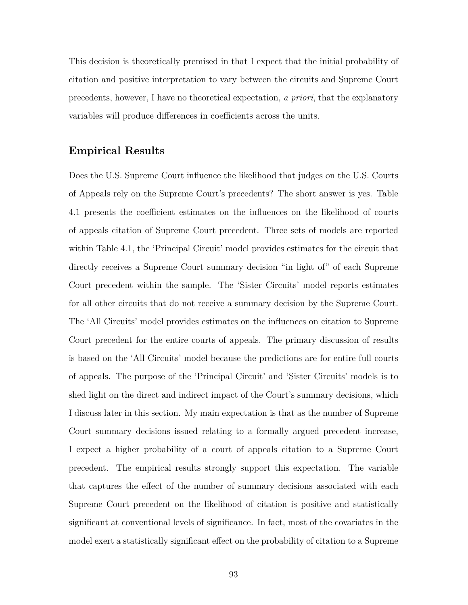This decision is theoretically premised in that I expect that the initial probability of citation and positive interpretation to vary between the circuits and Supreme Court precedents, however, I have no theoretical expectation, *a priori*, that the explanatory variables will produce differences in coefficients across the units.

# **Empirical Results**

Does the U.S. Supreme Court influence the likelihood that judges on the U.S. Courts of Appeals rely on the Supreme Court's precedents? The short answer is yes. Table 4.1 presents the coefficient estimates on the influences on the likelihood of courts of appeals citation of Supreme Court precedent. Three sets of models are reported within Table 4.1, the 'Principal Circuit' model provides estimates for the circuit that directly receives a Supreme Court summary decision "in light of" of each Supreme Court precedent within the sample. The 'Sister Circuits' model reports estimates for all other circuits that do not receive a summary decision by the Supreme Court. The 'All Circuits' model provides estimates on the influences on citation to Supreme Court precedent for the entire courts of appeals. The primary discussion of results is based on the 'All Circuits' model because the predictions are for entire full courts of appeals. The purpose of the 'Principal Circuit' and 'Sister Circuits' models is to shed light on the direct and indirect impact of the Court's summary decisions, which I discuss later in this section. My main expectation is that as the number of Supreme Court summary decisions issued relating to a formally argued precedent increase, I expect a higher probability of a court of appeals citation to a Supreme Court precedent. The empirical results strongly support this expectation. The variable that captures the effect of the number of summary decisions associated with each Supreme Court precedent on the likelihood of citation is positive and statistically significant at conventional levels of significance. In fact, most of the covariates in the model exert a statistically significant effect on the probability of citation to a Supreme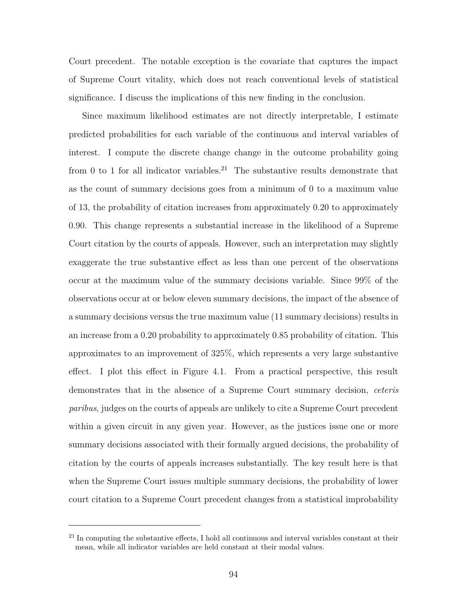Court precedent. The notable exception is the covariate that captures the impact of Supreme Court vitality, which does not reach conventional levels of statistical significance. I discuss the implications of this new finding in the conclusion.

Since maximum likelihood estimates are not directly interpretable, I estimate predicted probabilities for each variable of the continuous and interval variables of interest. I compute the discrete change change in the outcome probability going from 0 to 1 for all indicator variables.<sup>21</sup> The substantive results demonstrate that as the count of summary decisions goes from a minimum of 0 to a maximum value of 13, the probability of citation increases from approximately 0.20 to approximately 0.90. This change represents a substantial increase in the likelihood of a Supreme Court citation by the courts of appeals. However, such an interpretation may slightly exaggerate the true substantive effect as less than one percent of the observations occur at the maximum value of the summary decisions variable. Since 99% of the observations occur at or below eleven summary decisions, the impact of the absence of a summary decisions versus the true maximum value (11 summary decisions) results in an increase from a 0.20 probability to approximately 0.85 probability of citation. This approximates to an improvement of 325%, which represents a very large substantive effect. I plot this effect in Figure 4.1. From a practical perspective, this result demonstrates that in the absence of a Supreme Court summary decision, *ceteris paribus*, judges on the courts of appeals are unlikely to cite a Supreme Court precedent within a given circuit in any given year. However, as the justices issue one or more summary decisions associated with their formally argued decisions, the probability of citation by the courts of appeals increases substantially. The key result here is that when the Supreme Court issues multiple summary decisions, the probability of lower court citation to a Supreme Court precedent changes from a statistical improbability

 $21$  In computing the substantive effects, I hold all continuous and interval variables constant at their mean, while all indicator variables are held constant at their modal values.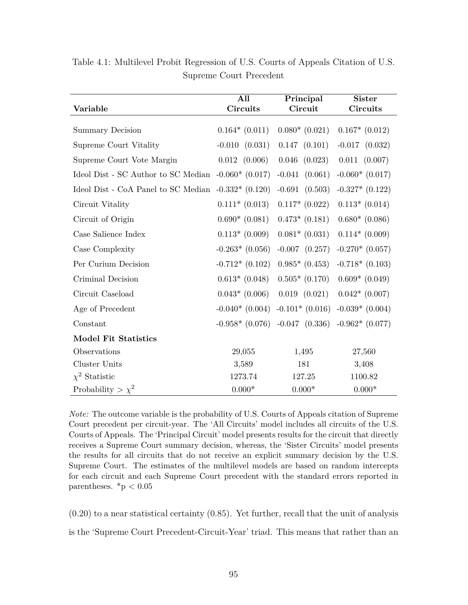|                                                      | All                 | Principal          | <b>Sister</b>       |
|------------------------------------------------------|---------------------|--------------------|---------------------|
| Variable                                             | Circuits            | Circuit            | Circuits            |
| <b>Summary Decision</b>                              | $0.164*(0.011)$     | $0.080*$ $(0.021)$ | $0.167*$ $(0.012)$  |
| Supreme Court Vitality                               | $-0.010$ $(0.031)$  | $0.147$ $(0.101)$  | $-0.017$ $(0.032)$  |
| Supreme Court Vote Margin                            | $0.012$ $(0.006)$   | $0.046$ $(0.023)$  | $0.011$ $(0.007)$   |
| Ideol Dist - SC Author to SC Median $-0.060*(0.017)$ |                     | $-0.041$ $(0.061)$ | $-0.060*(0.017)$    |
| Ideol Dist - CoA Panel to SC Median $-0.332*(0.120)$ |                     | $-0.691$ $(0.503)$ | $-0.327*$ $(0.122)$ |
| Circuit Vitality                                     | $0.111*(0.013)$     | $0.117*$ $(0.022)$ | $0.113*(0.014)$     |
| Circuit of Origin                                    | $0.690*(0.081)$     | $0.473*$ $(0.181)$ | $0.680*$ (0.086)    |
| Case Salience Index                                  | $0.113*(0.009)$     | $0.081*$ (0.031)   | $0.114*(0.009)$     |
| Case Complexity                                      | $-0.263*$ (0.056)   | $-0.007$ $(0.257)$ | $-0.270*(0.057)$    |
| Per Curium Decision                                  | $-0.712*(0.102)$    | $0.985*$ $(0.453)$ | $-0.718*(0.103)$    |
| Criminal Decision                                    | $0.613*$ (0.048)    | $0.505*$ $(0.170)$ | $0.609*$ (0.049)    |
| Circuit Caseload                                     | $0.043*$ (0.006)    | $0.019$ $(0.021)$  | $0.042*$ (0.007)    |
| Age of Precedent                                     | $-0.040*(0.004)$    | $-0.101*$ (0.016)  | $-0.039*(0.004)$    |
| Constant                                             | $-0.958*$ $(0.076)$ | $-0.047$ $(0.336)$ | $-0.962*(0.077)$    |
| <b>Model Fit Statistics</b>                          |                     |                    |                     |
| Observations                                         | 29,055              | 1,495              | 27,560              |
| Cluster Units                                        | 3,589               | 181                | 3,408               |
| $\chi^2$ Statistic                                   | 1273.74             | 127.25             | 1100.82             |
| Probability > $\chi^2$                               | $0.000\text{*}$     | $0.000*$           | $0.000*$            |

Table 4.1: Multilevel Probit Regression of U.S. Courts of Appeals Citation of U.S. Supreme Court Precedent

*Note:* The outcome variable is the probability of U.S. Courts of Appeals citation of Supreme Court precedent per circuit-year. The 'All Circuits' model includes all circuits of the U.S. Courts of Appeals. The 'Principal Circuit' model presents results for the circuit that directly receives a Supreme Court summary decision, whereas, the 'Sister Circuits' model presents the results for all circuits that do not receive an explicit summary decision by the U.S. Supreme Court. The estimates of the multilevel models are based on random intercepts for each circuit and each Supreme Court precedent with the standard errors reported in parentheses.  $*<sub>p</sub> < 0.05$ 

 $(0.20)$  to a near statistical certainty  $(0.85)$ . Yet further, recall that the unit of analysis is the 'Supreme Court Precedent-Circuit-Year' triad. This means that rather than an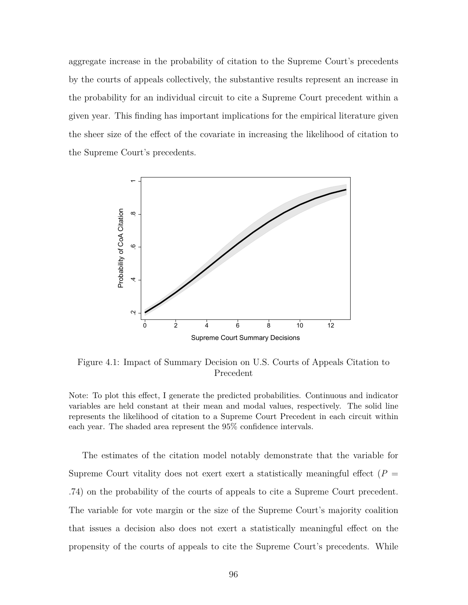aggregate increase in the probability of citation to the Supreme Court's precedents by the courts of appeals collectively, the substantive results represent an increase in the probability for an individual circuit to cite a Supreme Court precedent within a given year. This finding has important implications for the empirical literature given the sheer size of the effect of the covariate in increasing the likelihood of citation to the Supreme Court's precedents.



Figure 4.1: Impact of Summary Decision on U.S. Courts of Appeals Citation to Precedent

Note: To plot this effect, I generate the predicted probabilities. Continuous and indicator variables are held constant at their mean and modal values, respectively. The solid line represents the likelihood of citation to a Supreme Court Precedent in each circuit within each year. The shaded area represent the 95% confidence intervals.

The estimates of the citation model notably demonstrate that the variable for Supreme Court vitality does not exert exert a statistically meaningful effect  $(P =$ .74) on the probability of the courts of appeals to cite a Supreme Court precedent. The variable for vote margin or the size of the Supreme Court's majority coalition that issues a decision also does not exert a statistically meaningful effect on the propensity of the courts of appeals to cite the Supreme Court's precedents. While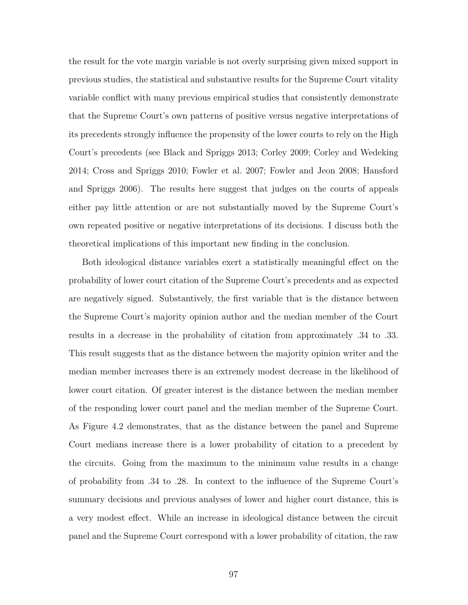the result for the vote margin variable is not overly surprising given mixed support in previous studies, the statistical and substantive results for the Supreme Court vitality variable conflict with many previous empirical studies that consistently demonstrate that the Supreme Court's own patterns of positive versus negative interpretations of its precedents strongly influence the propensity of the lower courts to rely on the High Court's precedents (see Black and Spriggs 2013; Corley 2009; Corley and Wedeking 2014; Cross and Spriggs 2010; Fowler et al. 2007; Fowler and Jeon 2008; Hansford and Spriggs 2006). The results here suggest that judges on the courts of appeals either pay little attention or are not substantially moved by the Supreme Court's own repeated positive or negative interpretations of its decisions. I discuss both the theoretical implications of this important new finding in the conclusion.

Both ideological distance variables exert a statistically meaningful effect on the probability of lower court citation of the Supreme Court's precedents and as expected are negatively signed. Substantively, the first variable that is the distance between the Supreme Court's majority opinion author and the median member of the Court results in a decrease in the probability of citation from approximately .34 to .33. This result suggests that as the distance between the majority opinion writer and the median member increases there is an extremely modest decrease in the likelihood of lower court citation. Of greater interest is the distance between the median member of the responding lower court panel and the median member of the Supreme Court. As Figure 4.2 demonstrates, that as the distance between the panel and Supreme Court medians increase there is a lower probability of citation to a precedent by the circuits. Going from the maximum to the minimum value results in a change of probability from .34 to .28. In context to the influence of the Supreme Court's summary decisions and previous analyses of lower and higher court distance, this is a very modest effect. While an increase in ideological distance between the circuit panel and the Supreme Court correspond with a lower probability of citation, the raw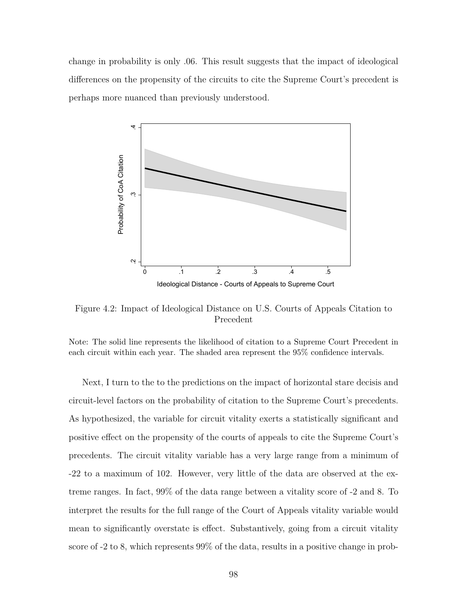change in probability is only .06. This result suggests that the impact of ideological differences on the propensity of the circuits to cite the Supreme Court's precedent is perhaps more nuanced than previously understood.



Figure 4.2: Impact of Ideological Distance on U.S. Courts of Appeals Citation to Precedent

Note: The solid line represents the likelihood of citation to a Supreme Court Precedent in each circuit within each year. The shaded area represent the 95% confidence intervals.

Next, I turn to the to the predictions on the impact of horizontal stare decisis and circuit-level factors on the probability of citation to the Supreme Court's precedents. As hypothesized, the variable for circuit vitality exerts a statistically significant and positive effect on the propensity of the courts of appeals to cite the Supreme Court's precedents. The circuit vitality variable has a very large range from a minimum of -22 to a maximum of 102. However, very little of the data are observed at the extreme ranges. In fact, 99% of the data range between a vitality score of -2 and 8. To interpret the results for the full range of the Court of Appeals vitality variable would mean to significantly overstate is effect. Substantively, going from a circuit vitality score of -2 to 8, which represents 99% of the data, results in a positive change in prob-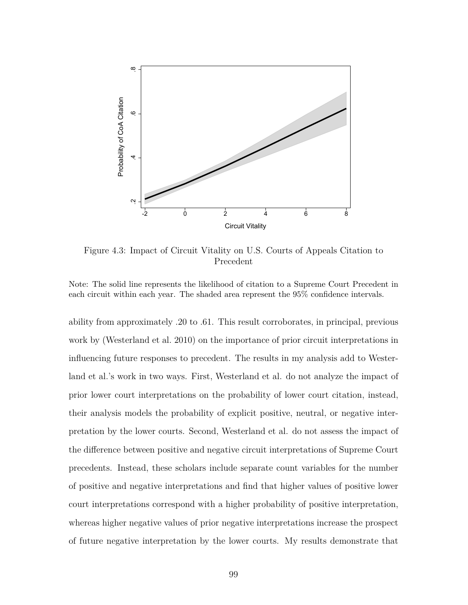

Figure 4.3: Impact of Circuit Vitality on U.S. Courts of Appeals Citation to Precedent

Note: The solid line represents the likelihood of citation to a Supreme Court Precedent in each circuit within each year. The shaded area represent the 95% confidence intervals.

ability from approximately .20 to .61. This result corroborates, in principal, previous work by (Westerland et al. 2010) on the importance of prior circuit interpretations in influencing future responses to precedent. The results in my analysis add to Westerland et al.'s work in two ways. First, Westerland et al. do not analyze the impact of prior lower court interpretations on the probability of lower court citation, instead, their analysis models the probability of explicit positive, neutral, or negative interpretation by the lower courts. Second, Westerland et al. do not assess the impact of the difference between positive and negative circuit interpretations of Supreme Court precedents. Instead, these scholars include separate count variables for the number of positive and negative interpretations and find that higher values of positive lower court interpretations correspond with a higher probability of positive interpretation, whereas higher negative values of prior negative interpretations increase the prospect of future negative interpretation by the lower courts. My results demonstrate that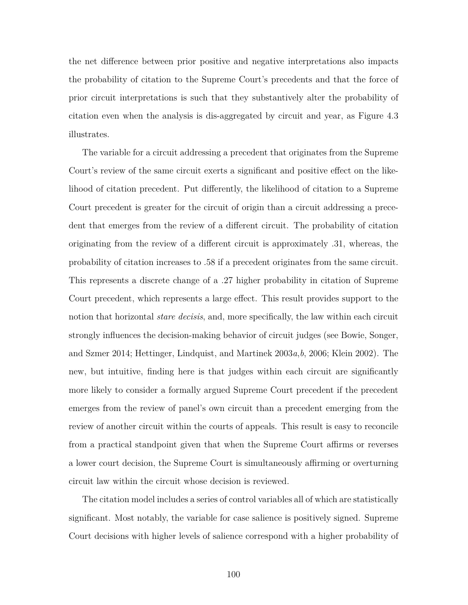the net difference between prior positive and negative interpretations also impacts the probability of citation to the Supreme Court's precedents and that the force of prior circuit interpretations is such that they substantively alter the probability of citation even when the analysis is dis-aggregated by circuit and year, as Figure 4.3 illustrates.

The variable for a circuit addressing a precedent that originates from the Supreme Court's review of the same circuit exerts a significant and positive effect on the likelihood of citation precedent. Put differently, the likelihood of citation to a Supreme Court precedent is greater for the circuit of origin than a circuit addressing a precedent that emerges from the review of a different circuit. The probability of citation originating from the review of a different circuit is approximately .31, whereas, the probability of citation increases to .58 if a precedent originates from the same circuit. This represents a discrete change of a .27 higher probability in citation of Supreme Court precedent, which represents a large effect. This result provides support to the notion that horizontal *stare decisis*, and, more specifically, the law within each circuit strongly influences the decision-making behavior of circuit judges (see Bowie, Songer, and Szmer 2014; Hettinger, Lindquist, and Martinek 2003*a*,*b*, 2006; Klein 2002). The new, but intuitive, finding here is that judges within each circuit are significantly more likely to consider a formally argued Supreme Court precedent if the precedent emerges from the review of panel's own circuit than a precedent emerging from the review of another circuit within the courts of appeals. This result is easy to reconcile from a practical standpoint given that when the Supreme Court affirms or reverses a lower court decision, the Supreme Court is simultaneously affirming or overturning circuit law within the circuit whose decision is reviewed.

The citation model includes a series of control variables all of which are statistically significant. Most notably, the variable for case salience is positively signed. Supreme Court decisions with higher levels of salience correspond with a higher probability of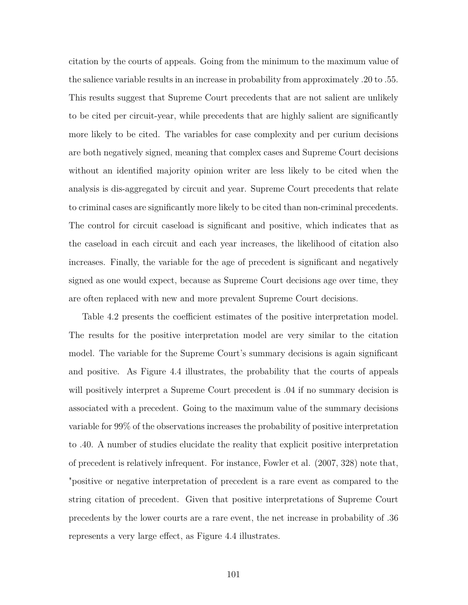citation by the courts of appeals. Going from the minimum to the maximum value of the salience variable results in an increase in probability from approximately .20 to .55. This results suggest that Supreme Court precedents that are not salient are unlikely to be cited per circuit-year, while precedents that are highly salient are significantly more likely to be cited. The variables for case complexity and per curium decisions are both negatively signed, meaning that complex cases and Supreme Court decisions without an identified majority opinion writer are less likely to be cited when the analysis is dis-aggregated by circuit and year. Supreme Court precedents that relate to criminal cases are significantly more likely to be cited than non-criminal precedents. The control for circuit caseload is significant and positive, which indicates that as the caseload in each circuit and each year increases, the likelihood of citation also increases. Finally, the variable for the age of precedent is significant and negatively signed as one would expect, because as Supreme Court decisions age over time, they are often replaced with new and more prevalent Supreme Court decisions.

Table 4.2 presents the coefficient estimates of the positive interpretation model. The results for the positive interpretation model are very similar to the citation model. The variable for the Supreme Court's summary decisions is again significant and positive. As Figure 4.4 illustrates, the probability that the courts of appeals will positively interpret a Supreme Court precedent is  $.04$  if no summary decision is associated with a precedent. Going to the maximum value of the summary decisions variable for 99% of the observations increases the probability of positive interpretation to .40. A number of studies elucidate the reality that explicit positive interpretation of precedent is relatively infrequent. For instance, Fowler et al. (2007, 328) note that, "positive or negative interpretation of precedent is a rare event as compared to the string citation of precedent. Given that positive interpretations of Supreme Court precedents by the lower courts are a rare event, the net increase in probability of .36 represents a very large effect, as Figure 4.4 illustrates.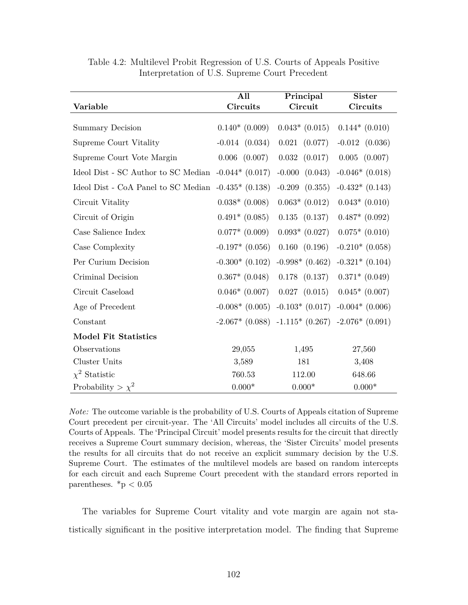|                                                       | All                | Principal                                             | <b>Sister</b>      |
|-------------------------------------------------------|--------------------|-------------------------------------------------------|--------------------|
| Variable                                              | <b>Circuits</b>    | Circuit                                               | Circuits           |
| <b>Summary Decision</b>                               | $0.140*(0.009)$    | $0.043*$ (0.015)                                      | $0.144*(0.010)$    |
| Supreme Court Vitality                                | $-0.014$ $(0.034)$ | $0.021$ $(0.077)$                                     | $-0.012$ $(0.036)$ |
| Supreme Court Vote Margin                             | $0.006$ $(0.007)$  | $0.032$ $(0.017)$                                     | $0.005$ $(0.007)$  |
| Ideol Dist - SC Author to SC Median $-0.044*$ (0.017) |                    | $-0.000$<br>(0.043)                                   | $-0.046*$ (0.018)  |
| Ideol Dist - CoA Panel to SC Median $-0.435*(0.138)$  |                    | $-0.209$ $(0.355)$                                    | $-0.432*(0.143)$   |
| Circuit Vitality                                      | $0.038*$ $(0.008)$ | $0.063*$ (0.012)                                      | $0.043*$ (0.010)   |
| Circuit of Origin                                     | $0.491*$ (0.085)   | $0.135$ $(0.137)$                                     | $0.487*$ $(0.092)$ |
| Case Salience Index                                   | $0.077*$ (0.009)   | $0.093*$ (0.027)                                      | $0.075*$ (0.010)   |
| Case Complexity                                       | $-0.197*$ (0.056)  | 0.160 (0.196)                                         | $-0.210*(0.058)$   |
| Per Curium Decision                                   | $-0.300*$ (0.102)  | $-0.998*(0.462)$                                      | $-0.321*(0.104)$   |
| Criminal Decision                                     | $0.367*$ $(0.048)$ | $0.178$ $(0.137)$                                     | $0.371*$ (0.049)   |
| Circuit Caseload                                      | $0.046*(0.007)$    | $0.027$ $(0.015)$                                     | $0.045*$ (0.007)   |
| Age of Precedent                                      | $-0.008*$ (0.005)  | $-0.103*(0.017)$                                      | $-0.004*(0.006)$   |
| Constant                                              |                    | $-2.067*$ (0.088) $-1.115*$ (0.267) $-2.076*$ (0.091) |                    |
| <b>Model Fit Statistics</b>                           |                    |                                                       |                    |
| Observations                                          | 29,055             | 1,495                                                 | 27,560             |
| Cluster Units                                         | 3,589              | 181                                                   | 3,408              |
| $\chi^2$ Statistic                                    | 760.53             | 112.00                                                | 648.66             |
| Probability > $\chi^2$                                | $0.000*$           | $0.000*$                                              | $0.000*$           |

Table 4.2: Multilevel Probit Regression of U.S. Courts of Appeals Positive Interpretation of U.S. Supreme Court Precedent

*Note:* The outcome variable is the probability of U.S. Courts of Appeals citation of Supreme Court precedent per circuit-year. The 'All Circuits' model includes all circuits of the U.S. Courts of Appeals. The 'Principal Circuit' model presents results for the circuit that directly receives a Supreme Court summary decision, whereas, the 'Sister Circuits' model presents the results for all circuits that do not receive an explicit summary decision by the U.S. Supreme Court. The estimates of the multilevel models are based on random intercepts for each circuit and each Supreme Court precedent with the standard errors reported in parentheses.  $*<sub>p</sub> < 0.05$ 

The variables for Supreme Court vitality and vote margin are again not statistically significant in the positive interpretation model. The finding that Supreme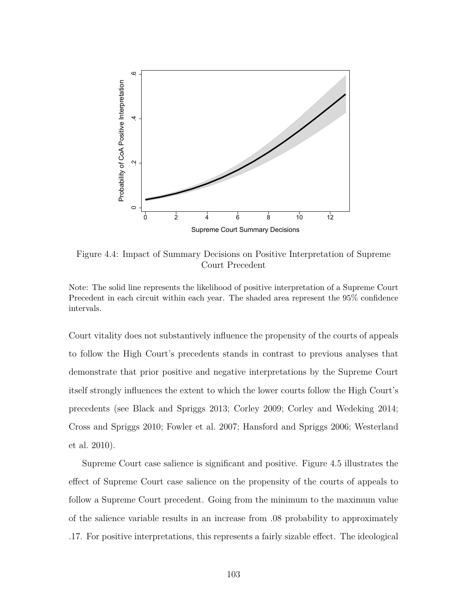

Figure 4.4: Impact of Summary Decisions on Positive Interpretation of Supreme Court Precedent

Note: The solid line represents the likelihood of positive interpretation of a Supreme Court Precedent in each circuit within each year. The shaded area represent the 95% confidence intervals.

Court vitality does not substantively influence the propensity of the courts of appeals to follow the High Court's precedents stands in contrast to previous analyses that demonstrate that prior positive and negative interpretations by the Supreme Court itself strongly influences the extent to which the lower courts follow the High Court's precedents (see Black and Spriggs 2013; Corley 2009; Corley and Wedeking 2014; Cross and Spriggs 2010; Fowler et al. 2007; Hansford and Spriggs 2006; Westerland et al. 2010).

Supreme Court case salience is significant and positive. Figure 4.5 illustrates the effect of Supreme Court case salience on the propensity of the courts of appeals to follow a Supreme Court precedent. Going from the minimum to the maximum value of the salience variable results in an increase from .08 probability to approximately .17. For positive interpretations, this represents a fairly sizable effect. The ideological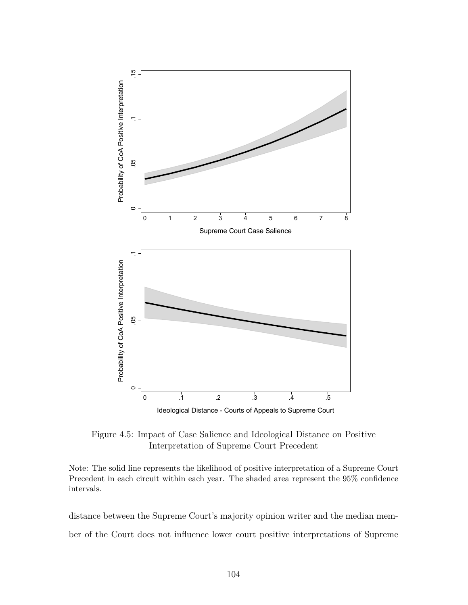

Figure 4.5: Impact of Case Salience and Ideological Distance on Positive Interpretation of Supreme Court Precedent

Note: The solid line represents the likelihood of positive interpretation of a Supreme Court Precedent in each circuit within each year. The shaded area represent the 95% confidence intervals.

distance between the Supreme Court's majority opinion writer and the median member of the Court does not influence lower court positive interpretations of Supreme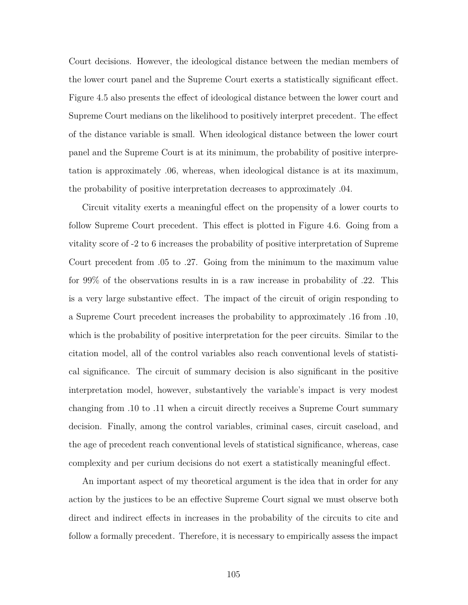Court decisions. However, the ideological distance between the median members of the lower court panel and the Supreme Court exerts a statistically significant effect. Figure 4.5 also presents the effect of ideological distance between the lower court and Supreme Court medians on the likelihood to positively interpret precedent. The effect of the distance variable is small. When ideological distance between the lower court panel and the Supreme Court is at its minimum, the probability of positive interpretation is approximately .06, whereas, when ideological distance is at its maximum, the probability of positive interpretation decreases to approximately .04.

Circuit vitality exerts a meaningful effect on the propensity of a lower courts to follow Supreme Court precedent. This effect is plotted in Figure 4.6. Going from a vitality score of -2 to 6 increases the probability of positive interpretation of Supreme Court precedent from .05 to .27. Going from the minimum to the maximum value for 99% of the observations results in is a raw increase in probability of .22. This is a very large substantive effect. The impact of the circuit of origin responding to a Supreme Court precedent increases the probability to approximately .16 from .10, which is the probability of positive interpretation for the peer circuits. Similar to the citation model, all of the control variables also reach conventional levels of statistical significance. The circuit of summary decision is also significant in the positive interpretation model, however, substantively the variable's impact is very modest changing from .10 to .11 when a circuit directly receives a Supreme Court summary decision. Finally, among the control variables, criminal cases, circuit caseload, and the age of precedent reach conventional levels of statistical significance, whereas, case complexity and per curium decisions do not exert a statistically meaningful effect.

An important aspect of my theoretical argument is the idea that in order for any action by the justices to be an effective Supreme Court signal we must observe both direct and indirect effects in increases in the probability of the circuits to cite and follow a formally precedent. Therefore, it is necessary to empirically assess the impact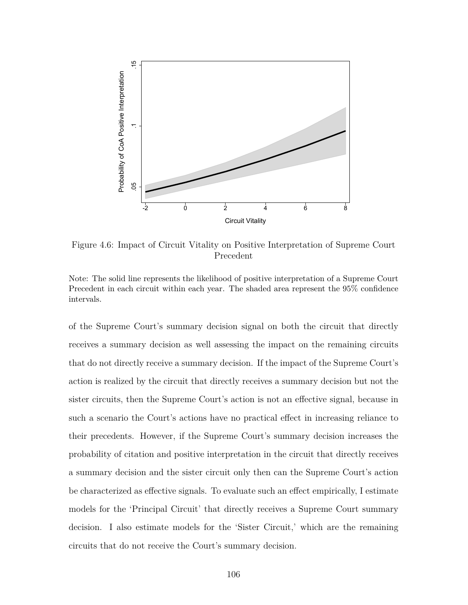

Figure 4.6: Impact of Circuit Vitality on Positive Interpretation of Supreme Court Precedent

Note: The solid line represents the likelihood of positive interpretation of a Supreme Court Precedent in each circuit within each year. The shaded area represent the 95% confidence intervals.

of the Supreme Court's summary decision signal on both the circuit that directly receives a summary decision as well assessing the impact on the remaining circuits that do not directly receive a summary decision. If the impact of the Supreme Court's action is realized by the circuit that directly receives a summary decision but not the sister circuits, then the Supreme Court's action is not an effective signal, because in such a scenario the Court's actions have no practical effect in increasing reliance to their precedents. However, if the Supreme Court's summary decision increases the probability of citation and positive interpretation in the circuit that directly receives a summary decision and the sister circuit only then can the Supreme Court's action be characterized as effective signals. To evaluate such an effect empirically, I estimate models for the 'Principal Circuit' that directly receives a Supreme Court summary decision. I also estimate models for the 'Sister Circuit,' which are the remaining circuits that do not receive the Court's summary decision.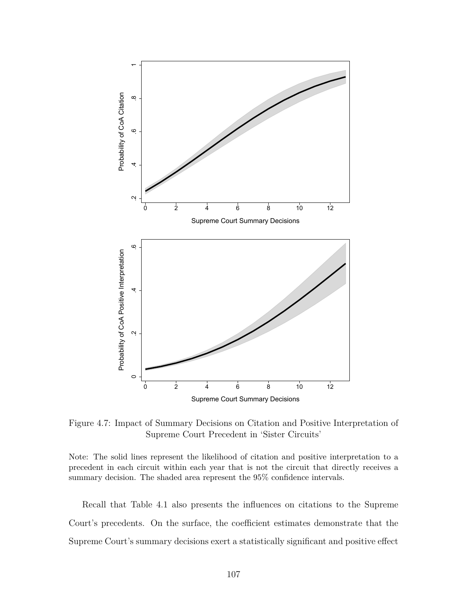![](_page_117_Figure_0.jpeg)

Figure 4.7: Impact of Summary Decisions on Citation and Positive Interpretation of Supreme Court Precedent in 'Sister Circuits'

Note: The solid lines represent the likelihood of citation and positive interpretation to a precedent in each circuit within each year that is not the circuit that directly receives a summary decision. The shaded area represent the 95% confidence intervals.

Recall that Table 4.1 also presents the influences on citations to the Supreme Court's precedents. On the surface, the coefficient estimates demonstrate that the Supreme Court's summary decisions exert a statistically significant and positive effect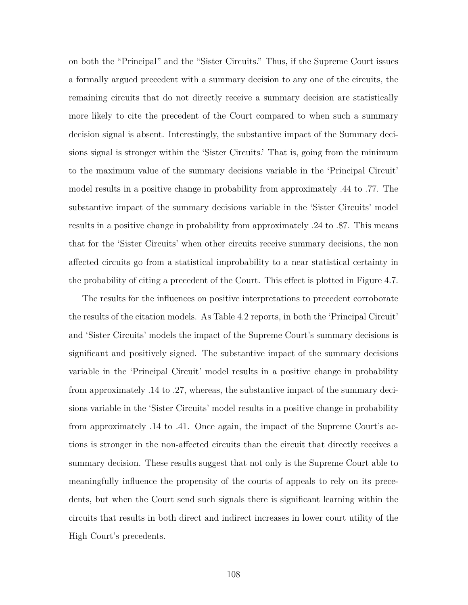on both the "Principal" and the "Sister Circuits." Thus, if the Supreme Court issues a formally argued precedent with a summary decision to any one of the circuits, the remaining circuits that do not directly receive a summary decision are statistically more likely to cite the precedent of the Court compared to when such a summary decision signal is absent. Interestingly, the substantive impact of the Summary decisions signal is stronger within the 'Sister Circuits.' That is, going from the minimum to the maximum value of the summary decisions variable in the 'Principal Circuit' model results in a positive change in probability from approximately .44 to .77. The substantive impact of the summary decisions variable in the 'Sister Circuits' model results in a positive change in probability from approximately .24 to .87. This means that for the 'Sister Circuits' when other circuits receive summary decisions, the non affected circuits go from a statistical improbability to a near statistical certainty in the probability of citing a precedent of the Court. This effect is plotted in Figure 4.7.

The results for the influences on positive interpretations to precedent corroborate the results of the citation models. As Table 4.2 reports, in both the 'Principal Circuit' and 'Sister Circuits' models the impact of the Supreme Court's summary decisions is significant and positively signed. The substantive impact of the summary decisions variable in the 'Principal Circuit' model results in a positive change in probability from approximately .14 to .27, whereas, the substantive impact of the summary decisions variable in the 'Sister Circuits' model results in a positive change in probability from approximately .14 to .41. Once again, the impact of the Supreme Court's actions is stronger in the non-affected circuits than the circuit that directly receives a summary decision. These results suggest that not only is the Supreme Court able to meaningfully influence the propensity of the courts of appeals to rely on its precedents, but when the Court send such signals there is significant learning within the circuits that results in both direct and indirect increases in lower court utility of the High Court's precedents.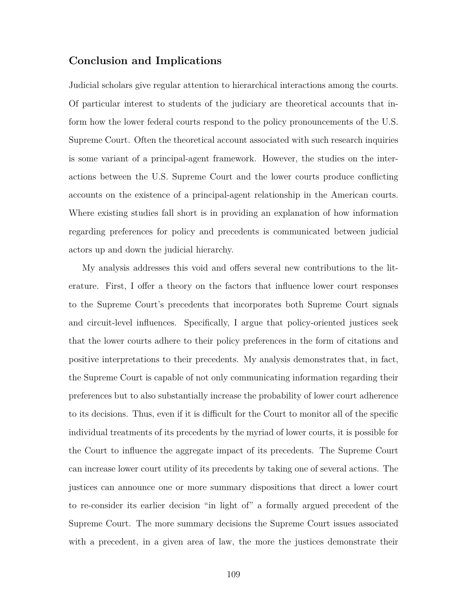## **Conclusion and Implications**

Judicial scholars give regular attention to hierarchical interactions among the courts. Of particular interest to students of the judiciary are theoretical accounts that inform how the lower federal courts respond to the policy pronouncements of the U.S. Supreme Court. Often the theoretical account associated with such research inquiries is some variant of a principal-agent framework. However, the studies on the interactions between the U.S. Supreme Court and the lower courts produce conflicting accounts on the existence of a principal-agent relationship in the American courts. Where existing studies fall short is in providing an explanation of how information regarding preferences for policy and precedents is communicated between judicial actors up and down the judicial hierarchy.

My analysis addresses this void and offers several new contributions to the literature. First, I offer a theory on the factors that influence lower court responses to the Supreme Court's precedents that incorporates both Supreme Court signals and circuit-level influences. Specifically, I argue that policy-oriented justices seek that the lower courts adhere to their policy preferences in the form of citations and positive interpretations to their precedents. My analysis demonstrates that, in fact, the Supreme Court is capable of not only communicating information regarding their preferences but to also substantially increase the probability of lower court adherence to its decisions. Thus, even if it is difficult for the Court to monitor all of the specific individual treatments of its precedents by the myriad of lower courts, it is possible for the Court to influence the aggregate impact of its precedents. The Supreme Court can increase lower court utility of its precedents by taking one of several actions. The justices can announce one or more summary dispositions that direct a lower court to re-consider its earlier decision "in light of" a formally argued precedent of the Supreme Court. The more summary decisions the Supreme Court issues associated with a precedent, in a given area of law, the more the justices demonstrate their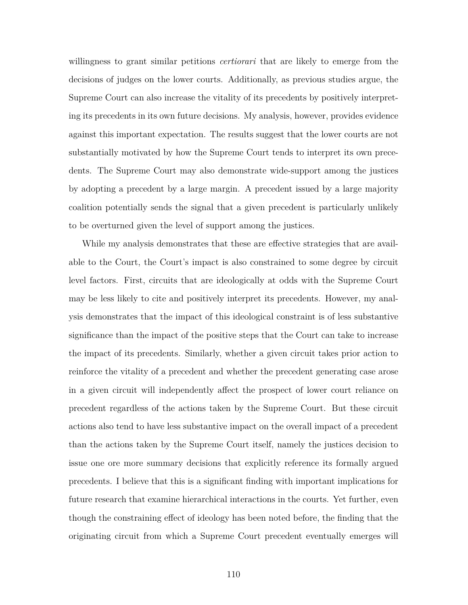willingness to grant similar petitions *certiorari* that are likely to emerge from the decisions of judges on the lower courts. Additionally, as previous studies argue, the Supreme Court can also increase the vitality of its precedents by positively interpreting its precedents in its own future decisions. My analysis, however, provides evidence against this important expectation. The results suggest that the lower courts are not substantially motivated by how the Supreme Court tends to interpret its own precedents. The Supreme Court may also demonstrate wide-support among the justices by adopting a precedent by a large margin. A precedent issued by a large majority coalition potentially sends the signal that a given precedent is particularly unlikely to be overturned given the level of support among the justices.

While my analysis demonstrates that these are effective strategies that are available to the Court, the Court's impact is also constrained to some degree by circuit level factors. First, circuits that are ideologically at odds with the Supreme Court may be less likely to cite and positively interpret its precedents. However, my analysis demonstrates that the impact of this ideological constraint is of less substantive significance than the impact of the positive steps that the Court can take to increase the impact of its precedents. Similarly, whether a given circuit takes prior action to reinforce the vitality of a precedent and whether the precedent generating case arose in a given circuit will independently affect the prospect of lower court reliance on precedent regardless of the actions taken by the Supreme Court. But these circuit actions also tend to have less substantive impact on the overall impact of a precedent than the actions taken by the Supreme Court itself, namely the justices decision to issue one ore more summary decisions that explicitly reference its formally argued precedents. I believe that this is a significant finding with important implications for future research that examine hierarchical interactions in the courts. Yet further, even though the constraining effect of ideology has been noted before, the finding that the originating circuit from which a Supreme Court precedent eventually emerges will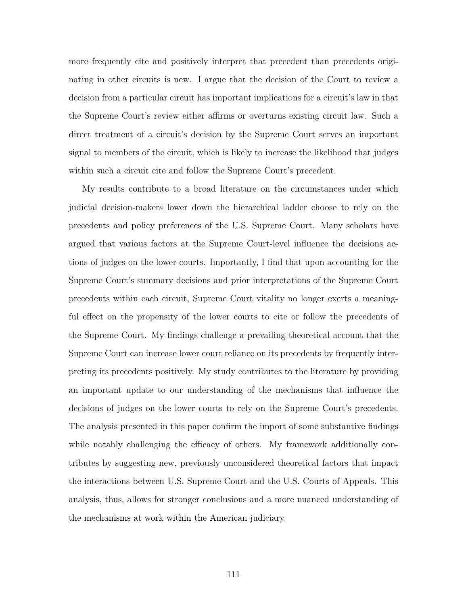more frequently cite and positively interpret that precedent than precedents originating in other circuits is new. I argue that the decision of the Court to review a decision from a particular circuit has important implications for a circuit's law in that the Supreme Court's review either affirms or overturns existing circuit law. Such a direct treatment of a circuit's decision by the Supreme Court serves an important signal to members of the circuit, which is likely to increase the likelihood that judges within such a circuit cite and follow the Supreme Court's precedent.

My results contribute to a broad literature on the circumstances under which judicial decision-makers lower down the hierarchical ladder choose to rely on the precedents and policy preferences of the U.S. Supreme Court. Many scholars have argued that various factors at the Supreme Court-level influence the decisions actions of judges on the lower courts. Importantly, I find that upon accounting for the Supreme Court's summary decisions and prior interpretations of the Supreme Court precedents within each circuit, Supreme Court vitality no longer exerts a meaningful effect on the propensity of the lower courts to cite or follow the precedents of the Supreme Court. My findings challenge a prevailing theoretical account that the Supreme Court can increase lower court reliance on its precedents by frequently interpreting its precedents positively. My study contributes to the literature by providing an important update to our understanding of the mechanisms that influence the decisions of judges on the lower courts to rely on the Supreme Court's precedents. The analysis presented in this paper confirm the import of some substantive findings while notably challenging the efficacy of others. My framework additionally contributes by suggesting new, previously unconsidered theoretical factors that impact the interactions between U.S. Supreme Court and the U.S. Courts of Appeals. This analysis, thus, allows for stronger conclusions and a more nuanced understanding of the mechanisms at work within the American judiciary.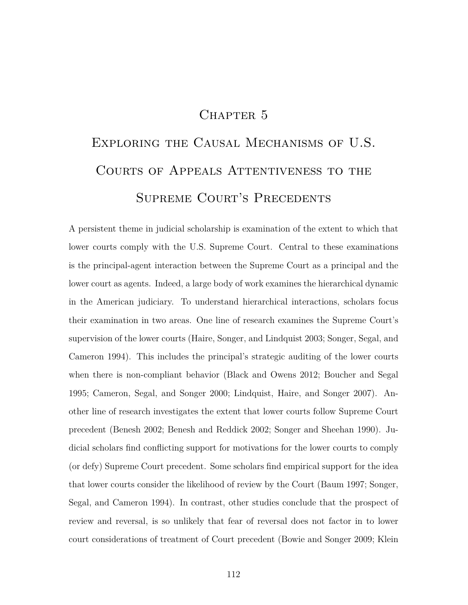# CHAPTER 5

# Exploring the Causal Mechanisms of U.S. Courts of Appeals Attentiveness to the SUPREME COURT'S PRECEDENTS

A persistent theme in judicial scholarship is examination of the extent to which that lower courts comply with the U.S. Supreme Court. Central to these examinations is the principal-agent interaction between the Supreme Court as a principal and the lower court as agents. Indeed, a large body of work examines the hierarchical dynamic in the American judiciary. To understand hierarchical interactions, scholars focus their examination in two areas. One line of research examines the Supreme Court's supervision of the lower courts (Haire, Songer, and Lindquist 2003; Songer, Segal, and Cameron 1994). This includes the principal's strategic auditing of the lower courts when there is non-compliant behavior (Black and Owens 2012; Boucher and Segal 1995; Cameron, Segal, and Songer 2000; Lindquist, Haire, and Songer 2007). Another line of research investigates the extent that lower courts follow Supreme Court precedent (Benesh 2002; Benesh and Reddick 2002; Songer and Sheehan 1990). Judicial scholars find conflicting support for motivations for the lower courts to comply (or defy) Supreme Court precedent. Some scholars find empirical support for the idea that lower courts consider the likelihood of review by the Court (Baum 1997; Songer, Segal, and Cameron 1994). In contrast, other studies conclude that the prospect of review and reversal, is so unlikely that fear of reversal does not factor in to lower court considerations of treatment of Court precedent (Bowie and Songer 2009; Klein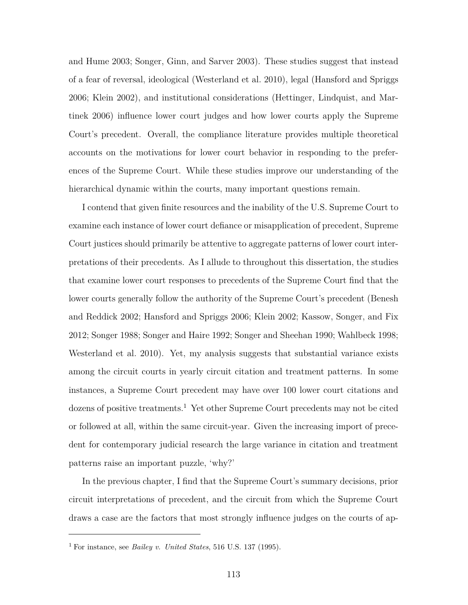and Hume 2003; Songer, Ginn, and Sarver 2003). These studies suggest that instead of a fear of reversal, ideological (Westerland et al. 2010), legal (Hansford and Spriggs 2006; Klein 2002), and institutional considerations (Hettinger, Lindquist, and Martinek 2006) influence lower court judges and how lower courts apply the Supreme Court's precedent. Overall, the compliance literature provides multiple theoretical accounts on the motivations for lower court behavior in responding to the preferences of the Supreme Court. While these studies improve our understanding of the hierarchical dynamic within the courts, many important questions remain.

I contend that given finite resources and the inability of the U.S. Supreme Court to examine each instance of lower court defiance or misapplication of precedent, Supreme Court justices should primarily be attentive to aggregate patterns of lower court interpretations of their precedents. As I allude to throughout this dissertation, the studies that examine lower court responses to precedents of the Supreme Court find that the lower courts generally follow the authority of the Supreme Court's precedent (Benesh and Reddick 2002; Hansford and Spriggs 2006; Klein 2002; Kassow, Songer, and Fix 2012; Songer 1988; Songer and Haire 1992; Songer and Sheehan 1990; Wahlbeck 1998; Westerland et al. 2010). Yet, my analysis suggests that substantial variance exists among the circuit courts in yearly circuit citation and treatment patterns. In some instances, a Supreme Court precedent may have over 100 lower court citations and dozens of positive treatments.<sup>1</sup> Yet other Supreme Court precedents may not be cited or followed at all, within the same circuit-year. Given the increasing import of precedent for contemporary judicial research the large variance in citation and treatment patterns raise an important puzzle, 'why?'

In the previous chapter, I find that the Supreme Court's summary decisions, prior circuit interpretations of precedent, and the circuit from which the Supreme Court draws a case are the factors that most strongly influence judges on the courts of ap-

<sup>1</sup> For instance, see *Bailey v. United States*, 516 U.S. 137 (1995).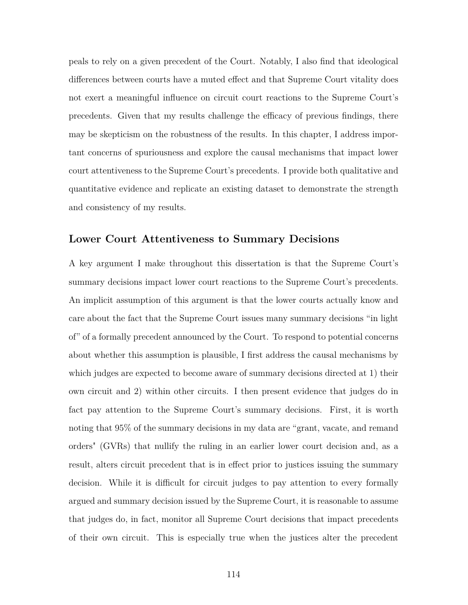peals to rely on a given precedent of the Court. Notably, I also find that ideological differences between courts have a muted effect and that Supreme Court vitality does not exert a meaningful influence on circuit court reactions to the Supreme Court's precedents. Given that my results challenge the efficacy of previous findings, there may be skepticism on the robustness of the results. In this chapter, I address important concerns of spuriousness and explore the causal mechanisms that impact lower court attentiveness to the Supreme Court's precedents. I provide both qualitative and quantitative evidence and replicate an existing dataset to demonstrate the strength and consistency of my results.

## **Lower Court Attentiveness to Summary Decisions**

A key argument I make throughout this dissertation is that the Supreme Court's summary decisions impact lower court reactions to the Supreme Court's precedents. An implicit assumption of this argument is that the lower courts actually know and care about the fact that the Supreme Court issues many summary decisions "in light of" of a formally precedent announced by the Court. To respond to potential concerns about whether this assumption is plausible, I first address the causal mechanisms by which judges are expected to become aware of summary decisions directed at 1) their own circuit and 2) within other circuits. I then present evidence that judges do in fact pay attention to the Supreme Court's summary decisions. First, it is worth noting that 95% of the summary decisions in my data are "grant, vacate, and remand orders" (GVRs) that nullify the ruling in an earlier lower court decision and, as a result, alters circuit precedent that is in effect prior to justices issuing the summary decision. While it is difficult for circuit judges to pay attention to every formally argued and summary decision issued by the Supreme Court, it is reasonable to assume that judges do, in fact, monitor all Supreme Court decisions that impact precedents of their own circuit. This is especially true when the justices alter the precedent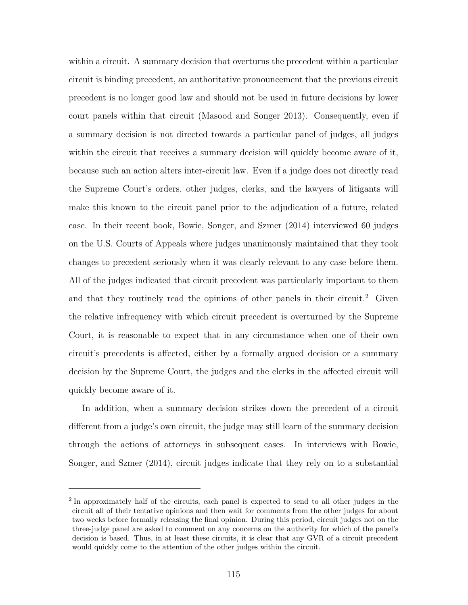within a circuit. A summary decision that overturns the precedent within a particular circuit is binding precedent, an authoritative pronouncement that the previous circuit precedent is no longer good law and should not be used in future decisions by lower court panels within that circuit (Masood and Songer 2013). Consequently, even if a summary decision is not directed towards a particular panel of judges, all judges within the circuit that receives a summary decision will quickly become aware of it, because such an action alters inter-circuit law. Even if a judge does not directly read the Supreme Court's orders, other judges, clerks, and the lawyers of litigants will make this known to the circuit panel prior to the adjudication of a future, related case. In their recent book, Bowie, Songer, and Szmer (2014) interviewed 60 judges on the U.S. Courts of Appeals where judges unanimously maintained that they took changes to precedent seriously when it was clearly relevant to any case before them. All of the judges indicated that circuit precedent was particularly important to them and that they routinely read the opinions of other panels in their circuit.<sup>2</sup> Given the relative infrequency with which circuit precedent is overturned by the Supreme Court, it is reasonable to expect that in any circumstance when one of their own circuit's precedents is affected, either by a formally argued decision or a summary decision by the Supreme Court, the judges and the clerks in the affected circuit will quickly become aware of it.

In addition, when a summary decision strikes down the precedent of a circuit different from a judge's own circuit, the judge may still learn of the summary decision through the actions of attorneys in subsequent cases. In interviews with Bowie, Songer, and Szmer (2014), circuit judges indicate that they rely on to a substantial

<sup>&</sup>lt;sup>2</sup> In approximately half of the circuits, each panel is expected to send to all other judges in the circuit all of their tentative opinions and then wait for comments from the other judges for about two weeks before formally releasing the final opinion. During this period, circuit judges not on the three-judge panel are asked to comment on any concerns on the authority for which of the panel's decision is based. Thus, in at least these circuits, it is clear that any GVR of a circuit precedent would quickly come to the attention of the other judges within the circuit.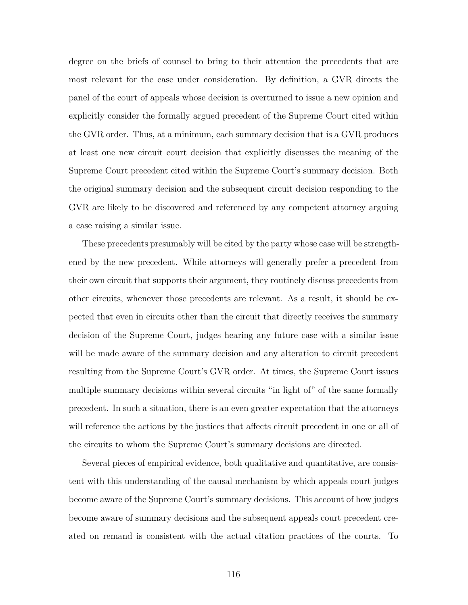degree on the briefs of counsel to bring to their attention the precedents that are most relevant for the case under consideration. By definition, a GVR directs the panel of the court of appeals whose decision is overturned to issue a new opinion and explicitly consider the formally argued precedent of the Supreme Court cited within the GVR order. Thus, at a minimum, each summary decision that is a GVR produces at least one new circuit court decision that explicitly discusses the meaning of the Supreme Court precedent cited within the Supreme Court's summary decision. Both the original summary decision and the subsequent circuit decision responding to the GVR are likely to be discovered and referenced by any competent attorney arguing a case raising a similar issue.

These precedents presumably will be cited by the party whose case will be strengthened by the new precedent. While attorneys will generally prefer a precedent from their own circuit that supports their argument, they routinely discuss precedents from other circuits, whenever those precedents are relevant. As a result, it should be expected that even in circuits other than the circuit that directly receives the summary decision of the Supreme Court, judges hearing any future case with a similar issue will be made aware of the summary decision and any alteration to circuit precedent resulting from the Supreme Court's GVR order. At times, the Supreme Court issues multiple summary decisions within several circuits "in light of" of the same formally precedent. In such a situation, there is an even greater expectation that the attorneys will reference the actions by the justices that affects circuit precedent in one or all of the circuits to whom the Supreme Court's summary decisions are directed.

Several pieces of empirical evidence, both qualitative and quantitative, are consistent with this understanding of the causal mechanism by which appeals court judges become aware of the Supreme Court's summary decisions. This account of how judges become aware of summary decisions and the subsequent appeals court precedent created on remand is consistent with the actual citation practices of the courts. To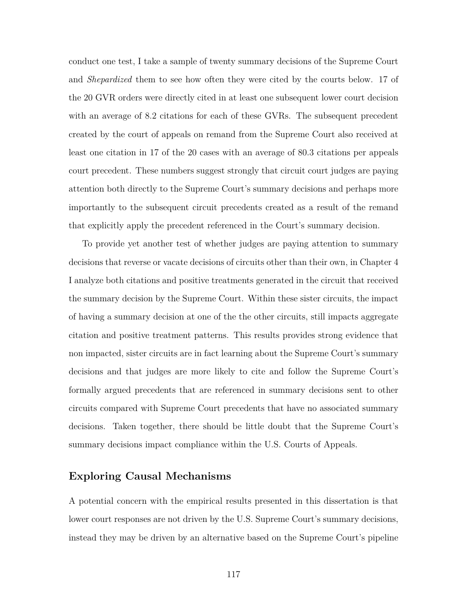conduct one test, I take a sample of twenty summary decisions of the Supreme Court and *Shepardized* them to see how often they were cited by the courts below. 17 of the 20 GVR orders were directly cited in at least one subsequent lower court decision with an average of 8.2 citations for each of these GVRs. The subsequent precedent created by the court of appeals on remand from the Supreme Court also received at least one citation in 17 of the 20 cases with an average of 80.3 citations per appeals court precedent. These numbers suggest strongly that circuit court judges are paying attention both directly to the Supreme Court's summary decisions and perhaps more importantly to the subsequent circuit precedents created as a result of the remand that explicitly apply the precedent referenced in the Court's summary decision.

To provide yet another test of whether judges are paying attention to summary decisions that reverse or vacate decisions of circuits other than their own, in Chapter 4 I analyze both citations and positive treatments generated in the circuit that received the summary decision by the Supreme Court. Within these sister circuits, the impact of having a summary decision at one of the the other circuits, still impacts aggregate citation and positive treatment patterns. This results provides strong evidence that non impacted, sister circuits are in fact learning about the Supreme Court's summary decisions and that judges are more likely to cite and follow the Supreme Court's formally argued precedents that are referenced in summary decisions sent to other circuits compared with Supreme Court precedents that have no associated summary decisions. Taken together, there should be little doubt that the Supreme Court's summary decisions impact compliance within the U.S. Courts of Appeals.

# **Exploring Causal Mechanisms**

A potential concern with the empirical results presented in this dissertation is that lower court responses are not driven by the U.S. Supreme Court's summary decisions, instead they may be driven by an alternative based on the Supreme Court's pipeline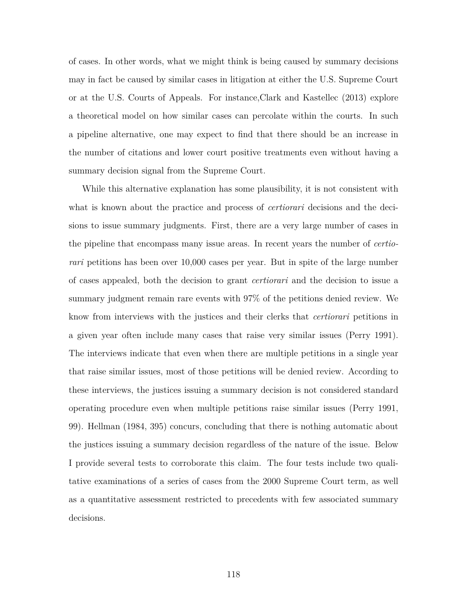of cases. In other words, what we might think is being caused by summary decisions may in fact be caused by similar cases in litigation at either the U.S. Supreme Court or at the U.S. Courts of Appeals. For instance,Clark and Kastellec (2013) explore a theoretical model on how similar cases can percolate within the courts. In such a pipeline alternative, one may expect to find that there should be an increase in the number of citations and lower court positive treatments even without having a summary decision signal from the Supreme Court.

While this alternative explanation has some plausibility, it is not consistent with what is known about the practice and process of *certiorari* decisions and the decisions to issue summary judgments. First, there are a very large number of cases in the pipeline that encompass many issue areas. In recent years the number of *certiorari* petitions has been over 10,000 cases per year. But in spite of the large number of cases appealed, both the decision to grant *certiorari* and the decision to issue a summary judgment remain rare events with 97% of the petitions denied review. We know from interviews with the justices and their clerks that *certiorari* petitions in a given year often include many cases that raise very similar issues (Perry 1991). The interviews indicate that even when there are multiple petitions in a single year that raise similar issues, most of those petitions will be denied review. According to these interviews, the justices issuing a summary decision is not considered standard operating procedure even when multiple petitions raise similar issues (Perry 1991, 99). Hellman (1984, 395) concurs, concluding that there is nothing automatic about the justices issuing a summary decision regardless of the nature of the issue. Below I provide several tests to corroborate this claim. The four tests include two qualitative examinations of a series of cases from the 2000 Supreme Court term, as well as a quantitative assessment restricted to precedents with few associated summary decisions.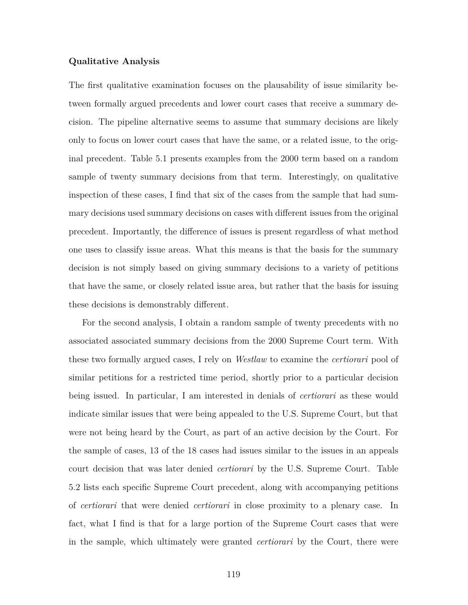#### **Qualitative Analysis**

The first qualitative examination focuses on the plausability of issue similarity between formally argued precedents and lower court cases that receive a summary decision. The pipeline alternative seems to assume that summary decisions are likely only to focus on lower court cases that have the same, or a related issue, to the original precedent. Table 5.1 presents examples from the 2000 term based on a random sample of twenty summary decisions from that term. Interestingly, on qualitative inspection of these cases, I find that six of the cases from the sample that had summary decisions used summary decisions on cases with different issues from the original precedent. Importantly, the difference of issues is present regardless of what method one uses to classify issue areas. What this means is that the basis for the summary decision is not simply based on giving summary decisions to a variety of petitions that have the same, or closely related issue area, but rather that the basis for issuing these decisions is demonstrably different.

For the second analysis, I obtain a random sample of twenty precedents with no associated associated summary decisions from the 2000 Supreme Court term. With these two formally argued cases, I rely on *Westlaw* to examine the *certiorari* pool of similar petitions for a restricted time period, shortly prior to a particular decision being issued. In particular, I am interested in denials of *certiorari* as these would indicate similar issues that were being appealed to the U.S. Supreme Court, but that were not being heard by the Court, as part of an active decision by the Court. For the sample of cases, 13 of the 18 cases had issues similar to the issues in an appeals court decision that was later denied *certiorari* by the U.S. Supreme Court. Table 5.2 lists each specific Supreme Court precedent, along with accompanying petitions of *certiorari* that were denied *certiorari* in close proximity to a plenary case. In fact, what I find is that for a large portion of the Supreme Court cases that were in the sample, which ultimately were granted *certiorari* by the Court, there were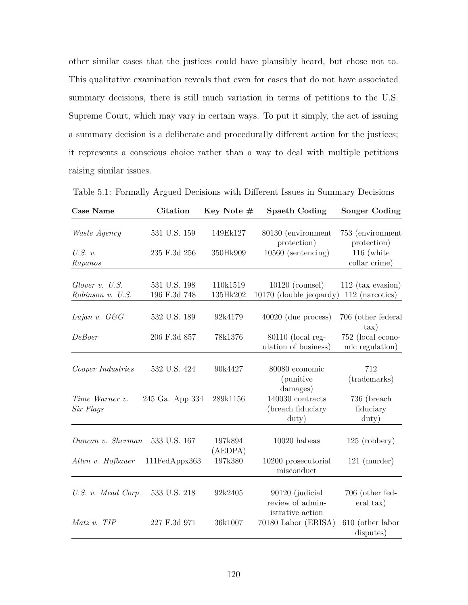other similar cases that the justices could have plausibly heard, but chose not to. This qualitative examination reveals that even for cases that do not have associated summary decisions, there is still much variation in terms of petitions to the U.S. Supreme Court, which may vary in certain ways. To put it simply, the act of issuing a summary decision is a deliberate and procedurally different action for the justices; it represents a conscious choice rather than a way to deal with multiple petitions raising similar issues.

Table 5.1: Formally Argued Decisions with Different Issues in Summary Decisions

| <b>Case Name</b>            | Citation        | Key Note $#$       | <b>Spaeth Coding</b>                                    | <b>Songer Coding</b>                      |
|-----------------------------|-----------------|--------------------|---------------------------------------------------------|-------------------------------------------|
| <i>Waste Agency</i>         | 531 U.S. 159    | 149Ek127           | 80130 (environment<br>protection)                       | 753 (environment<br>protection)           |
| $U.S.$ v.<br>Rapanos        | 235 F.3d 256    | 350Hk909           | $10560$ (sentencing)                                    | $116$ (white<br>collar crime)             |
| Glover v. U.S.              | 531 U.S. 198    | 110k1519           | $10120$ (counsel)                                       | $112$ (tax evasion)                       |
| Robinson v. U.S.            | 196 F.3d 748    | 135Hk202           | 10170 (double jeopardy)                                 | 112 (narcotics)                           |
| Lujan v. G&G                | 532 U.S. 189    | 92k4179            | $40020$ (due process)                                   | 706 (other federal<br>$\tan$              |
| DeBoer                      | 206 F.3d 857    | 78k1376            | $80110$ (local reg-<br>ulation of business)             | 752 (local econo-<br>mic regulation)      |
| Cooper Industries           | 532 U.S. 424    | 90k4427            | 80080 economic<br><i>(punitive)</i><br>damages)         | 712<br>(trademarks)                       |
| Time Warner v.<br>Six Flaqs | 245 Ga. App 334 | 289k1156           | 140030 contracts<br>(breach fiduciary<br>$\text{duty}$  | 736 (breach<br>fiduciary<br>$\text{duty}$ |
| Duncan v. Sherman           | 533 U.S. 167    | 197k894<br>(AEDPA) | $10020$ habeas                                          | $125$ (robbery)                           |
| Allen v. Hofbauer           | 111FedAppx363   | 197k380            | 10200 prosecutorial<br>misconduct                       | $121$ (murder)                            |
| U.S. v. Mead Corp.          | 533 U.S. 218    | 92k2405            | 90120 (judicial<br>review of admin-<br>istrative action | 706 (other fed-<br>eral tax)              |
| Matz v. TIP                 | 227 F.3d 971    | 36k1007            | 70180 Labor (ERISA)                                     | 610 (other labor<br>disputes)             |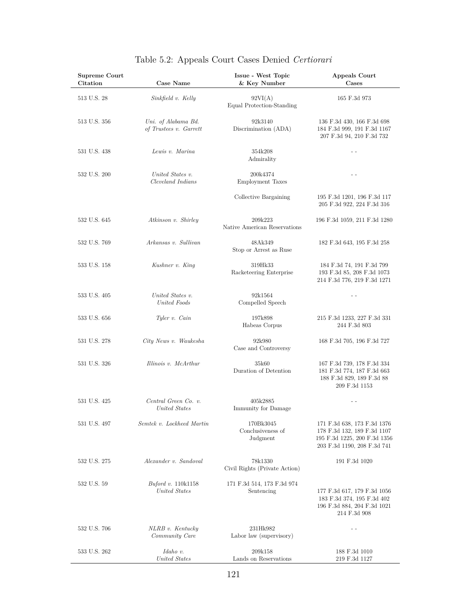| Supreme Court<br>Citation | Case Name                                     | Issue - West Topic<br>& Key Number         | Appeals Court<br>Cases                                                                                                    |
|---------------------------|-----------------------------------------------|--------------------------------------------|---------------------------------------------------------------------------------------------------------------------------|
| 513 U.S. 28               | Sinkfield v. Kelly                            | 92VI(A)<br>Equal Protection-Standing       | 165 F.3d 973                                                                                                              |
| 513 U.S. 356              | Uni. of Alabama Bd.<br>of Trustees v. Garrett | 92k3140<br>Discrimination (ADA)            | 136 F.3d 430, 166 F.3d 698<br>184 F.3d 999, 191 F.3d 1167<br>207 F.3d 94, 210 F.3d 732                                    |
| 531 U.S. 438              | Lewis v. Marina                               | 354k208<br>Admirality                      | $ -$                                                                                                                      |
| 532 U.S. 200              | United States v.<br>Cleveland Indians         | 200k4374<br><b>Employment Taxes</b>        | - -                                                                                                                       |
|                           |                                               | Collective Bargaining                      | 195 F.3d 1201, 196 F.3d 117<br>205 F.3d 922, 224 F.3d 316                                                                 |
| 532 U.S. 645              | Atkinson v. Shirley                           | 209k223<br>Native American Reservations    | 196 F.3d 1059, 211 F.3d 1280                                                                                              |
| 532 U.S. 769              | Arkansas v. Sullivan                          | 48Ak349<br>Stop or Arrest as Ruse          | 182 F.3d 643, 195 F.3d 258                                                                                                |
| 533 U.S. 158              | Kushner v. King                               | 319Hk33<br>Racketeering Enterprise         | 184 F.3d 74, 191 F.3d 799<br>193 F.3d 85, 208 F.3d 1073<br>214 F.3d 776, 219 F.3d 1271                                    |
| 533 U.S. 405              | United States v.<br>United Foods              | 92k1564<br>Compelled Speech                | - -                                                                                                                       |
| 533 U.S. 656              | Tyler v. Cain                                 | 197k898<br>Habeas Corpus                   | 215 F.3d 1233, 227 F.3d 331<br>244 F.3d 803                                                                               |
| 531 U.S. 278              | City News v. Waukesha                         | 92k980<br>Case and Controversy             | 168 F.3d 705, 196 F.3d 727                                                                                                |
| 531 U.S. 326              | Illinois v. McArthur                          | 35k60<br>Duration of Detention             | 167 F.3d 739, 178 F.3d 334<br>181 F.3d 774, 187 F.3d 663<br>188 F.3d 829, 189 F.3d 88<br>209 F.3d 1153                    |
| 531 U.S. 425              | Central Green Co. v.<br>United States         | 405k2885<br>Immunity for Damage            | $ -$                                                                                                                      |
| 531 U.S. 497              | Semtek v. Lockheed Martin                     | 170Bk3045<br>Conclusiveness of<br>Judgment | 171 F.3d 638, 173 F.3d 1376<br>178 F.3d 132, 189 F.3d 1107<br>195 F.3d 1225, 200 F.3d 1356<br>203 F.3d 1190, 208 F.3d 741 |
| 532 U.S. 275              | Alexander v. Sandoval                         | 78k1330<br>Civil Rights (Private Action)   | 191 F.3d 1020                                                                                                             |
| 532 U.S. 59               | <i>Buford v.</i> 110k1158<br>United States    | 171 F.3d 514, 173 F.3d 974<br>Sentencing   | 177 F.3d 617, 179 F.3d 1056<br>183 F.3d 374, 195 F.3d 402<br>196 F.3d 884, 204 F.3d 1021<br>214 F.3d 908                  |
| 532 U.S. 706              | NLRB v. Kentucky<br>Community Care            | 231Hk982<br>Labor law (supervisory)        | $ -$                                                                                                                      |
| 533 U.S. 262              | Idaho v.<br>United States                     | 209k158<br>Lands on Reservations           | 188 F.3d 1010<br>219 F.3d 1127                                                                                            |

# Table 5.2: Appeals Court Cases Denied *Certiorari*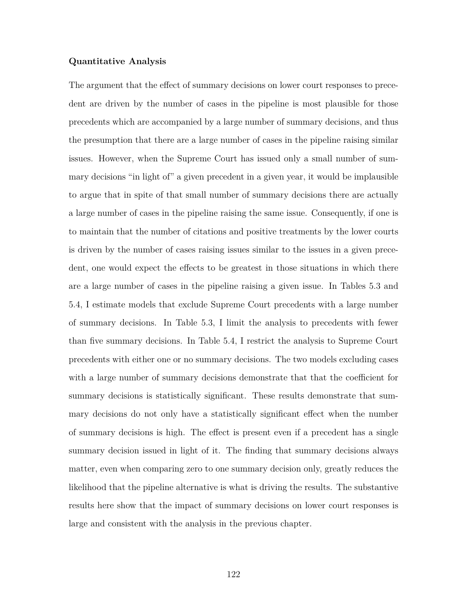#### **Quantitative Analysis**

The argument that the effect of summary decisions on lower court responses to precedent are driven by the number of cases in the pipeline is most plausible for those precedents which are accompanied by a large number of summary decisions, and thus the presumption that there are a large number of cases in the pipeline raising similar issues. However, when the Supreme Court has issued only a small number of summary decisions "in light of" a given precedent in a given year, it would be implausible to argue that in spite of that small number of summary decisions there are actually a large number of cases in the pipeline raising the same issue. Consequently, if one is to maintain that the number of citations and positive treatments by the lower courts is driven by the number of cases raising issues similar to the issues in a given precedent, one would expect the effects to be greatest in those situations in which there are a large number of cases in the pipeline raising a given issue. In Tables 5.3 and 5.4, I estimate models that exclude Supreme Court precedents with a large number of summary decisions. In Table 5.3, I limit the analysis to precedents with fewer than five summary decisions. In Table 5.4, I restrict the analysis to Supreme Court precedents with either one or no summary decisions. The two models excluding cases with a large number of summary decisions demonstrate that that the coefficient for summary decisions is statistically significant. These results demonstrate that summary decisions do not only have a statistically significant effect when the number of summary decisions is high. The effect is present even if a precedent has a single summary decision issued in light of it. The finding that summary decisions always matter, even when comparing zero to one summary decision only, greatly reduces the likelihood that the pipeline alternative is what is driving the results. The substantive results here show that the impact of summary decisions on lower court responses is large and consistent with the analysis in the previous chapter.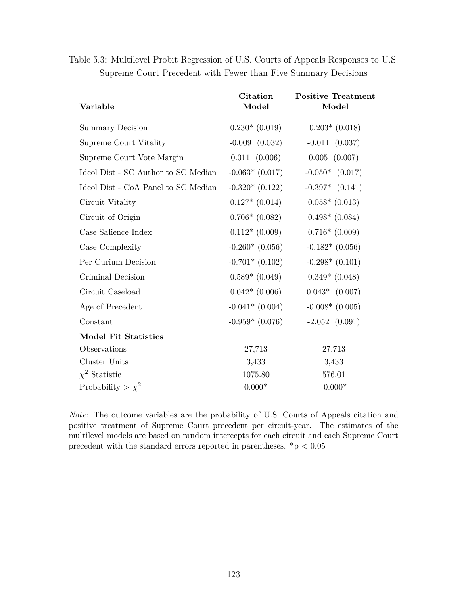| Variable                            | <b>Citation</b><br>Model | <b>Positive Treatment</b><br>Model |
|-------------------------------------|--------------------------|------------------------------------|
| <b>Summary Decision</b>             | $0.230*(0.019)$          | $0.203*$ (0.018)                   |
| Supreme Court Vitality              | $-0.009$ $(0.032)$       | $-0.011$ $(0.037)$                 |
| Supreme Court Vote Margin           | $0.011$ $(0.006)$        | $0.005$ $(0.007)$                  |
| Ideol Dist - SC Author to SC Median | $-0.063*$ (0.017)        | $-0.050*$ $(0.017)$                |
| Ideol Dist - CoA Panel to SC Median | $-0.320*(0.122)$         | $-0.397*$ $(0.141)$                |
| Circuit Vitality                    | $0.127*$ $(0.014)$       | $0.058*(0.013)$                    |
| Circuit of Origin                   | $0.706*(0.082)$          | $0.498*$ (0.084)                   |
| Case Salience Index                 | $0.112*(0.009)$          | $0.716*(0.009)$                    |
| Case Complexity                     | $-0.260*(0.056)$         | $-0.182*(0.056)$                   |
| Per Curium Decision                 | $-0.701*(0.102)$         | $-0.298*(0.101)$                   |
| Criminal Decision                   | $0.589*$ (0.049)         | $0.349*$ (0.048)                   |
| Circuit Caseload                    | $0.042*$ (0.006)         | $0.043*$ $(0.007)$                 |
| Age of Precedent                    | $-0.041*$ (0.004)        | $-0.008*(0.005)$                   |
| Constant                            | $-0.959*(0.076)$         | $-2.052$ $(0.091)$                 |
| <b>Model Fit Statistics</b>         |                          |                                    |
| Observations                        | 27,713                   | 27,713                             |
| Cluster Units                       | 3,433                    | 3,433                              |
| $\chi^2$ Statistic                  | 1075.80                  | 576.01                             |
| Probability > $\chi^2$              | $0.000*$                 | $0.000*$                           |

Table 5.3: Multilevel Probit Regression of U.S. Courts of Appeals Responses to U.S. Supreme Court Precedent with Fewer than Five Summary Decisions

*Note:* The outcome variables are the probability of U.S. Courts of Appeals citation and positive treatment of Supreme Court precedent per circuit-year. The estimates of the multilevel models are based on random intercepts for each circuit and each Supreme Court precedent with the standard errors reported in parentheses.  $^*{\rm p}$   $<$   $0.05$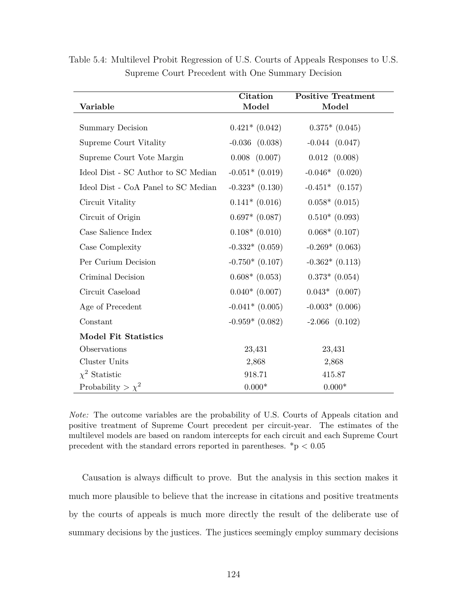| Variable                            | <b>Citation</b><br>Model | Positive Treatment<br>Model |
|-------------------------------------|--------------------------|-----------------------------|
|                                     |                          |                             |
| <b>Summary Decision</b>             | $0.421*$ $(0.042)$       | $0.375*$ (0.045)            |
| Supreme Court Vitality              | $-0.036$ $(0.038)$       | $-0.044(0.047)$             |
| Supreme Court Vote Margin           | $0.008$ $(0.007)$        | $0.012$ $(0.008)$           |
| Ideol Dist - SC Author to SC Median | $-0.051*(0.019)$         | $-0.046*$ $(0.020)$         |
| Ideol Dist - CoA Panel to SC Median | $-0.323*$ $(0.130)$      | $-0.451*$ $(0.157)$         |
| Circuit Vitality                    | $0.141*$ (0.016)         | $0.058*(0.015)$             |
| Circuit of Origin                   | $0.697*$ $(0.087)$       | $0.510*(0.093)$             |
| Case Salience Index                 | $0.108*(0.010)$          | $0.068*$ (0.107)            |
| Case Complexity                     | $-0.332*(0.059)$         | $-0.269*$ (0.063)           |
| Per Curium Decision                 | $-0.750*(0.107)$         | $-0.362*$ (0.113)           |
| Criminal Decision                   | $0.608*$ (0.053)         | $0.373*$ $(0.054)$          |
| Circuit Caseload                    | $0.040*(0.007)$          | $0.043*$ $(0.007)$          |
| Age of Precedent                    | $-0.041*$ (0.005)        | $-0.003*$ (0.006)           |
| Constant                            | $-0.959*$ (0.082)        | $-2.066$ $(0.102)$          |
| <b>Model Fit Statistics</b>         |                          |                             |
| Observations                        | 23,431                   | 23,431                      |
| Cluster Units                       | 2,868                    | 2,868                       |
| $\chi^2$ Statistic                  | 918.71                   | 415.87                      |
| Probability > $\chi^2$              | $0.000*$                 | $0.000*$                    |

Table 5.4: Multilevel Probit Regression of U.S. Courts of Appeals Responses to U.S. Supreme Court Precedent with One Summary Decision

*Note:* The outcome variables are the probability of U.S. Courts of Appeals citation and positive treatment of Supreme Court precedent per circuit-year. The estimates of the multilevel models are based on random intercepts for each circuit and each Supreme Court precedent with the standard errors reported in parentheses. \*p *<* 0.05

Causation is always difficult to prove. But the analysis in this section makes it much more plausible to believe that the increase in citations and positive treatments by the courts of appeals is much more directly the result of the deliberate use of summary decisions by the justices. The justices seemingly employ summary decisions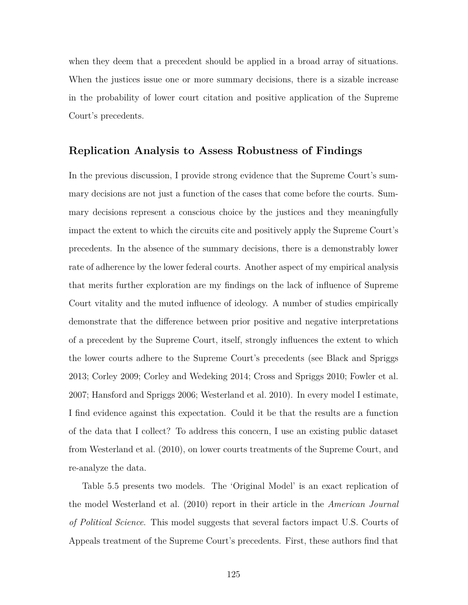when they deem that a precedent should be applied in a broad array of situations. When the justices issue one or more summary decisions, there is a sizable increase in the probability of lower court citation and positive application of the Supreme Court's precedents.

## **Replication Analysis to Assess Robustness of Findings**

In the previous discussion, I provide strong evidence that the Supreme Court's summary decisions are not just a function of the cases that come before the courts. Summary decisions represent a conscious choice by the justices and they meaningfully impact the extent to which the circuits cite and positively apply the Supreme Court's precedents. In the absence of the summary decisions, there is a demonstrably lower rate of adherence by the lower federal courts. Another aspect of my empirical analysis that merits further exploration are my findings on the lack of influence of Supreme Court vitality and the muted influence of ideology. A number of studies empirically demonstrate that the difference between prior positive and negative interpretations of a precedent by the Supreme Court, itself, strongly influences the extent to which the lower courts adhere to the Supreme Court's precedents (see Black and Spriggs 2013; Corley 2009; Corley and Wedeking 2014; Cross and Spriggs 2010; Fowler et al. 2007; Hansford and Spriggs 2006; Westerland et al. 2010). In every model I estimate, I find evidence against this expectation. Could it be that the results are a function of the data that I collect? To address this concern, I use an existing public dataset from Westerland et al. (2010), on lower courts treatments of the Supreme Court, and re-analyze the data.

Table 5.5 presents two models. The 'Original Model' is an exact replication of the model Westerland et al. (2010) report in their article in the *American Journal of Political Science*. This model suggests that several factors impact U.S. Courts of Appeals treatment of the Supreme Court's precedents. First, these authors find that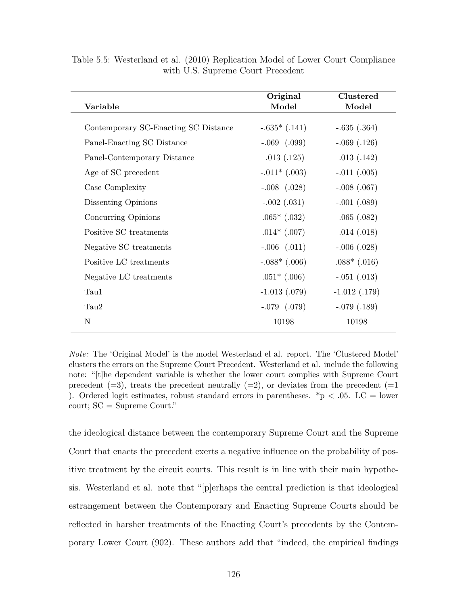|                                      | Original          | Clustered         |
|--------------------------------------|-------------------|-------------------|
| Variable                             | Model             | Model             |
|                                      |                   |                   |
| Contemporary SC-Enacting SC Distance | $-.635*(.141)$    | $-.635(.364)$     |
| Panel-Enacting SC Distance           | $-.069$ $(.099)$  | $-.069(.126)$     |
| Panel-Contemporary Distance          | .013(.125)        | .013(.142)        |
| Age of SC precedent                  | $-.011*(.003)$    | $-.011(.005)$     |
| Case Complexity                      | $-.008$ $(.028)$  | $-.008(.067)$     |
| Dissenting Opinions                  | $-.002(.031)$     | $-.001(.089)$     |
| Concurring Opinions                  | $.065*(.032)$     | .065(.082)        |
| Positive SC treatments               | $.014*(.007)$     | .014(.018)        |
| Negative SC treatments               | $-.006$ $(.011)$  | $-.006(.028)$     |
| Positive LC treatments               | $-.088*$ $(.006)$ | $.088*$ (.016)    |
| Negative LC treatments               | $.051*(.006)$     | $-.051(.013)$     |
| Tau1                                 | $-1.013$ $(.079)$ | $-1.012$ $(.179)$ |
| Tau <sub>2</sub>                     | $-.079$ $(.079)$  | $-.079(.189)$     |
| N                                    | 10198             | 10198             |
|                                      |                   |                   |

Table 5.5: Westerland et al. (2010) Replication Model of Lower Court Compliance with U.S. Supreme Court Precedent

*Note:* The 'Original Model' is the model Westerland el al. report. The 'Clustered Model' clusters the errors on the Supreme Court Precedent. Westerland et al. include the following note: "[t]he dependent variable is whether the lower court complies with Supreme Court precedent  $(=3)$ , treats the precedent neutrally  $(=2)$ , or deviates from the precedent  $(=1)$ ). Ordered logit estimates, robust standard errors in parentheses.  $p < .05$ . LC = lower court; SC = Supreme Court."

the ideological distance between the contemporary Supreme Court and the Supreme Court that enacts the precedent exerts a negative influence on the probability of positive treatment by the circuit courts. This result is in line with their main hypothesis. Westerland et al. note that "[p]erhaps the central prediction is that ideological estrangement between the Contemporary and Enacting Supreme Courts should be reflected in harsher treatments of the Enacting Court's precedents by the Contemporary Lower Court (902). These authors add that "indeed, the empirical findings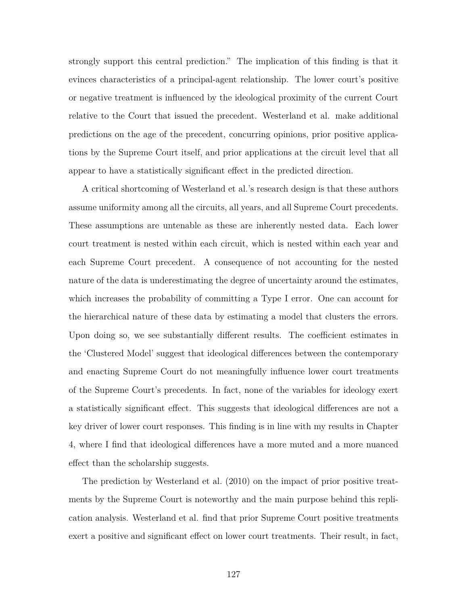strongly support this central prediction." The implication of this finding is that it evinces characteristics of a principal-agent relationship. The lower court's positive or negative treatment is influenced by the ideological proximity of the current Court relative to the Court that issued the precedent. Westerland et al. make additional predictions on the age of the precedent, concurring opinions, prior positive applications by the Supreme Court itself, and prior applications at the circuit level that all appear to have a statistically significant effect in the predicted direction.

A critical shortcoming of Westerland et al.'s research design is that these authors assume uniformity among all the circuits, all years, and all Supreme Court precedents. These assumptions are untenable as these are inherently nested data. Each lower court treatment is nested within each circuit, which is nested within each year and each Supreme Court precedent. A consequence of not accounting for the nested nature of the data is underestimating the degree of uncertainty around the estimates, which increases the probability of committing a Type I error. One can account for the hierarchical nature of these data by estimating a model that clusters the errors. Upon doing so, we see substantially different results. The coefficient estimates in the 'Clustered Model' suggest that ideological differences between the contemporary and enacting Supreme Court do not meaningfully influence lower court treatments of the Supreme Court's precedents. In fact, none of the variables for ideology exert a statistically significant effect. This suggests that ideological differences are not a key driver of lower court responses. This finding is in line with my results in Chapter 4, where I find that ideological differences have a more muted and a more nuanced effect than the scholarship suggests.

The prediction by Westerland et al. (2010) on the impact of prior positive treatments by the Supreme Court is noteworthy and the main purpose behind this replication analysis. Westerland et al. find that prior Supreme Court positive treatments exert a positive and significant effect on lower court treatments. Their result, in fact,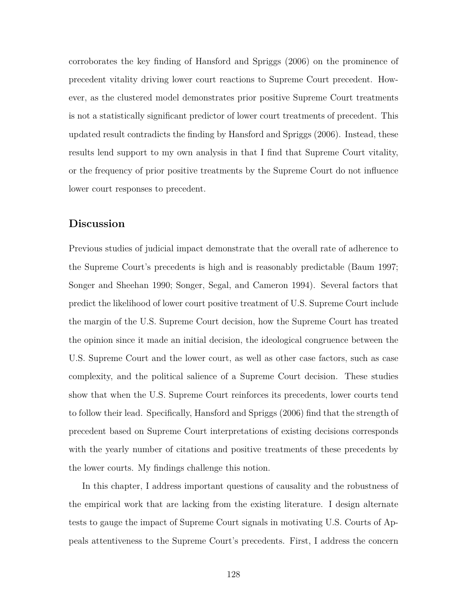corroborates the key finding of Hansford and Spriggs (2006) on the prominence of precedent vitality driving lower court reactions to Supreme Court precedent. However, as the clustered model demonstrates prior positive Supreme Court treatments is not a statistically significant predictor of lower court treatments of precedent. This updated result contradicts the finding by Hansford and Spriggs (2006). Instead, these results lend support to my own analysis in that I find that Supreme Court vitality, or the frequency of prior positive treatments by the Supreme Court do not influence lower court responses to precedent.

# **Discussion**

Previous studies of judicial impact demonstrate that the overall rate of adherence to the Supreme Court's precedents is high and is reasonably predictable (Baum 1997; Songer and Sheehan 1990; Songer, Segal, and Cameron 1994). Several factors that predict the likelihood of lower court positive treatment of U.S. Supreme Court include the margin of the U.S. Supreme Court decision, how the Supreme Court has treated the opinion since it made an initial decision, the ideological congruence between the U.S. Supreme Court and the lower court, as well as other case factors, such as case complexity, and the political salience of a Supreme Court decision. These studies show that when the U.S. Supreme Court reinforces its precedents, lower courts tend to follow their lead. Specifically, Hansford and Spriggs (2006) find that the strength of precedent based on Supreme Court interpretations of existing decisions corresponds with the yearly number of citations and positive treatments of these precedents by the lower courts. My findings challenge this notion.

In this chapter, I address important questions of causality and the robustness of the empirical work that are lacking from the existing literature. I design alternate tests to gauge the impact of Supreme Court signals in motivating U.S. Courts of Appeals attentiveness to the Supreme Court's precedents. First, I address the concern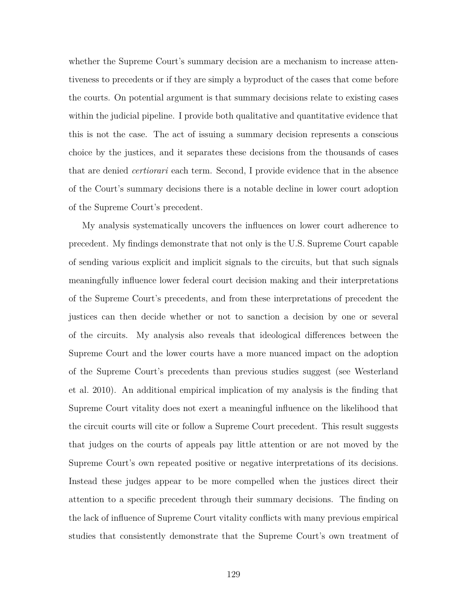whether the Supreme Court's summary decision are a mechanism to increase attentiveness to precedents or if they are simply a byproduct of the cases that come before the courts. On potential argument is that summary decisions relate to existing cases within the judicial pipeline. I provide both qualitative and quantitative evidence that this is not the case. The act of issuing a summary decision represents a conscious choice by the justices, and it separates these decisions from the thousands of cases that are denied *certiorari* each term. Second, I provide evidence that in the absence of the Court's summary decisions there is a notable decline in lower court adoption of the Supreme Court's precedent.

My analysis systematically uncovers the influences on lower court adherence to precedent. My findings demonstrate that not only is the U.S. Supreme Court capable of sending various explicit and implicit signals to the circuits, but that such signals meaningfully influence lower federal court decision making and their interpretations of the Supreme Court's precedents, and from these interpretations of precedent the justices can then decide whether or not to sanction a decision by one or several of the circuits. My analysis also reveals that ideological differences between the Supreme Court and the lower courts have a more nuanced impact on the adoption of the Supreme Court's precedents than previous studies suggest (see Westerland et al. 2010). An additional empirical implication of my analysis is the finding that Supreme Court vitality does not exert a meaningful influence on the likelihood that the circuit courts will cite or follow a Supreme Court precedent. This result suggests that judges on the courts of appeals pay little attention or are not moved by the Supreme Court's own repeated positive or negative interpretations of its decisions. Instead these judges appear to be more compelled when the justices direct their attention to a specific precedent through their summary decisions. The finding on the lack of influence of Supreme Court vitality conflicts with many previous empirical studies that consistently demonstrate that the Supreme Court's own treatment of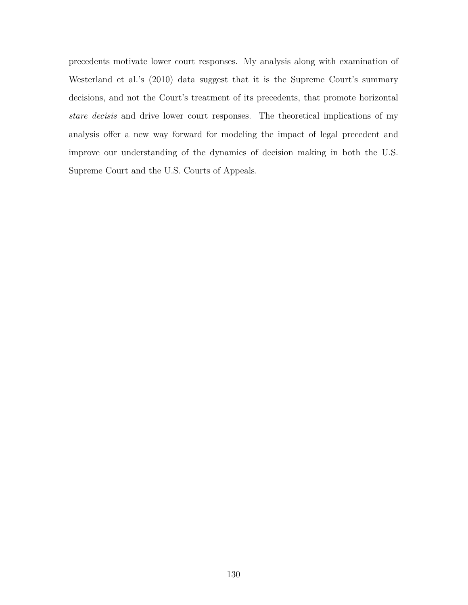precedents motivate lower court responses. My analysis along with examination of Westerland et al.'s (2010) data suggest that it is the Supreme Court's summary decisions, and not the Court's treatment of its precedents, that promote horizontal *stare decisis* and drive lower court responses. The theoretical implications of my analysis offer a new way forward for modeling the impact of legal precedent and improve our understanding of the dynamics of decision making in both the U.S. Supreme Court and the U.S. Courts of Appeals.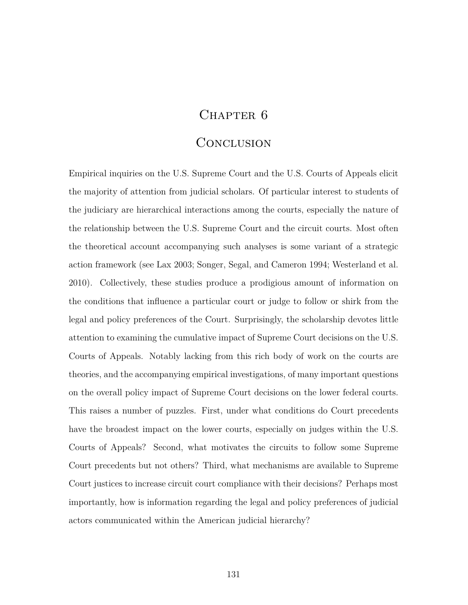# CHAPTER 6

# **CONCLUSION**

Empirical inquiries on the U.S. Supreme Court and the U.S. Courts of Appeals elicit the majority of attention from judicial scholars. Of particular interest to students of the judiciary are hierarchical interactions among the courts, especially the nature of the relationship between the U.S. Supreme Court and the circuit courts. Most often the theoretical account accompanying such analyses is some variant of a strategic action framework (see Lax 2003; Songer, Segal, and Cameron 1994; Westerland et al. 2010). Collectively, these studies produce a prodigious amount of information on the conditions that influence a particular court or judge to follow or shirk from the legal and policy preferences of the Court. Surprisingly, the scholarship devotes little attention to examining the cumulative impact of Supreme Court decisions on the U.S. Courts of Appeals. Notably lacking from this rich body of work on the courts are theories, and the accompanying empirical investigations, of many important questions on the overall policy impact of Supreme Court decisions on the lower federal courts. This raises a number of puzzles. First, under what conditions do Court precedents have the broadest impact on the lower courts, especially on judges within the U.S. Courts of Appeals? Second, what motivates the circuits to follow some Supreme Court precedents but not others? Third, what mechanisms are available to Supreme Court justices to increase circuit court compliance with their decisions? Perhaps most importantly, how is information regarding the legal and policy preferences of judicial actors communicated within the American judicial hierarchy?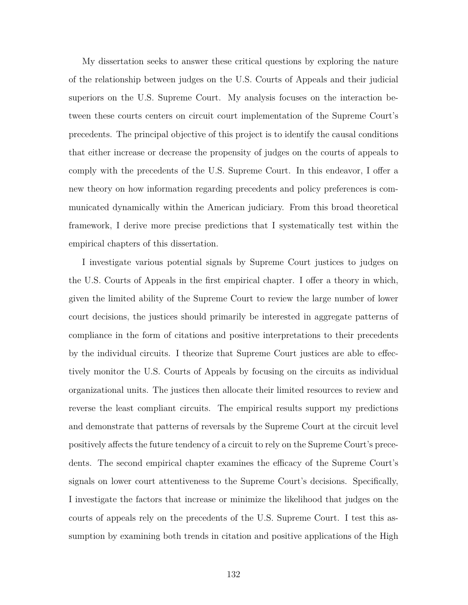My dissertation seeks to answer these critical questions by exploring the nature of the relationship between judges on the U.S. Courts of Appeals and their judicial superiors on the U.S. Supreme Court. My analysis focuses on the interaction between these courts centers on circuit court implementation of the Supreme Court's precedents. The principal objective of this project is to identify the causal conditions that either increase or decrease the propensity of judges on the courts of appeals to comply with the precedents of the U.S. Supreme Court. In this endeavor, I offer a new theory on how information regarding precedents and policy preferences is communicated dynamically within the American judiciary. From this broad theoretical framework, I derive more precise predictions that I systematically test within the empirical chapters of this dissertation.

I investigate various potential signals by Supreme Court justices to judges on the U.S. Courts of Appeals in the first empirical chapter. I offer a theory in which, given the limited ability of the Supreme Court to review the large number of lower court decisions, the justices should primarily be interested in aggregate patterns of compliance in the form of citations and positive interpretations to their precedents by the individual circuits. I theorize that Supreme Court justices are able to effectively monitor the U.S. Courts of Appeals by focusing on the circuits as individual organizational units. The justices then allocate their limited resources to review and reverse the least compliant circuits. The empirical results support my predictions and demonstrate that patterns of reversals by the Supreme Court at the circuit level positively affects the future tendency of a circuit to rely on the Supreme Court's precedents. The second empirical chapter examines the efficacy of the Supreme Court's signals on lower court attentiveness to the Supreme Court's decisions. Specifically, I investigate the factors that increase or minimize the likelihood that judges on the courts of appeals rely on the precedents of the U.S. Supreme Court. I test this assumption by examining both trends in citation and positive applications of the High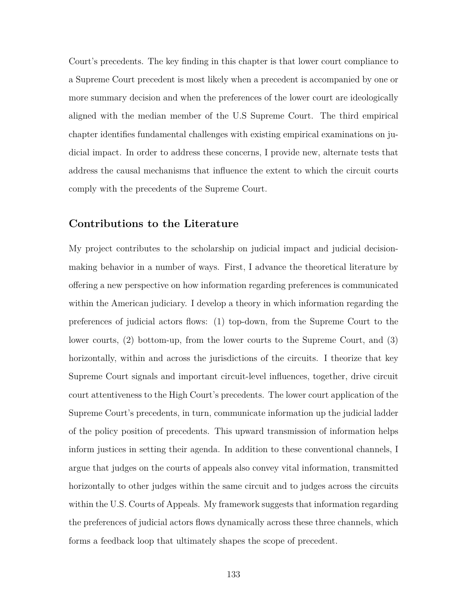Court's precedents. The key finding in this chapter is that lower court compliance to a Supreme Court precedent is most likely when a precedent is accompanied by one or more summary decision and when the preferences of the lower court are ideologically aligned with the median member of the U.S Supreme Court. The third empirical chapter identifies fundamental challenges with existing empirical examinations on judicial impact. In order to address these concerns, I provide new, alternate tests that address the causal mechanisms that influence the extent to which the circuit courts comply with the precedents of the Supreme Court.

## **Contributions to the Literature**

My project contributes to the scholarship on judicial impact and judicial decisionmaking behavior in a number of ways. First, I advance the theoretical literature by offering a new perspective on how information regarding preferences is communicated within the American judiciary. I develop a theory in which information regarding the preferences of judicial actors flows: (1) top-down, from the Supreme Court to the lower courts, (2) bottom-up, from the lower courts to the Supreme Court, and (3) horizontally, within and across the jurisdictions of the circuits. I theorize that key Supreme Court signals and important circuit-level influences, together, drive circuit court attentiveness to the High Court's precedents. The lower court application of the Supreme Court's precedents, in turn, communicate information up the judicial ladder of the policy position of precedents. This upward transmission of information helps inform justices in setting their agenda. In addition to these conventional channels, I argue that judges on the courts of appeals also convey vital information, transmitted horizontally to other judges within the same circuit and to judges across the circuits within the U.S. Courts of Appeals. My framework suggests that information regarding the preferences of judicial actors flows dynamically across these three channels, which forms a feedback loop that ultimately shapes the scope of precedent.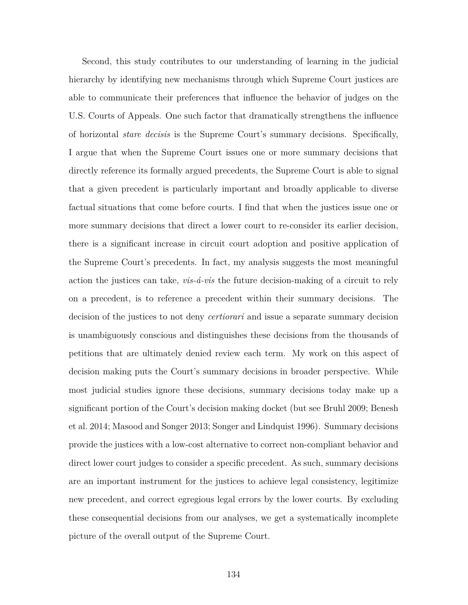Second, this study contributes to our understanding of learning in the judicial hierarchy by identifying new mechanisms through which Supreme Court justices are able to communicate their preferences that influence the behavior of judges on the U.S. Courts of Appeals. One such factor that dramatically strengthens the influence of horizontal *stare decisis* is the Supreme Court's summary decisions. Specifically, I argue that when the Supreme Court issues one or more summary decisions that directly reference its formally argued precedents, the Supreme Court is able to signal that a given precedent is particularly important and broadly applicable to diverse factual situations that come before courts. I find that when the justices issue one or more summary decisions that direct a lower court to re-consider its earlier decision, there is a significant increase in circuit court adoption and positive application of the Supreme Court's precedents. In fact, my analysis suggests the most meaningful action the justices can take, *vis-á-vis* the future decision-making of a circuit to rely on a precedent, is to reference a precedent within their summary decisions. The decision of the justices to not deny *certiorari* and issue a separate summary decision is unambiguously conscious and distinguishes these decisions from the thousands of petitions that are ultimately denied review each term. My work on this aspect of decision making puts the Court's summary decisions in broader perspective. While most judicial studies ignore these decisions, summary decisions today make up a significant portion of the Court's decision making docket (but see Bruhl 2009; Benesh et al. 2014; Masood and Songer 2013; Songer and Lindquist 1996). Summary decisions provide the justices with a low-cost alternative to correct non-compliant behavior and direct lower court judges to consider a specific precedent. As such, summary decisions are an important instrument for the justices to achieve legal consistency, legitimize new precedent, and correct egregious legal errors by the lower courts. By excluding these consequential decisions from our analyses, we get a systematically incomplete picture of the overall output of the Supreme Court.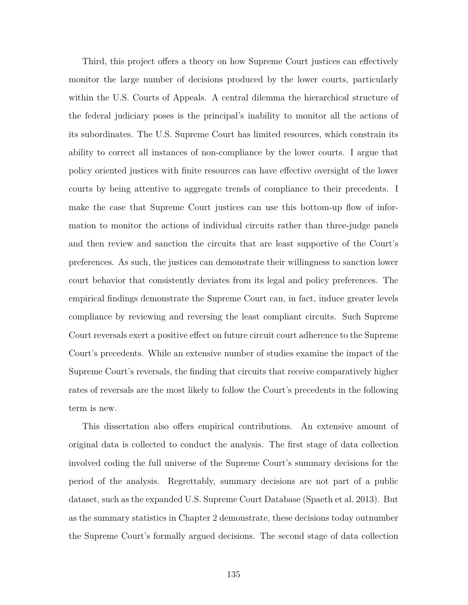Third, this project offers a theory on how Supreme Court justices can effectively monitor the large number of decisions produced by the lower courts, particularly within the U.S. Courts of Appeals. A central dilemma the hierarchical structure of the federal judiciary poses is the principal's inability to monitor all the actions of its subordinates. The U.S. Supreme Court has limited resources, which constrain its ability to correct all instances of non-compliance by the lower courts. I argue that policy oriented justices with finite resources can have effective oversight of the lower courts by being attentive to aggregate trends of compliance to their precedents. I make the case that Supreme Court justices can use this bottom-up flow of information to monitor the actions of individual circuits rather than three-judge panels and then review and sanction the circuits that are least supportive of the Court's preferences. As such, the justices can demonstrate their willingness to sanction lower court behavior that consistently deviates from its legal and policy preferences. The empirical findings demonstrate the Supreme Court can, in fact, induce greater levels compliance by reviewing and reversing the least compliant circuits. Such Supreme Court reversals exert a positive effect on future circuit court adherence to the Supreme Court's precedents. While an extensive number of studies examine the impact of the Supreme Court's reversals, the finding that circuits that receive comparatively higher rates of reversals are the most likely to follow the Court's precedents in the following term is new.

This dissertation also offers empirical contributions. An extensive amount of original data is collected to conduct the analysis. The first stage of data collection involved coding the full universe of the Supreme Court's summary decisions for the period of the analysis. Regrettably, summary decisions are not part of a public dataset, such as the expanded U.S. Supreme Court Database (Spaeth et al. 2013). But as the summary statistics in Chapter 2 demonstrate, these decisions today outnumber the Supreme Court's formally argued decisions. The second stage of data collection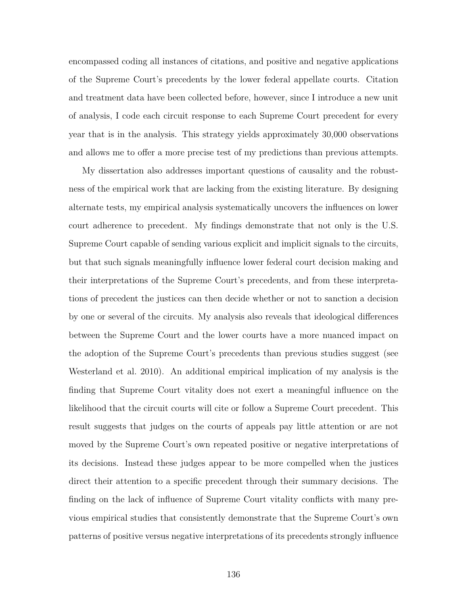encompassed coding all instances of citations, and positive and negative applications of the Supreme Court's precedents by the lower federal appellate courts. Citation and treatment data have been collected before, however, since I introduce a new unit of analysis, I code each circuit response to each Supreme Court precedent for every year that is in the analysis. This strategy yields approximately 30,000 observations and allows me to offer a more precise test of my predictions than previous attempts.

My dissertation also addresses important questions of causality and the robustness of the empirical work that are lacking from the existing literature. By designing alternate tests, my empirical analysis systematically uncovers the influences on lower court adherence to precedent. My findings demonstrate that not only is the U.S. Supreme Court capable of sending various explicit and implicit signals to the circuits, but that such signals meaningfully influence lower federal court decision making and their interpretations of the Supreme Court's precedents, and from these interpretations of precedent the justices can then decide whether or not to sanction a decision by one or several of the circuits. My analysis also reveals that ideological differences between the Supreme Court and the lower courts have a more nuanced impact on the adoption of the Supreme Court's precedents than previous studies suggest (see Westerland et al. 2010). An additional empirical implication of my analysis is the finding that Supreme Court vitality does not exert a meaningful influence on the likelihood that the circuit courts will cite or follow a Supreme Court precedent. This result suggests that judges on the courts of appeals pay little attention or are not moved by the Supreme Court's own repeated positive or negative interpretations of its decisions. Instead these judges appear to be more compelled when the justices direct their attention to a specific precedent through their summary decisions. The finding on the lack of influence of Supreme Court vitality conflicts with many previous empirical studies that consistently demonstrate that the Supreme Court's own patterns of positive versus negative interpretations of its precedents strongly influence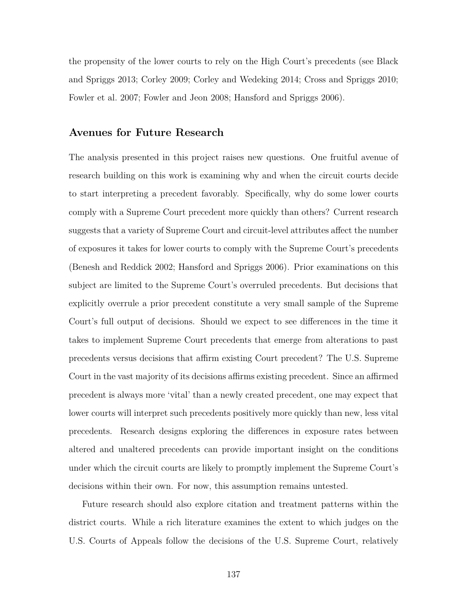the propensity of the lower courts to rely on the High Court's precedents (see Black and Spriggs 2013; Corley 2009; Corley and Wedeking 2014; Cross and Spriggs 2010; Fowler et al. 2007; Fowler and Jeon 2008; Hansford and Spriggs 2006).

## **Avenues for Future Research**

The analysis presented in this project raises new questions. One fruitful avenue of research building on this work is examining why and when the circuit courts decide to start interpreting a precedent favorably. Specifically, why do some lower courts comply with a Supreme Court precedent more quickly than others? Current research suggests that a variety of Supreme Court and circuit-level attributes affect the number of exposures it takes for lower courts to comply with the Supreme Court's precedents (Benesh and Reddick 2002; Hansford and Spriggs 2006). Prior examinations on this subject are limited to the Supreme Court's overruled precedents. But decisions that explicitly overrule a prior precedent constitute a very small sample of the Supreme Court's full output of decisions. Should we expect to see differences in the time it takes to implement Supreme Court precedents that emerge from alterations to past precedents versus decisions that affirm existing Court precedent? The U.S. Supreme Court in the vast majority of its decisions affirms existing precedent. Since an affirmed precedent is always more 'vital' than a newly created precedent, one may expect that lower courts will interpret such precedents positively more quickly than new, less vital precedents. Research designs exploring the differences in exposure rates between altered and unaltered precedents can provide important insight on the conditions under which the circuit courts are likely to promptly implement the Supreme Court's decisions within their own. For now, this assumption remains untested.

Future research should also explore citation and treatment patterns within the district courts. While a rich literature examines the extent to which judges on the U.S. Courts of Appeals follow the decisions of the U.S. Supreme Court, relatively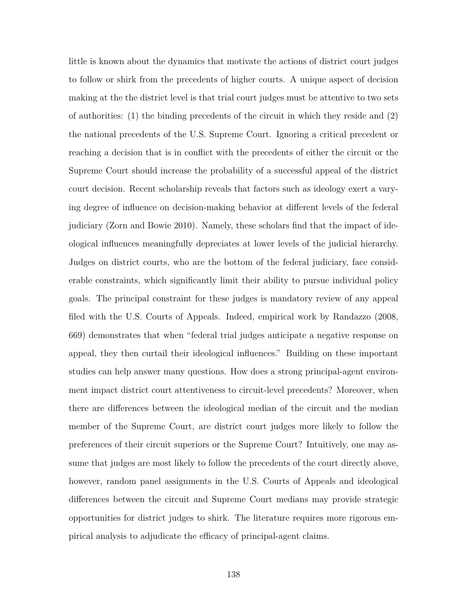little is known about the dynamics that motivate the actions of district court judges to follow or shirk from the precedents of higher courts. A unique aspect of decision making at the the district level is that trial court judges must be attentive to two sets of authorities: (1) the binding precedents of the circuit in which they reside and (2) the national precedents of the U.S. Supreme Court. Ignoring a critical precedent or reaching a decision that is in conflict with the precedents of either the circuit or the Supreme Court should increase the probability of a successful appeal of the district court decision. Recent scholarship reveals that factors such as ideology exert a varying degree of influence on decision-making behavior at different levels of the federal judiciary (Zorn and Bowie 2010). Namely, these scholars find that the impact of ideological influences meaningfully depreciates at lower levels of the judicial hierarchy. Judges on district courts, who are the bottom of the federal judiciary, face considerable constraints, which significantly limit their ability to pursue individual policy goals. The principal constraint for these judges is mandatory review of any appeal filed with the U.S. Courts of Appeals. Indeed, empirical work by Randazzo (2008, 669) demonstrates that when "federal trial judges anticipate a negative response on appeal, they then curtail their ideological influences." Building on these important studies can help answer many questions. How does a strong principal-agent environment impact district court attentiveness to circuit-level precedents? Moreover, when there are differences between the ideological median of the circuit and the median member of the Supreme Court, are district court judges more likely to follow the preferences of their circuit superiors or the Supreme Court? Intuitively, one may assume that judges are most likely to follow the precedents of the court directly above, however, random panel assignments in the U.S. Courts of Appeals and ideological differences between the circuit and Supreme Court medians may provide strategic opportunities for district judges to shirk. The literature requires more rigorous empirical analysis to adjudicate the efficacy of principal-agent claims.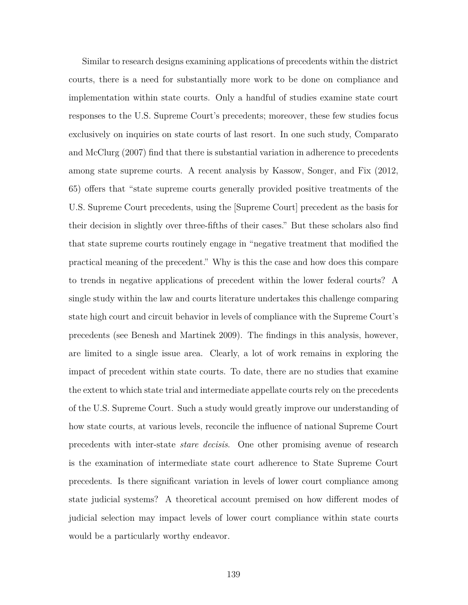Similar to research designs examining applications of precedents within the district courts, there is a need for substantially more work to be done on compliance and implementation within state courts. Only a handful of studies examine state court responses to the U.S. Supreme Court's precedents; moreover, these few studies focus exclusively on inquiries on state courts of last resort. In one such study, Comparato and McClurg (2007) find that there is substantial variation in adherence to precedents among state supreme courts. A recent analysis by Kassow, Songer, and Fix (2012, 65) offers that "state supreme courts generally provided positive treatments of the U.S. Supreme Court precedents, using the [Supreme Court] precedent as the basis for their decision in slightly over three-fifths of their cases." But these scholars also find that state supreme courts routinely engage in "negative treatment that modified the practical meaning of the precedent." Why is this the case and how does this compare to trends in negative applications of precedent within the lower federal courts? A single study within the law and courts literature undertakes this challenge comparing state high court and circuit behavior in levels of compliance with the Supreme Court's precedents (see Benesh and Martinek 2009). The findings in this analysis, however, are limited to a single issue area. Clearly, a lot of work remains in exploring the impact of precedent within state courts. To date, there are no studies that examine the extent to which state trial and intermediate appellate courts rely on the precedents of the U.S. Supreme Court. Such a study would greatly improve our understanding of how state courts, at various levels, reconcile the influence of national Supreme Court precedents with inter-state *stare decisis*. One other promising avenue of research is the examination of intermediate state court adherence to State Supreme Court precedents. Is there significant variation in levels of lower court compliance among state judicial systems? A theoretical account premised on how different modes of judicial selection may impact levels of lower court compliance within state courts would be a particularly worthy endeavor.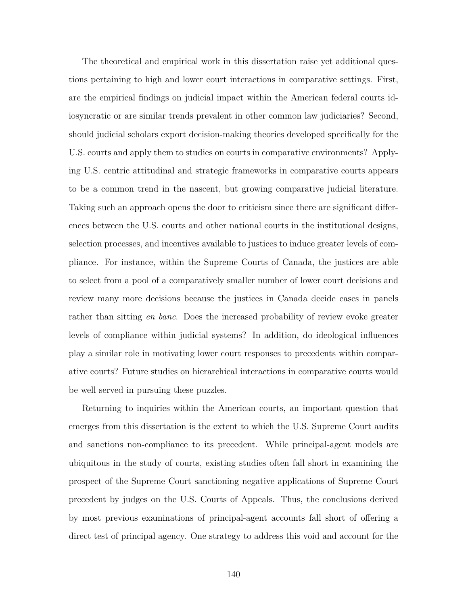The theoretical and empirical work in this dissertation raise yet additional questions pertaining to high and lower court interactions in comparative settings. First, are the empirical findings on judicial impact within the American federal courts idiosyncratic or are similar trends prevalent in other common law judiciaries? Second, should judicial scholars export decision-making theories developed specifically for the U.S. courts and apply them to studies on courts in comparative environments? Applying U.S. centric attitudinal and strategic frameworks in comparative courts appears to be a common trend in the nascent, but growing comparative judicial literature. Taking such an approach opens the door to criticism since there are significant differences between the U.S. courts and other national courts in the institutional designs, selection processes, and incentives available to justices to induce greater levels of compliance. For instance, within the Supreme Courts of Canada, the justices are able to select from a pool of a comparatively smaller number of lower court decisions and review many more decisions because the justices in Canada decide cases in panels rather than sitting *en banc*. Does the increased probability of review evoke greater levels of compliance within judicial systems? In addition, do ideological influences play a similar role in motivating lower court responses to precedents within comparative courts? Future studies on hierarchical interactions in comparative courts would be well served in pursuing these puzzles.

Returning to inquiries within the American courts, an important question that emerges from this dissertation is the extent to which the U.S. Supreme Court audits and sanctions non-compliance to its precedent. While principal-agent models are ubiquitous in the study of courts, existing studies often fall short in examining the prospect of the Supreme Court sanctioning negative applications of Supreme Court precedent by judges on the U.S. Courts of Appeals. Thus, the conclusions derived by most previous examinations of principal-agent accounts fall short of offering a direct test of principal agency. One strategy to address this void and account for the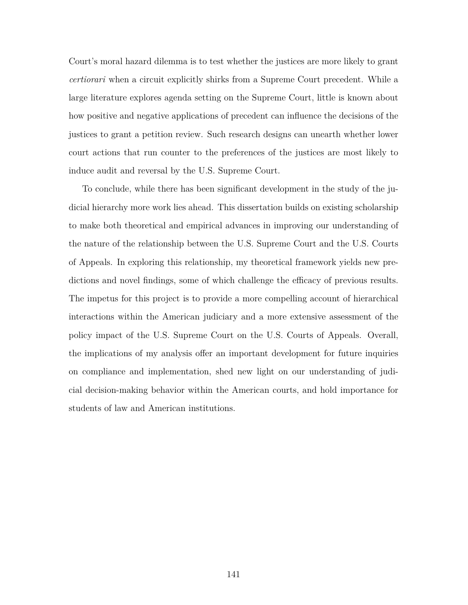Court's moral hazard dilemma is to test whether the justices are more likely to grant *certiorari* when a circuit explicitly shirks from a Supreme Court precedent. While a large literature explores agenda setting on the Supreme Court, little is known about how positive and negative applications of precedent can influence the decisions of the justices to grant a petition review. Such research designs can unearth whether lower court actions that run counter to the preferences of the justices are most likely to induce audit and reversal by the U.S. Supreme Court.

To conclude, while there has been significant development in the study of the judicial hierarchy more work lies ahead. This dissertation builds on existing scholarship to make both theoretical and empirical advances in improving our understanding of the nature of the relationship between the U.S. Supreme Court and the U.S. Courts of Appeals. In exploring this relationship, my theoretical framework yields new predictions and novel findings, some of which challenge the efficacy of previous results. The impetus for this project is to provide a more compelling account of hierarchical interactions within the American judiciary and a more extensive assessment of the policy impact of the U.S. Supreme Court on the U.S. Courts of Appeals. Overall, the implications of my analysis offer an important development for future inquiries on compliance and implementation, shed new light on our understanding of judicial decision-making behavior within the American courts, and hold importance for students of law and American institutions.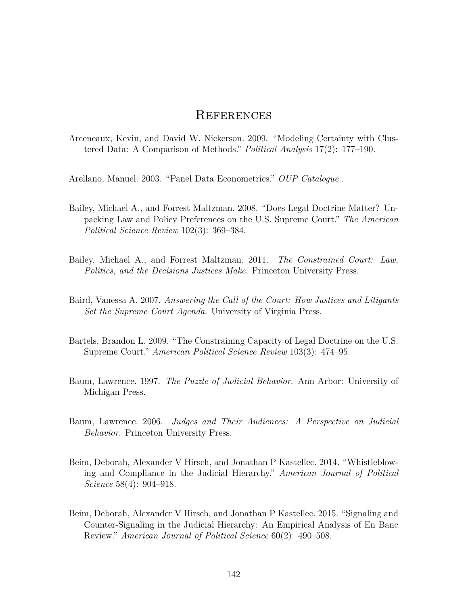## **REFERENCES**

Arceneaux, Kevin, and David W. Nickerson. 2009. "Modeling Certainty with Clustered Data: A Comparison of Methods." *Political Analysis* 17(2): 177–190.

Arellano, Manuel. 2003. "Panel Data Econometrics." *OUP Catalogue* .

- Bailey, Michael A., and Forrest Maltzman. 2008. "Does Legal Doctrine Matter? Unpacking Law and Policy Preferences on the U.S. Supreme Court." *The American Political Science Review* 102(3): 369–384.
- Bailey, Michael A., and Forrest Maltzman. 2011. *The Constrained Court: Law, Politics, and the Decisions Justices Make*. Princeton University Press.
- Baird, Vanessa A. 2007. *Answering the Call of the Court: How Justices and Litigants Set the Supreme Court Agenda*. University of Virginia Press.
- Bartels, Brandon L. 2009. "The Constraining Capacity of Legal Doctrine on the U.S. Supreme Court." *American Political Science Review* 103(3): 474–95.
- Baum, Lawrence. 1997. *The Puzzle of Judicial Behavior*. Ann Arbor: University of Michigan Press.
- Baum, Lawrence. 2006. *Judges and Their Audiences: A Perspective on Judicial Behavior*. Princeton University Press.
- Beim, Deborah, Alexander V Hirsch, and Jonathan P Kastellec. 2014. "Whistleblowing and Compliance in the Judicial Hierarchy." *American Journal of Political Science* 58(4): 904–918.
- Beim, Deborah, Alexander V Hirsch, and Jonathan P Kastellec. 2015. "Signaling and Counter-Signaling in the Judicial Hierarchy: An Empirical Analysis of En Banc Review." *American Journal of Political Science* 60(2): 490–508.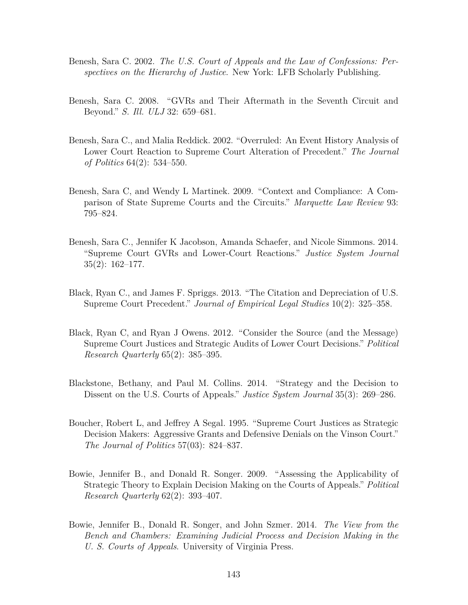- Benesh, Sara C. 2002. *The U.S. Court of Appeals and the Law of Confessions: Perspectives on the Hierarchy of Justice*. New York: LFB Scholarly Publishing.
- Benesh, Sara C. 2008. "GVRs and Their Aftermath in the Seventh Circuit and Beyond." *S. Ill. ULJ* 32: 659–681.
- Benesh, Sara C., and Malia Reddick. 2002. "Overruled: An Event History Analysis of Lower Court Reaction to Supreme Court Alteration of Precedent." *The Journal of Politics* 64(2): 534–550.
- Benesh, Sara C, and Wendy L Martinek. 2009. "Context and Compliance: A Comparison of State Supreme Courts and the Circuits." *Marquette Law Review* 93: 795–824.
- Benesh, Sara C., Jennifer K Jacobson, Amanda Schaefer, and Nicole Simmons. 2014. "Supreme Court GVRs and Lower-Court Reactions." *Justice System Journal* 35(2): 162–177.
- Black, Ryan C., and James F. Spriggs. 2013. "The Citation and Depreciation of U.S. Supreme Court Precedent." *Journal of Empirical Legal Studies* 10(2): 325–358.
- Black, Ryan C, and Ryan J Owens. 2012. "Consider the Source (and the Message) Supreme Court Justices and Strategic Audits of Lower Court Decisions." *Political Research Quarterly* 65(2): 385–395.
- Blackstone, Bethany, and Paul M. Collins. 2014. "Strategy and the Decision to Dissent on the U.S. Courts of Appeals." *Justice System Journal* 35(3): 269–286.
- Boucher, Robert L, and Jeffrey A Segal. 1995. "Supreme Court Justices as Strategic Decision Makers: Aggressive Grants and Defensive Denials on the Vinson Court." *The Journal of Politics* 57(03): 824–837.
- Bowie, Jennifer B., and Donald R. Songer. 2009. "Assessing the Applicability of Strategic Theory to Explain Decision Making on the Courts of Appeals." *Political Research Quarterly* 62(2): 393–407.
- Bowie, Jennifer B., Donald R. Songer, and John Szmer. 2014. *The View from the Bench and Chambers: Examining Judicial Process and Decision Making in the U. S. Courts of Appeals*. University of Virginia Press.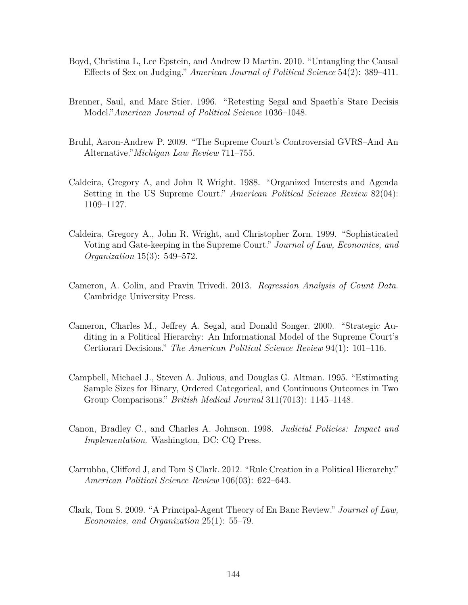- Boyd, Christina L, Lee Epstein, and Andrew D Martin. 2010. "Untangling the Causal Effects of Sex on Judging." *American Journal of Political Science* 54(2): 389–411.
- Brenner, Saul, and Marc Stier. 1996. "Retesting Segal and Spaeth's Stare Decisis Model."*American Journal of Political Science* 1036–1048.
- Bruhl, Aaron-Andrew P. 2009. "The Supreme Court's Controversial GVRS–And An Alternative."*Michigan Law Review* 711–755.
- Caldeira, Gregory A, and John R Wright. 1988. "Organized Interests and Agenda Setting in the US Supreme Court." *American Political Science Review* 82(04): 1109–1127.
- Caldeira, Gregory A., John R. Wright, and Christopher Zorn. 1999. "Sophisticated Voting and Gate-keeping in the Supreme Court." *Journal of Law, Economics, and Organization* 15(3): 549–572.
- Cameron, A. Colin, and Pravin Trivedi. 2013. *Regression Analysis of Count Data*. Cambridge University Press.
- Cameron, Charles M., Jeffrey A. Segal, and Donald Songer. 2000. "Strategic Auditing in a Political Hierarchy: An Informational Model of the Supreme Court's Certiorari Decisions." *The American Political Science Review* 94(1): 101–116.
- Campbell, Michael J., Steven A. Julious, and Douglas G. Altman. 1995. "Estimating Sample Sizes for Binary, Ordered Categorical, and Continuous Outcomes in Two Group Comparisons." *British Medical Journal* 311(7013): 1145–1148.
- Canon, Bradley C., and Charles A. Johnson. 1998. *Judicial Policies: Impact and Implementation*. Washington, DC: CQ Press.
- Carrubba, Clifford J, and Tom S Clark. 2012. "Rule Creation in a Political Hierarchy." *American Political Science Review* 106(03): 622–643.
- Clark, Tom S. 2009. "A Principal-Agent Theory of En Banc Review." *Journal of Law, Economics, and Organization* 25(1): 55–79.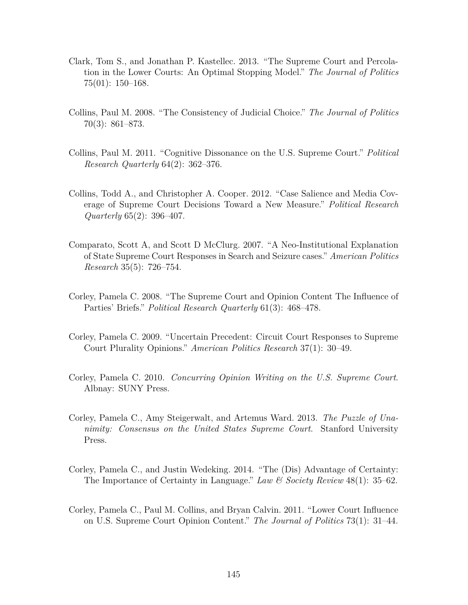- Clark, Tom S., and Jonathan P. Kastellec. 2013. "The Supreme Court and Percolation in the Lower Courts: An Optimal Stopping Model." *The Journal of Politics* 75(01): 150–168.
- Collins, Paul M. 2008. "The Consistency of Judicial Choice." *The Journal of Politics* 70(3): 861–873.
- Collins, Paul M. 2011. "Cognitive Dissonance on the U.S. Supreme Court." *Political Research Quarterly* 64(2): 362–376.
- Collins, Todd A., and Christopher A. Cooper. 2012. "Case Salience and Media Coverage of Supreme Court Decisions Toward a New Measure." *Political Research Quarterly* 65(2): 396–407.
- Comparato, Scott A, and Scott D McClurg. 2007. "A Neo-Institutional Explanation of State Supreme Court Responses in Search and Seizure cases." *American Politics Research* 35(5): 726–754.
- Corley, Pamela C. 2008. "The Supreme Court and Opinion Content The Influence of Parties' Briefs." *Political Research Quarterly* 61(3): 468–478.
- Corley, Pamela C. 2009. "Uncertain Precedent: Circuit Court Responses to Supreme Court Plurality Opinions." *American Politics Research* 37(1): 30–49.
- Corley, Pamela C. 2010. *Concurring Opinion Writing on the U.S. Supreme Court*. Albnay: SUNY Press.
- Corley, Pamela C., Amy Steigerwalt, and Artemus Ward. 2013. *The Puzzle of Unanimity: Consensus on the United States Supreme Court*. Stanford University Press.
- Corley, Pamela C., and Justin Wedeking. 2014. "The (Dis) Advantage of Certainty: The Importance of Certainty in Language." *Law & Society Review* 48(1): 35–62.
- Corley, Pamela C., Paul M. Collins, and Bryan Calvin. 2011. "Lower Court Influence on U.S. Supreme Court Opinion Content." *The Journal of Politics* 73(1): 31–44.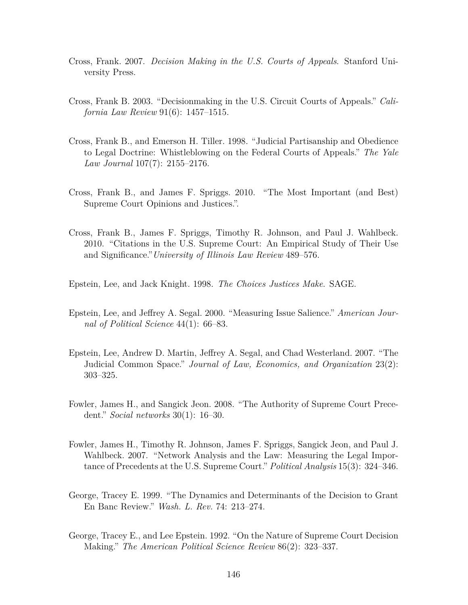- Cross, Frank. 2007. *Decision Making in the U.S. Courts of Appeals*. Stanford University Press.
- Cross, Frank B. 2003. "Decisionmaking in the U.S. Circuit Courts of Appeals." *California Law Review* 91(6): 1457–1515.
- Cross, Frank B., and Emerson H. Tiller. 1998. "Judicial Partisanship and Obedience to Legal Doctrine: Whistleblowing on the Federal Courts of Appeals." *The Yale Law Journal* 107(7): 2155–2176.
- Cross, Frank B., and James F. Spriggs. 2010. "The Most Important (and Best) Supreme Court Opinions and Justices.".
- Cross, Frank B., James F. Spriggs, Timothy R. Johnson, and Paul J. Wahlbeck. 2010. "Citations in the U.S. Supreme Court: An Empirical Study of Their Use and Significance."*University of Illinois Law Review* 489–576.

Epstein, Lee, and Jack Knight. 1998. *The Choices Justices Make*. SAGE.

- Epstein, Lee, and Jeffrey A. Segal. 2000. "Measuring Issue Salience." *American Journal of Political Science* 44(1): 66–83.
- Epstein, Lee, Andrew D. Martin, Jeffrey A. Segal, and Chad Westerland. 2007. "The Judicial Common Space." *Journal of Law, Economics, and Organization* 23(2): 303–325.
- Fowler, James H., and Sangick Jeon. 2008. "The Authority of Supreme Court Precedent." *Social networks* 30(1): 16–30.
- Fowler, James H., Timothy R. Johnson, James F. Spriggs, Sangick Jeon, and Paul J. Wahlbeck. 2007. "Network Analysis and the Law: Measuring the Legal Importance of Precedents at the U.S. Supreme Court." *Political Analysis* 15(3): 324–346.
- George, Tracey E. 1999. "The Dynamics and Determinants of the Decision to Grant En Banc Review." *Wash. L. Rev.* 74: 213–274.
- George, Tracey E., and Lee Epstein. 1992. "On the Nature of Supreme Court Decision Making." *The American Political Science Review* 86(2): 323–337.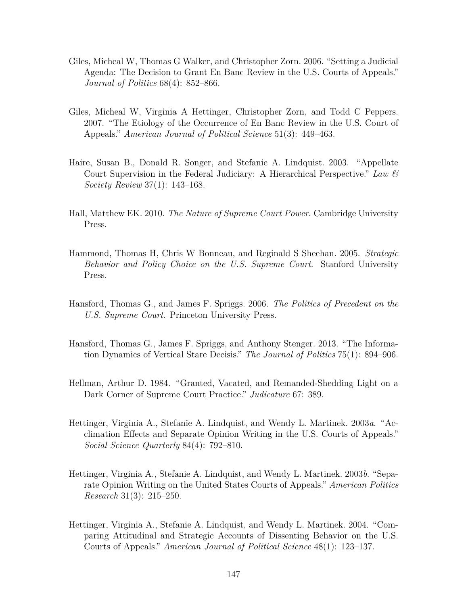- Giles, Micheal W, Thomas G Walker, and Christopher Zorn. 2006. "Setting a Judicial Agenda: The Decision to Grant En Banc Review in the U.S. Courts of Appeals." *Journal of Politics* 68(4): 852–866.
- Giles, Micheal W, Virginia A Hettinger, Christopher Zorn, and Todd C Peppers. 2007. "The Etiology of the Occurrence of En Banc Review in the U.S. Court of Appeals." *American Journal of Political Science* 51(3): 449–463.
- Haire, Susan B., Donald R. Songer, and Stefanie A. Lindquist. 2003. "Appellate Court Supervision in the Federal Judiciary: A Hierarchical Perspective." *Law & Society Review* 37(1): 143–168.
- Hall, Matthew EK. 2010. *The Nature of Supreme Court Power*. Cambridge University Press.
- Hammond, Thomas H, Chris W Bonneau, and Reginald S Sheehan. 2005. *Strategic Behavior and Policy Choice on the U.S. Supreme Court*. Stanford University Press.
- Hansford, Thomas G., and James F. Spriggs. 2006. *The Politics of Precedent on the U.S. Supreme Court*. Princeton University Press.
- Hansford, Thomas G., James F. Spriggs, and Anthony Stenger. 2013. "The Information Dynamics of Vertical Stare Decisis." *The Journal of Politics* 75(1): 894–906.
- Hellman, Arthur D. 1984. "Granted, Vacated, and Remanded-Shedding Light on a Dark Corner of Supreme Court Practice." *Judicature* 67: 389.
- Hettinger, Virginia A., Stefanie A. Lindquist, and Wendy L. Martinek. 2003*a*. "Acclimation Effects and Separate Opinion Writing in the U.S. Courts of Appeals." *Social Science Quarterly* 84(4): 792–810.
- Hettinger, Virginia A., Stefanie A. Lindquist, and Wendy L. Martinek. 2003*b*. "Separate Opinion Writing on the United States Courts of Appeals." *American Politics Research* 31(3): 215–250.
- Hettinger, Virginia A., Stefanie A. Lindquist, and Wendy L. Martinek. 2004. "Comparing Attitudinal and Strategic Accounts of Dissenting Behavior on the U.S. Courts of Appeals." *American Journal of Political Science* 48(1): 123–137.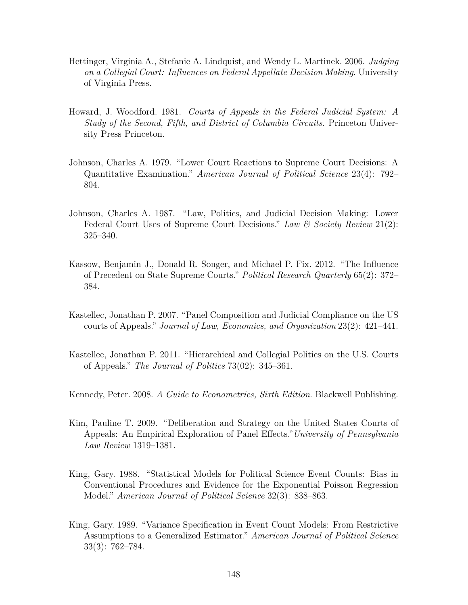- Hettinger, Virginia A., Stefanie A. Lindquist, and Wendy L. Martinek. 2006. *Judging on a Collegial Court: Influences on Federal Appellate Decision Making*. University of Virginia Press.
- Howard, J. Woodford. 1981. *Courts of Appeals in the Federal Judicial System: A Study of the Second, Fifth, and District of Columbia Circuits*. Princeton University Press Princeton.
- Johnson, Charles A. 1979. "Lower Court Reactions to Supreme Court Decisions: A Quantitative Examination." *American Journal of Political Science* 23(4): 792– 804.
- Johnson, Charles A. 1987. "Law, Politics, and Judicial Decision Making: Lower Federal Court Uses of Supreme Court Decisions." *Law & Society Review* 21(2): 325–340.
- Kassow, Benjamin J., Donald R. Songer, and Michael P. Fix. 2012. "The Influence of Precedent on State Supreme Courts." *Political Research Quarterly* 65(2): 372– 384.
- Kastellec, Jonathan P. 2007. "Panel Composition and Judicial Compliance on the US courts of Appeals." *Journal of Law, Economics, and Organization* 23(2): 421–441.
- Kastellec, Jonathan P. 2011. "Hierarchical and Collegial Politics on the U.S. Courts of Appeals." *The Journal of Politics* 73(02): 345–361.
- Kennedy, Peter. 2008. *A Guide to Econometrics, Sixth Edition*. Blackwell Publishing.
- Kim, Pauline T. 2009. "Deliberation and Strategy on the United States Courts of Appeals: An Empirical Exploration of Panel Effects."*University of Pennsylvania Law Review* 1319–1381.
- King, Gary. 1988. "Statistical Models for Political Science Event Counts: Bias in Conventional Procedures and Evidence for the Exponential Poisson Regression Model." *American Journal of Political Science* 32(3): 838–863.
- King, Gary. 1989. "Variance Specification in Event Count Models: From Restrictive Assumptions to a Generalized Estimator." *American Journal of Political Science* 33(3): 762–784.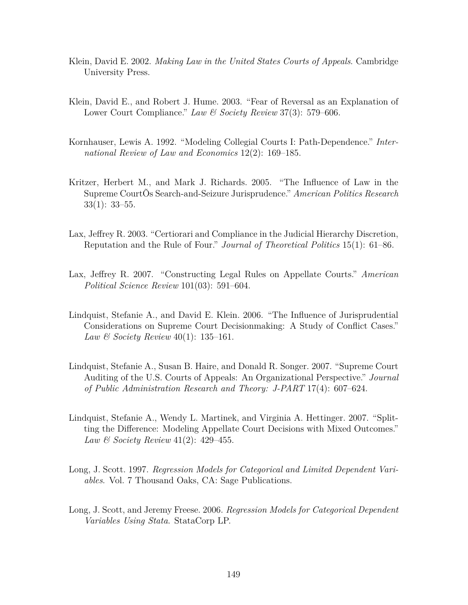- Klein, David E. 2002. *Making Law in the United States Courts of Appeals*. Cambridge University Press.
- Klein, David E., and Robert J. Hume. 2003. "Fear of Reversal as an Explanation of Lower Court Compliance." *Law & Society Review* 37(3): 579–606.
- Kornhauser, Lewis A. 1992. "Modeling Collegial Courts I: Path-Dependence." *International Review of Law and Economics* 12(2): 169–185.
- Kritzer, Herbert M., and Mark J. Richards. 2005. "The Influence of Law in the Supreme CourtÕs Search-and-Seizure Jurisprudence." *American Politics Research* 33(1): 33–55.
- Lax, Jeffrey R. 2003. "Certiorari and Compliance in the Judicial Hierarchy Discretion, Reputation and the Rule of Four." *Journal of Theoretical Politics* 15(1): 61–86.
- Lax, Jeffrey R. 2007. "Constructing Legal Rules on Appellate Courts." *American Political Science Review* 101(03): 591–604.
- Lindquist, Stefanie A., and David E. Klein. 2006. "The Influence of Jurisprudential Considerations on Supreme Court Decisionmaking: A Study of Conflict Cases." *Law & Society Review* 40(1): 135–161.
- Lindquist, Stefanie A., Susan B. Haire, and Donald R. Songer. 2007. "Supreme Court Auditing of the U.S. Courts of Appeals: An Organizational Perspective." *Journal of Public Administration Research and Theory: J-PART* 17(4): 607–624.
- Lindquist, Stefanie A., Wendy L. Martinek, and Virginia A. Hettinger. 2007. "Splitting the Difference: Modeling Appellate Court Decisions with Mixed Outcomes." *Law & Society Review* 41(2): 429–455.
- Long, J. Scott. 1997. *Regression Models for Categorical and Limited Dependent Variables*. Vol. 7 Thousand Oaks, CA: Sage Publications.
- Long, J. Scott, and Jeremy Freese. 2006. *Regression Models for Categorical Dependent Variables Using Stata*. StataCorp LP.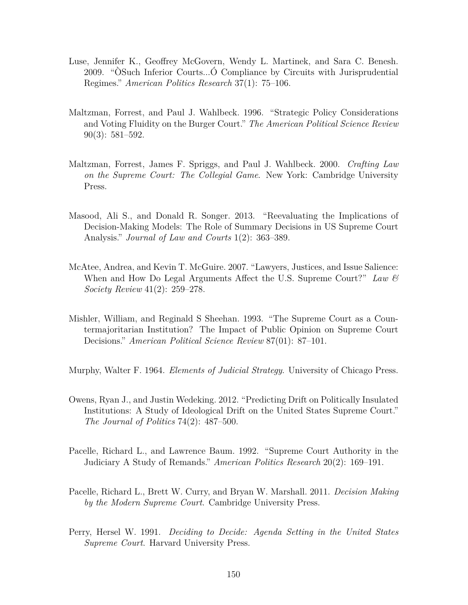- Luse, Jennifer K., Geoffrey McGovern, Wendy L. Martinek, and Sara C. Benesh. 2009. "ÒSuch Inferior Courts...Ó Compliance by Circuits with Jurisprudential Regimes." *American Politics Research* 37(1): 75–106.
- Maltzman, Forrest, and Paul J. Wahlbeck. 1996. "Strategic Policy Considerations and Voting Fluidity on the Burger Court." *The American Political Science Review* 90(3): 581–592.
- Maltzman, Forrest, James F. Spriggs, and Paul J. Wahlbeck. 2000. *Crafting Law on the Supreme Court: The Collegial Game*. New York: Cambridge University Press.
- Masood, Ali S., and Donald R. Songer. 2013. "Reevaluating the Implications of Decision-Making Models: The Role of Summary Decisions in US Supreme Court Analysis." *Journal of Law and Courts* 1(2): 363–389.
- McAtee, Andrea, and Kevin T. McGuire. 2007. "Lawyers, Justices, and Issue Salience: When and How Do Legal Arguments Affect the U.S. Supreme Court?" *Law & Society Review* 41(2): 259–278.
- Mishler, William, and Reginald S Sheehan. 1993. "The Supreme Court as a Countermajoritarian Institution? The Impact of Public Opinion on Supreme Court Decisions." *American Political Science Review* 87(01): 87–101.
- Murphy, Walter F. 1964. *Elements of Judicial Strategy*. University of Chicago Press.
- Owens, Ryan J., and Justin Wedeking. 2012. "Predicting Drift on Politically Insulated Institutions: A Study of Ideological Drift on the United States Supreme Court." *The Journal of Politics* 74(2): 487–500.
- Pacelle, Richard L., and Lawrence Baum. 1992. "Supreme Court Authority in the Judiciary A Study of Remands." *American Politics Research* 20(2): 169–191.
- Pacelle, Richard L., Brett W. Curry, and Bryan W. Marshall. 2011. *Decision Making by the Modern Supreme Court*. Cambridge University Press.
- Perry, Hersel W. 1991. *Deciding to Decide: Agenda Setting in the United States Supreme Court*. Harvard University Press.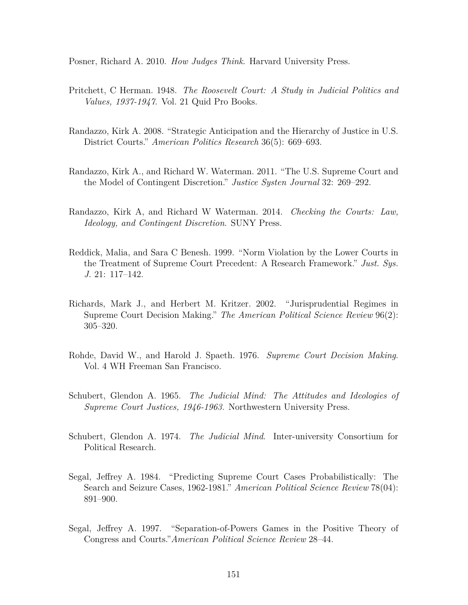Posner, Richard A. 2010. *How Judges Think*. Harvard University Press.

- Pritchett, C Herman. 1948. *The Roosevelt Court: A Study in Judicial Politics and Values, 1937-1947*. Vol. 21 Quid Pro Books.
- Randazzo, Kirk A. 2008. "Strategic Anticipation and the Hierarchy of Justice in U.S. District Courts." *American Politics Research* 36(5): 669–693.
- Randazzo, Kirk A., and Richard W. Waterman. 2011. "The U.S. Supreme Court and the Model of Contingent Discretion." *Justice Systen Journal* 32: 269–292.
- Randazzo, Kirk A, and Richard W Waterman. 2014. *Checking the Courts: Law, Ideology, and Contingent Discretion*. SUNY Press.
- Reddick, Malia, and Sara C Benesh. 1999. "Norm Violation by the Lower Courts in the Treatment of Supreme Court Precedent: A Research Framework." *Just. Sys. J.* 21: 117–142.
- Richards, Mark J., and Herbert M. Kritzer. 2002. "Jurisprudential Regimes in Supreme Court Decision Making." *The American Political Science Review* 96(2): 305–320.
- Rohde, David W., and Harold J. Spaeth. 1976. *Supreme Court Decision Making*. Vol. 4 WH Freeman San Francisco.
- Schubert, Glendon A. 1965. *The Judicial Mind: The Attitudes and Ideologies of Supreme Court Justices, 1946-1963*. Northwestern University Press.
- Schubert, Glendon A. 1974. *The Judicial Mind*. Inter-university Consortium for Political Research.
- Segal, Jeffrey A. 1984. "Predicting Supreme Court Cases Probabilistically: The Search and Seizure Cases, 1962-1981." *American Political Science Review* 78(04): 891–900.
- Segal, Jeffrey A. 1997. "Separation-of-Powers Games in the Positive Theory of Congress and Courts."*American Political Science Review* 28–44.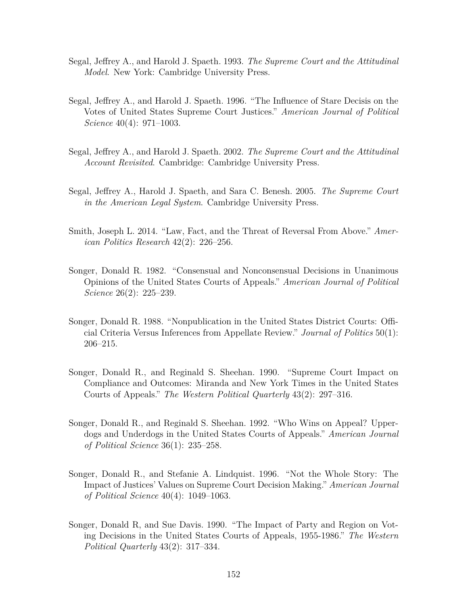- Segal, Jeffrey A., and Harold J. Spaeth. 1993. *The Supreme Court and the Attitudinal Model*. New York: Cambridge University Press.
- Segal, Jeffrey A., and Harold J. Spaeth. 1996. "The Influence of Stare Decisis on the Votes of United States Supreme Court Justices." *American Journal of Political Science* 40(4): 971–1003.
- Segal, Jeffrey A., and Harold J. Spaeth. 2002. *The Supreme Court and the Attitudinal Account Revisited*. Cambridge: Cambridge University Press.
- Segal, Jeffrey A., Harold J. Spaeth, and Sara C. Benesh. 2005. *The Supreme Court in the American Legal System*. Cambridge University Press.
- Smith, Joseph L. 2014. "Law, Fact, and the Threat of Reversal From Above." *American Politics Research* 42(2): 226–256.
- Songer, Donald R. 1982. "Consensual and Nonconsensual Decisions in Unanimous Opinions of the United States Courts of Appeals." *American Journal of Political Science* 26(2): 225–239.
- Songer, Donald R. 1988. "Nonpublication in the United States District Courts: Official Criteria Versus Inferences from Appellate Review." *Journal of Politics* 50(1): 206–215.
- Songer, Donald R., and Reginald S. Sheehan. 1990. "Supreme Court Impact on Compliance and Outcomes: Miranda and New York Times in the United States Courts of Appeals." *The Western Political Quarterly* 43(2): 297–316.
- Songer, Donald R., and Reginald S. Sheehan. 1992. "Who Wins on Appeal? Upperdogs and Underdogs in the United States Courts of Appeals." *American Journal of Political Science* 36(1): 235–258.
- Songer, Donald R., and Stefanie A. Lindquist. 1996. "Not the Whole Story: The Impact of Justices' Values on Supreme Court Decision Making." *American Journal of Political Science* 40(4): 1049–1063.
- Songer, Donald R, and Sue Davis. 1990. "The Impact of Party and Region on Voting Decisions in the United States Courts of Appeals, 1955-1986." *The Western Political Quarterly* 43(2): 317–334.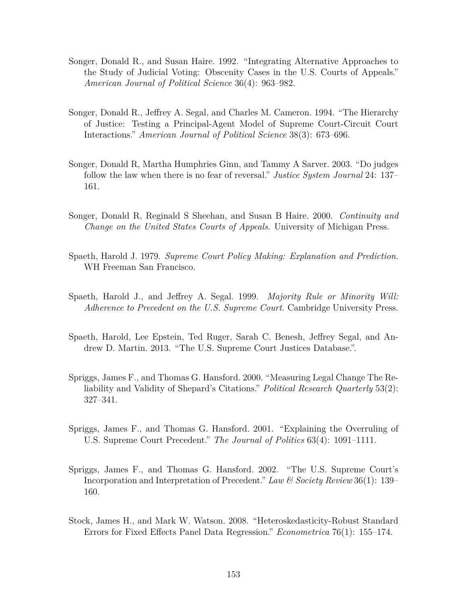- Songer, Donald R., and Susan Haire. 1992. "Integrating Alternative Approaches to the Study of Judicial Voting: Obscenity Cases in the U.S. Courts of Appeals." *American Journal of Political Science* 36(4): 963–982.
- Songer, Donald R., Jeffrey A. Segal, and Charles M. Cameron. 1994. "The Hierarchy of Justice: Testing a Principal-Agent Model of Supreme Court-Circuit Court Interactions." *American Journal of Political Science* 38(3): 673–696.
- Songer, Donald R, Martha Humphries Ginn, and Tammy A Sarver. 2003. "Do judges follow the law when there is no fear of reversal." *Justice System Journal* 24: 137– 161.
- Songer, Donald R, Reginald S Sheehan, and Susan B Haire. 2000. *Continuity and Change on the United States Courts of Appeals*. University of Michigan Press.
- Spaeth, Harold J. 1979. *Supreme Court Policy Making: Explanation and Prediction*. WH Freeman San Francisco.
- Spaeth, Harold J., and Jeffrey A. Segal. 1999. *Majority Rule or Minority Will: Adherence to Precedent on the U.S. Supreme Court*. Cambridge University Press.
- Spaeth, Harold, Lee Epstein, Ted Ruger, Sarah C. Benesh, Jeffrey Segal, and Andrew D. Martin. 2013. "The U.S. Supreme Court Justices Database.".
- Spriggs, James F., and Thomas G. Hansford. 2000. "Measuring Legal Change The Reliability and Validity of Shepard's Citations." *Political Research Quarterly* 53(2): 327–341.
- Spriggs, James F., and Thomas G. Hansford. 2001. "Explaining the Overruling of U.S. Supreme Court Precedent." *The Journal of Politics* 63(4): 1091–1111.
- Spriggs, James F., and Thomas G. Hansford. 2002. "The U.S. Supreme Court's Incorporation and Interpretation of Precedent." *Law & Society Review* 36(1): 139– 160.
- Stock, James H., and Mark W. Watson. 2008. "Heteroskedasticity-Robust Standard Errors for Fixed Effects Panel Data Regression." *Econometrica* 76(1): 155–174.